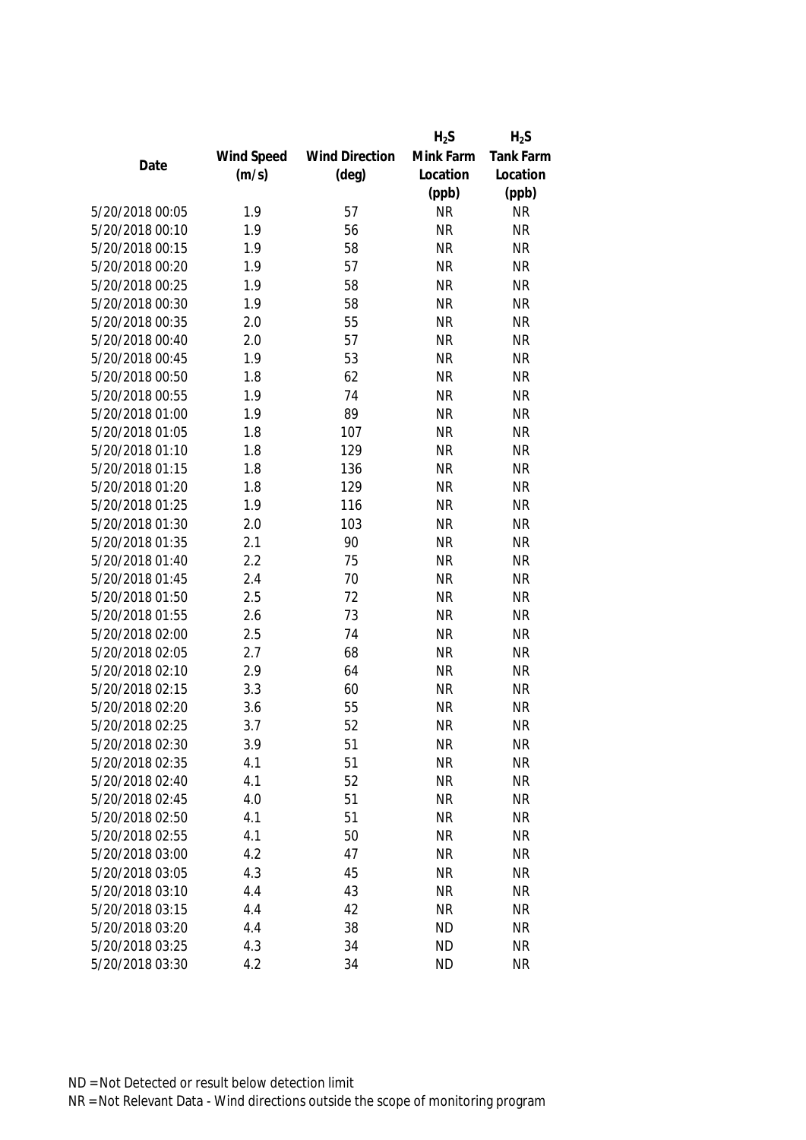| Mink Farm<br>Wind Speed<br><b>Wind Direction</b> |                  |
|--------------------------------------------------|------------------|
|                                                  | <b>Tank Farm</b> |
| Date<br>(m/s)<br>$(\text{deg})$<br>Location      | Location         |
| (ppb)                                            | (ppb)            |
| 5/20/2018 00:05<br>1.9<br><b>NR</b><br>57        | <b>NR</b>        |
| 5/20/2018 00:10<br>1.9<br>56<br><b>NR</b>        | <b>NR</b>        |
| 58<br>5/20/2018 00:15<br>1.9<br><b>NR</b>        | <b>NR</b>        |
| 57<br>5/20/2018 00:20<br>1.9<br><b>NR</b>        | <b>NR</b>        |
| 58<br>5/20/2018 00:25<br>1.9<br><b>NR</b>        | <b>NR</b>        |
| 1.9<br>58<br><b>NR</b><br>5/20/2018 00:30        | <b>NR</b>        |
| 55<br>5/20/2018 00:35<br>2.0<br><b>NR</b>        | <b>NR</b>        |
| 5/20/2018 00:40<br>57<br>2.0<br><b>NR</b>        | <b>NR</b>        |
| 5/20/2018 00:45<br>53<br><b>NR</b><br>1.9        | <b>NR</b>        |
| 62<br>5/20/2018 00:50<br><b>NR</b><br>1.8        | <b>NR</b>        |
| 74<br>5/20/2018 00:55<br>1.9<br><b>NR</b>        | <b>NR</b>        |
| 5/20/2018 01:00<br>1.9<br>89<br><b>NR</b>        | <b>NR</b>        |
| 107<br>5/20/2018 01:05<br>1.8<br><b>NR</b>       | <b>NR</b>        |
| 129<br><b>NR</b><br>5/20/2018 01:10<br>1.8       | <b>NR</b>        |
| 5/20/2018 01:15<br>1.8<br>136<br><b>NR</b>       | <b>NR</b>        |
| 5/20/2018 01:20<br>129<br>1.8<br><b>NR</b>       | <b>NR</b>        |
| 5/20/2018 01:25<br>116<br><b>NR</b><br>1.9       | <b>NR</b>        |
| 103<br><b>NR</b><br>5/20/2018 01:30<br>2.0       | <b>NR</b>        |
| 5/20/2018 01:35<br>2.1<br>90<br><b>NR</b>        | <b>NR</b>        |
| 2.2<br>75<br>5/20/2018 01:40<br><b>NR</b>        | <b>NR</b>        |
| 70<br><b>NR</b><br>5/20/2018 01:45<br>2.4        | <b>NR</b>        |
| 2.5<br>72<br><b>NR</b><br>5/20/2018 01:50        | <b>NR</b>        |
| 73<br>5/20/2018 01:55<br>2.6<br><b>NR</b>        | <b>NR</b>        |
| 5/20/2018 02:00<br>2.5<br>74<br><b>NR</b>        | <b>NR</b>        |
| 5/20/2018 02:05<br>2.7<br>68<br><b>NR</b>        | <b>NR</b>        |
| 2.9<br>64<br>5/20/2018 02:10<br><b>NR</b>        | <b>NR</b>        |
| 5/20/2018 02:15<br>3.3<br>60<br><b>NR</b>        | <b>NR</b>        |
| 55<br>5/20/2018 02:20<br><b>NR</b><br>3.6        | <b>NR</b>        |
| 52<br><b>NR</b><br>5/20/2018 02:25<br>3.7        | <b>NR</b>        |
| 5/20/2018 02:30<br>3.9<br>51<br><b>NR</b>        | NR               |
| 51<br>5/20/2018 02:35<br>4.1<br><b>NR</b>        | <b>NR</b>        |
| 52<br>5/20/2018 02:40<br>4.1<br><b>NR</b>        | <b>NR</b>        |
| 51<br>5/20/2018 02:45<br>4.0<br><b>NR</b>        | <b>NR</b>        |
| 5/20/2018 02:50<br>4.1<br>51<br><b>NR</b>        | <b>NR</b>        |
| 5/20/2018 02:55<br>4.1<br>50<br><b>NR</b>        | <b>NR</b>        |
| 5/20/2018 03:00<br>4.2<br>47<br><b>NR</b>        | <b>NR</b>        |
| 45<br>5/20/2018 03:05<br>4.3<br><b>NR</b>        | <b>NR</b>        |
| 5/20/2018 03:10<br>4.4<br>43<br><b>NR</b>        | <b>NR</b>        |
| 5/20/2018 03:15<br>4.4<br>42<br><b>NR</b>        | <b>NR</b>        |
| 5/20/2018 03:20<br>38<br><b>ND</b><br>4.4        | <b>NR</b>        |
| 34<br>5/20/2018 03:25<br>4.3<br><b>ND</b>        | <b>NR</b>        |
| 5/20/2018 03:30<br>4.2<br>34<br><b>ND</b>        | <b>NR</b>        |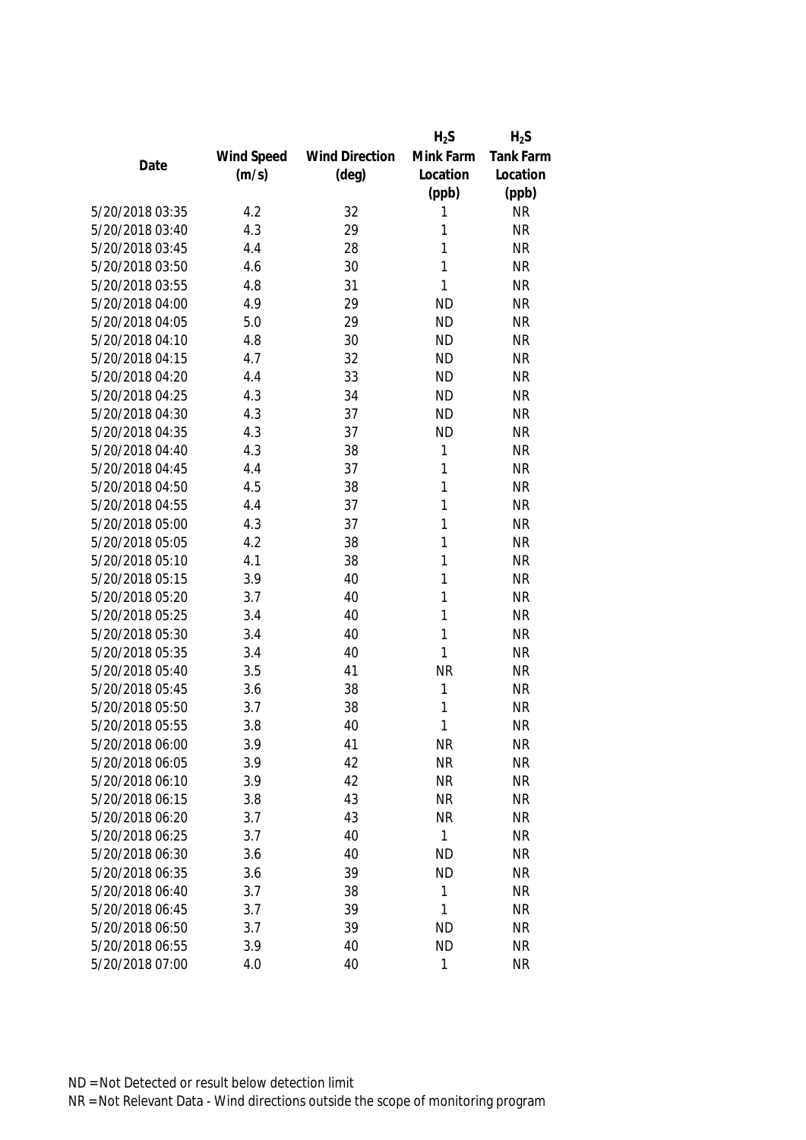|                 |            |                       | $H_2S$    | $H_2S$    |
|-----------------|------------|-----------------------|-----------|-----------|
|                 | Wind Speed | <b>Wind Direction</b> | Mink Farm | Tank Farm |
| Date            | (m/s)      | $(\text{deg})$        | Location  | Location  |
|                 |            |                       | (ppb)     | (ppb)     |
| 5/20/2018 03:35 | 4.2        | 32                    | 1         | <b>NR</b> |
| 5/20/2018 03:40 | 4.3        | 29                    | 1         | <b>NR</b> |
| 5/20/2018 03:45 | 4.4        | 28                    | 1         | <b>NR</b> |
| 5/20/2018 03:50 | 4.6        | 30                    | 1         | <b>NR</b> |
| 5/20/2018 03:55 | 4.8        | 31                    | 1         | <b>NR</b> |
| 5/20/2018 04:00 | 4.9        | 29                    | <b>ND</b> | <b>NR</b> |
| 5/20/2018 04:05 | 5.0        | 29                    | <b>ND</b> | <b>NR</b> |
| 5/20/2018 04:10 | 4.8        | 30                    | <b>ND</b> | <b>NR</b> |
| 5/20/2018 04:15 | 4.7        | 32                    | <b>ND</b> | <b>NR</b> |
| 5/20/2018 04:20 | 4.4        | 33                    | <b>ND</b> | <b>NR</b> |
| 5/20/2018 04:25 | 4.3        | 34                    | <b>ND</b> | <b>NR</b> |
| 5/20/2018 04:30 | 4.3        | 37                    | <b>ND</b> | <b>NR</b> |
| 5/20/2018 04:35 | 4.3        | 37                    | <b>ND</b> | <b>NR</b> |
| 5/20/2018 04:40 | 4.3        | 38                    | 1         | <b>NR</b> |
| 5/20/2018 04:45 | 4.4        | 37                    | 1         | <b>NR</b> |
| 5/20/2018 04:50 | 4.5        | 38                    | 1         | <b>NR</b> |
| 5/20/2018 04:55 | 4.4        | 37                    | 1         | <b>NR</b> |
| 5/20/2018 05:00 | 4.3        | 37                    | 1         | <b>NR</b> |
| 5/20/2018 05:05 | 4.2        | 38                    | 1         | <b>NR</b> |
| 5/20/2018 05:10 | 4.1        | 38                    | 1         | <b>NR</b> |
| 5/20/2018 05:15 | 3.9        | 40                    | 1         | <b>NR</b> |
| 5/20/2018 05:20 | 3.7        | 40                    | 1         | <b>NR</b> |
| 5/20/2018 05:25 | 3.4        | 40                    | 1         | <b>NR</b> |
| 5/20/2018 05:30 | 3.4        | 40                    | 1         | <b>NR</b> |
| 5/20/2018 05:35 | 3.4        | 40                    | 1         | <b>NR</b> |
| 5/20/2018 05:40 | 3.5        | 41                    | <b>NR</b> | <b>NR</b> |
| 5/20/2018 05:45 | 3.6        | 38                    | 1         | <b>NR</b> |
| 5/20/2018 05:50 | 3.7        | 38                    | 1         | <b>NR</b> |
| 5/20/2018 05:55 | 3.8        | 40                    | 1         | <b>NR</b> |
| 5/20/2018 06:00 | 3.9        | 41                    | NR        | <b>NR</b> |
| 5/20/2018 06:05 | 3.9        | 42                    | <b>NR</b> | <b>NR</b> |
| 5/20/2018 06:10 | 3.9        | 42                    | <b>NR</b> | <b>NR</b> |
| 5/20/2018 06:15 | 3.8        | 43                    | <b>NR</b> | <b>NR</b> |
| 5/20/2018 06:20 | 3.7        | 43                    | <b>NR</b> | <b>NR</b> |
| 5/20/2018 06:25 | 3.7        | 40                    | 1         | <b>NR</b> |
| 5/20/2018 06:30 | 3.6        | 40                    | <b>ND</b> | <b>NR</b> |
| 5/20/2018 06:35 | 3.6        | 39                    | <b>ND</b> | <b>NR</b> |
| 5/20/2018 06:40 | 3.7        | 38                    | 1         | <b>NR</b> |
| 5/20/2018 06:45 | 3.7        | 39                    | 1         | <b>NR</b> |
| 5/20/2018 06:50 | 3.7        | 39                    | <b>ND</b> | <b>NR</b> |
| 5/20/2018 06:55 | 3.9        | 40                    | <b>ND</b> | <b>NR</b> |
| 5/20/2018 07:00 | 4.0        | 40                    | 1         | <b>NR</b> |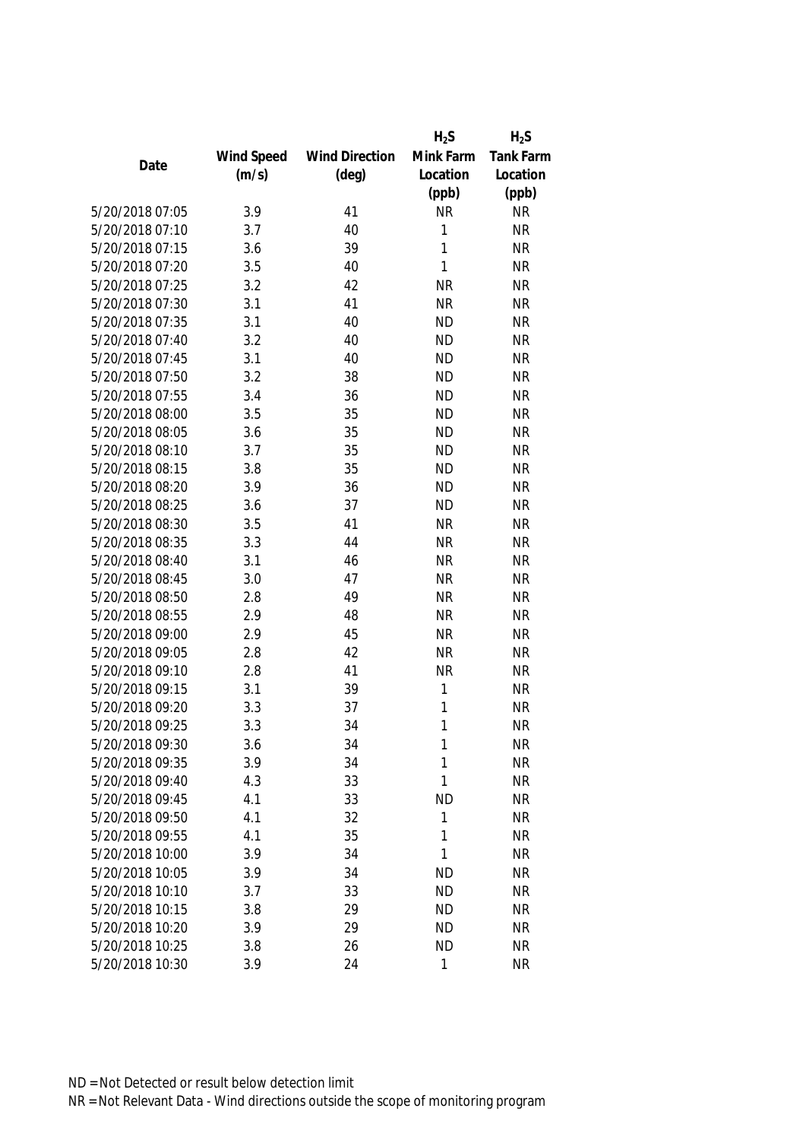|                 |            |                       | $H_2S$       | $H_2S$           |
|-----------------|------------|-----------------------|--------------|------------------|
|                 | Wind Speed | <b>Wind Direction</b> | Mink Farm    | <b>Tank Farm</b> |
| Date            | (m/s)      | $(\text{deg})$        | Location     | Location         |
|                 |            |                       | (ppb)        | (ppb)            |
| 5/20/2018 07:05 | 3.9        | 41                    | <b>NR</b>    | <b>NR</b>        |
| 5/20/2018 07:10 | 3.7        | 40                    | 1            | <b>NR</b>        |
| 5/20/2018 07:15 | 3.6        | 39                    | 1            | <b>NR</b>        |
| 5/20/2018 07:20 | 3.5        | 40                    | 1            | <b>NR</b>        |
| 5/20/2018 07:25 | 3.2        | 42                    | <b>NR</b>    | <b>NR</b>        |
| 5/20/2018 07:30 | 3.1        | 41                    | <b>NR</b>    | <b>NR</b>        |
| 5/20/2018 07:35 | 3.1        | 40                    | <b>ND</b>    | <b>NR</b>        |
| 5/20/2018 07:40 | 3.2        | 40                    | <b>ND</b>    | <b>NR</b>        |
| 5/20/2018 07:45 | 3.1        | 40                    | <b>ND</b>    | <b>NR</b>        |
| 5/20/2018 07:50 | 3.2        | 38                    | <b>ND</b>    | <b>NR</b>        |
| 5/20/2018 07:55 | 3.4        | 36                    | <b>ND</b>    | <b>NR</b>        |
| 5/20/2018 08:00 | 3.5        | 35                    | <b>ND</b>    | <b>NR</b>        |
| 5/20/2018 08:05 | 3.6        | 35                    | <b>ND</b>    | <b>NR</b>        |
| 5/20/2018 08:10 | 3.7        | 35                    | <b>ND</b>    | <b>NR</b>        |
| 5/20/2018 08:15 | 3.8        | 35                    | <b>ND</b>    | <b>NR</b>        |
| 5/20/2018 08:20 | 3.9        | 36                    | <b>ND</b>    | <b>NR</b>        |
| 5/20/2018 08:25 | 3.6        | 37                    | <b>ND</b>    | <b>NR</b>        |
| 5/20/2018 08:30 | 3.5        | 41                    | <b>NR</b>    | <b>NR</b>        |
| 5/20/2018 08:35 | 3.3        | 44                    | <b>NR</b>    | <b>NR</b>        |
| 5/20/2018 08:40 | 3.1        | 46                    | <b>NR</b>    | <b>NR</b>        |
| 5/20/2018 08:45 | 3.0        | 47                    | <b>NR</b>    | <b>NR</b>        |
| 5/20/2018 08:50 | 2.8        | 49                    | <b>NR</b>    | <b>NR</b>        |
| 5/20/2018 08:55 | 2.9        | 48                    | <b>NR</b>    | <b>NR</b>        |
| 5/20/2018 09:00 | 2.9        | 45                    | <b>NR</b>    | <b>NR</b>        |
| 5/20/2018 09:05 | 2.8        | 42                    | <b>NR</b>    | <b>NR</b>        |
| 5/20/2018 09:10 | 2.8        | 41                    | <b>NR</b>    | <b>NR</b>        |
| 5/20/2018 09:15 | 3.1        | 39                    | 1            | <b>NR</b>        |
| 5/20/2018 09:20 | 3.3        | 37                    | 1            | <b>NR</b>        |
| 5/20/2018 09:25 | 3.3        | 34                    | 1            | <b>NR</b>        |
| 5/20/2018 09:30 | 3.6        | 34                    | 1            | <b>NR</b>        |
| 5/20/2018 09:35 | 3.9        | 34                    | 1            | <b>NR</b>        |
| 5/20/2018 09:40 | 4.3        | 33                    | 1            | <b>NR</b>        |
| 5/20/2018 09:45 | 4.1        | 33                    | <b>ND</b>    | <b>NR</b>        |
| 5/20/2018 09:50 | 4.1        | 32                    | 1            | <b>NR</b>        |
| 5/20/2018 09:55 | 4.1        | 35                    | 1            | <b>NR</b>        |
| 5/20/2018 10:00 | 3.9        | 34                    | 1            | <b>NR</b>        |
| 5/20/2018 10:05 | 3.9        | 34                    | <b>ND</b>    | <b>NR</b>        |
| 5/20/2018 10:10 | 3.7        | 33                    | <b>ND</b>    | <b>NR</b>        |
| 5/20/2018 10:15 | 3.8        | 29                    | <b>ND</b>    | <b>NR</b>        |
| 5/20/2018 10:20 | 3.9        | 29                    | <b>ND</b>    | <b>NR</b>        |
| 5/20/2018 10:25 | 3.8        | 26                    | <b>ND</b>    | <b>NR</b>        |
| 5/20/2018 10:30 | 3.9        | 24                    | $\mathbf{1}$ | <b>NR</b>        |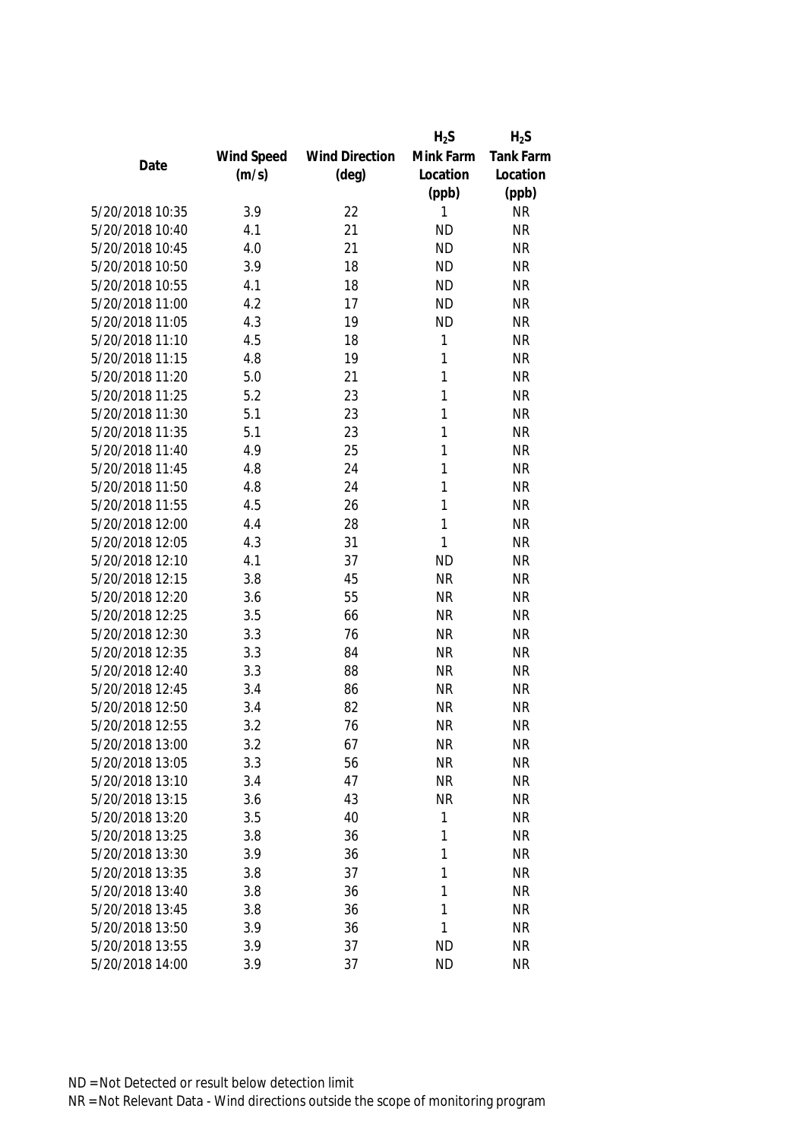|                 |            |                       | $H_2S$    | $H_2S$           |
|-----------------|------------|-----------------------|-----------|------------------|
|                 | Wind Speed | <b>Wind Direction</b> | Mink Farm | <b>Tank Farm</b> |
| Date            | (m/s)      | $(\text{deg})$        | Location  | Location         |
|                 |            |                       | (ppb)     | (ppb)            |
| 5/20/2018 10:35 | 3.9        | 22                    | 1         | <b>NR</b>        |
| 5/20/2018 10:40 | 4.1        | 21                    | <b>ND</b> | <b>NR</b>        |
| 5/20/2018 10:45 | 4.0        | 21                    | <b>ND</b> | <b>NR</b>        |
| 5/20/2018 10:50 | 3.9        | 18                    | <b>ND</b> | <b>NR</b>        |
| 5/20/2018 10:55 | 4.1        | 18                    | <b>ND</b> | <b>NR</b>        |
| 5/20/2018 11:00 | 4.2        | 17                    | <b>ND</b> | <b>NR</b>        |
| 5/20/2018 11:05 | 4.3        | 19                    | <b>ND</b> | <b>NR</b>        |
| 5/20/2018 11:10 | 4.5        | 18                    | 1         | <b>NR</b>        |
| 5/20/2018 11:15 | 4.8        | 19                    | 1         | <b>NR</b>        |
| 5/20/2018 11:20 | 5.0        | 21                    | 1         | <b>NR</b>        |
| 5/20/2018 11:25 | 5.2        | 23                    | 1         | <b>NR</b>        |
| 5/20/2018 11:30 | 5.1        | 23                    | 1         | <b>NR</b>        |
| 5/20/2018 11:35 | 5.1        | 23                    | 1         | <b>NR</b>        |
| 5/20/2018 11:40 | 4.9        | 25                    | 1         | <b>NR</b>        |
| 5/20/2018 11:45 | 4.8        | 24                    | 1         | <b>NR</b>        |
| 5/20/2018 11:50 | 4.8        | 24                    | 1         | <b>NR</b>        |
| 5/20/2018 11:55 | 4.5        | 26                    | 1         | <b>NR</b>        |
| 5/20/2018 12:00 | 4.4        | 28                    | 1         | <b>NR</b>        |
| 5/20/2018 12:05 | 4.3        | 31                    | 1         | <b>NR</b>        |
| 5/20/2018 12:10 | 4.1        | 37                    | <b>ND</b> | <b>NR</b>        |
| 5/20/2018 12:15 | 3.8        | 45                    | <b>NR</b> | <b>NR</b>        |
| 5/20/2018 12:20 | 3.6        | 55                    | <b>NR</b> | <b>NR</b>        |
| 5/20/2018 12:25 | 3.5        | 66                    | <b>NR</b> | <b>NR</b>        |
| 5/20/2018 12:30 | 3.3        | 76                    | <b>NR</b> | <b>NR</b>        |
| 5/20/2018 12:35 | 3.3        | 84                    | <b>NR</b> | <b>NR</b>        |
| 5/20/2018 12:40 | 3.3        | 88                    | <b>NR</b> | <b>NR</b>        |
| 5/20/2018 12:45 | 3.4        | 86                    | <b>NR</b> | <b>NR</b>        |
| 5/20/2018 12:50 | 3.4        | 82                    | <b>NR</b> | <b>NR</b>        |
| 5/20/2018 12:55 | 3.2        | 76                    | <b>NR</b> | <b>NR</b>        |
| 5/20/2018 13:00 | 3.2        | 67                    | <b>NR</b> | <b>NR</b>        |
| 5/20/2018 13:05 | 3.3        | 56                    | <b>NR</b> | <b>NR</b>        |
| 5/20/2018 13:10 | 3.4        | 47                    | <b>NR</b> | <b>NR</b>        |
| 5/20/2018 13:15 | 3.6        | 43                    | <b>NR</b> | <b>NR</b>        |
| 5/20/2018 13:20 | 3.5        | 40                    | 1         | <b>NR</b>        |
| 5/20/2018 13:25 | 3.8        | 36                    | 1         | <b>NR</b>        |
| 5/20/2018 13:30 | 3.9        | 36                    | 1         | <b>NR</b>        |
| 5/20/2018 13:35 | 3.8        | 37                    | 1         | <b>NR</b>        |
| 5/20/2018 13:40 | 3.8        | 36                    | 1         | <b>NR</b>        |
| 5/20/2018 13:45 | 3.8        | 36                    | 1         | <b>NR</b>        |
| 5/20/2018 13:50 | 3.9        | 36                    | 1         | <b>NR</b>        |
| 5/20/2018 13:55 | 3.9        | 37                    | <b>ND</b> | <b>NR</b>        |
| 5/20/2018 14:00 | 3.9        | 37                    | <b>ND</b> | <b>NR</b>        |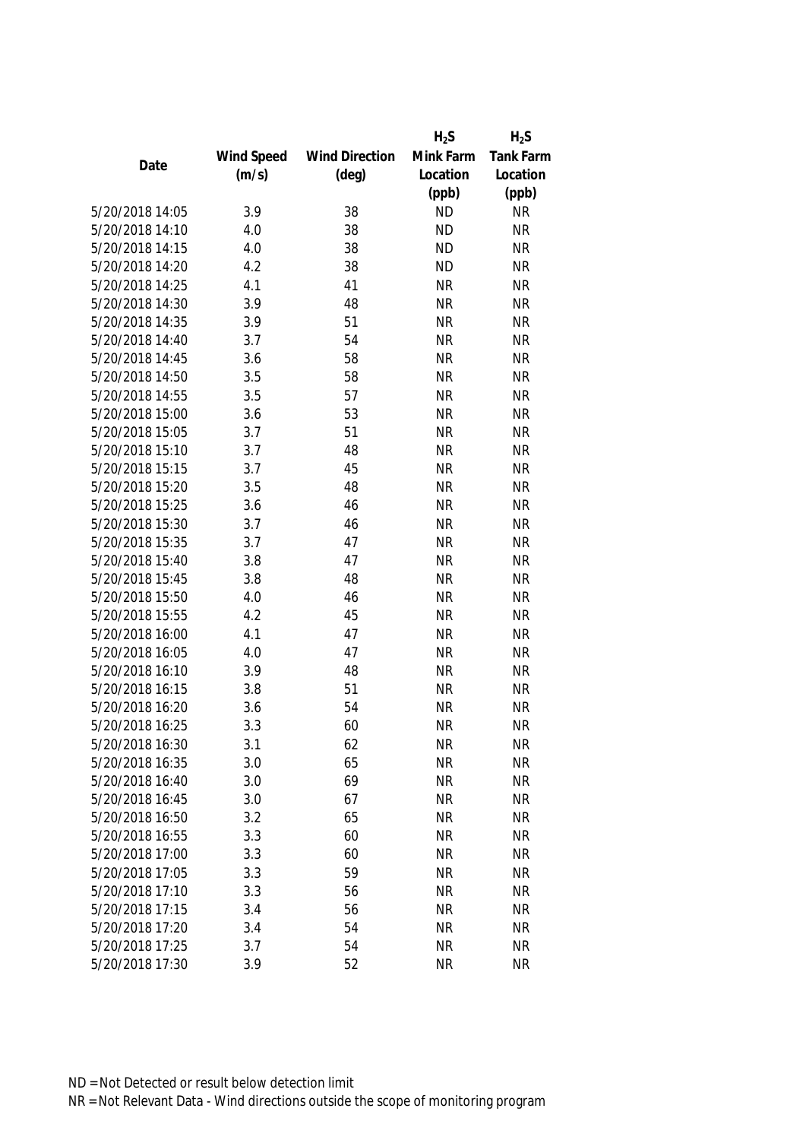|                 |            |                       | $H_2S$    | $H_2S$           |
|-----------------|------------|-----------------------|-----------|------------------|
|                 | Wind Speed | <b>Wind Direction</b> | Mink Farm | <b>Tank Farm</b> |
| Date            | (m/s)      | $(\text{deg})$        | Location  | Location         |
|                 |            |                       | (ppb)     | (ppb)            |
| 5/20/2018 14:05 | 3.9        | 38                    | <b>ND</b> | <b>NR</b>        |
| 5/20/2018 14:10 | 4.0        | 38                    | <b>ND</b> | <b>NR</b>        |
| 5/20/2018 14:15 | 4.0        | 38                    | <b>ND</b> | <b>NR</b>        |
| 5/20/2018 14:20 | 4.2        | 38                    | <b>ND</b> | <b>NR</b>        |
| 5/20/2018 14:25 | 4.1        | 41                    | <b>NR</b> | <b>NR</b>        |
| 5/20/2018 14:30 | 3.9        | 48                    | <b>NR</b> | <b>NR</b>        |
| 5/20/2018 14:35 | 3.9        | 51                    | <b>NR</b> | <b>NR</b>        |
| 5/20/2018 14:40 | 3.7        | 54                    | <b>NR</b> | <b>NR</b>        |
| 5/20/2018 14:45 | 3.6        | 58                    | <b>NR</b> | <b>NR</b>        |
| 5/20/2018 14:50 | 3.5        | 58                    | <b>NR</b> | <b>NR</b>        |
| 5/20/2018 14:55 | 3.5        | 57                    | <b>NR</b> | <b>NR</b>        |
| 5/20/2018 15:00 | 3.6        | 53                    | <b>NR</b> | <b>NR</b>        |
| 5/20/2018 15:05 | 3.7        | 51                    | <b>NR</b> | <b>NR</b>        |
| 5/20/2018 15:10 | 3.7        | 48                    | <b>NR</b> | <b>NR</b>        |
| 5/20/2018 15:15 | 3.7        | 45                    | <b>NR</b> | <b>NR</b>        |
| 5/20/2018 15:20 | 3.5        | 48                    | <b>NR</b> | <b>NR</b>        |
| 5/20/2018 15:25 | 3.6        | 46                    | <b>NR</b> | <b>NR</b>        |
| 5/20/2018 15:30 | 3.7        | 46                    | <b>NR</b> | <b>NR</b>        |
| 5/20/2018 15:35 | 3.7        | 47                    | <b>NR</b> | <b>NR</b>        |
| 5/20/2018 15:40 | 3.8        | 47                    | <b>NR</b> | <b>NR</b>        |
| 5/20/2018 15:45 | 3.8        | 48                    | <b>NR</b> | <b>NR</b>        |
| 5/20/2018 15:50 | 4.0        | 46                    | <b>NR</b> | <b>NR</b>        |
| 5/20/2018 15:55 | 4.2        | 45                    | <b>NR</b> | <b>NR</b>        |
| 5/20/2018 16:00 | 4.1        | 47                    | <b>NR</b> | <b>NR</b>        |
| 5/20/2018 16:05 | 4.0        | 47                    | <b>NR</b> | <b>NR</b>        |
| 5/20/2018 16:10 | 3.9        | 48                    | <b>NR</b> | <b>NR</b>        |
| 5/20/2018 16:15 | 3.8        | 51                    | <b>NR</b> | <b>NR</b>        |
| 5/20/2018 16:20 | 3.6        | 54                    | <b>NR</b> | <b>NR</b>        |
| 5/20/2018 16:25 | 3.3        | 60                    | <b>NR</b> | <b>NR</b>        |
| 5/20/2018 16:30 | 3.1        | 62                    | <b>NR</b> | <b>NR</b>        |
| 5/20/2018 16:35 | 3.0        | 65                    | <b>NR</b> | <b>NR</b>        |
| 5/20/2018 16:40 | 3.0        | 69                    | <b>NR</b> | <b>NR</b>        |
| 5/20/2018 16:45 | 3.0        | 67                    | <b>NR</b> | <b>NR</b>        |
| 5/20/2018 16:50 | 3.2        | 65                    | <b>NR</b> | <b>NR</b>        |
| 5/20/2018 16:55 | 3.3        | 60                    | <b>NR</b> | <b>NR</b>        |
| 5/20/2018 17:00 | 3.3        | 60                    | <b>NR</b> | <b>NR</b>        |
| 5/20/2018 17:05 | 3.3        | 59                    | <b>NR</b> | <b>NR</b>        |
| 5/20/2018 17:10 | 3.3        | 56                    | <b>NR</b> | <b>NR</b>        |
| 5/20/2018 17:15 | 3.4        | 56                    | <b>NR</b> | <b>NR</b>        |
| 5/20/2018 17:20 | 3.4        | 54                    | <b>NR</b> | <b>NR</b>        |
| 5/20/2018 17:25 | 3.7        | 54                    | <b>NR</b> | <b>NR</b>        |
| 5/20/2018 17:30 | 3.9        | 52                    | <b>NR</b> | <b>NR</b>        |
|                 |            |                       |           |                  |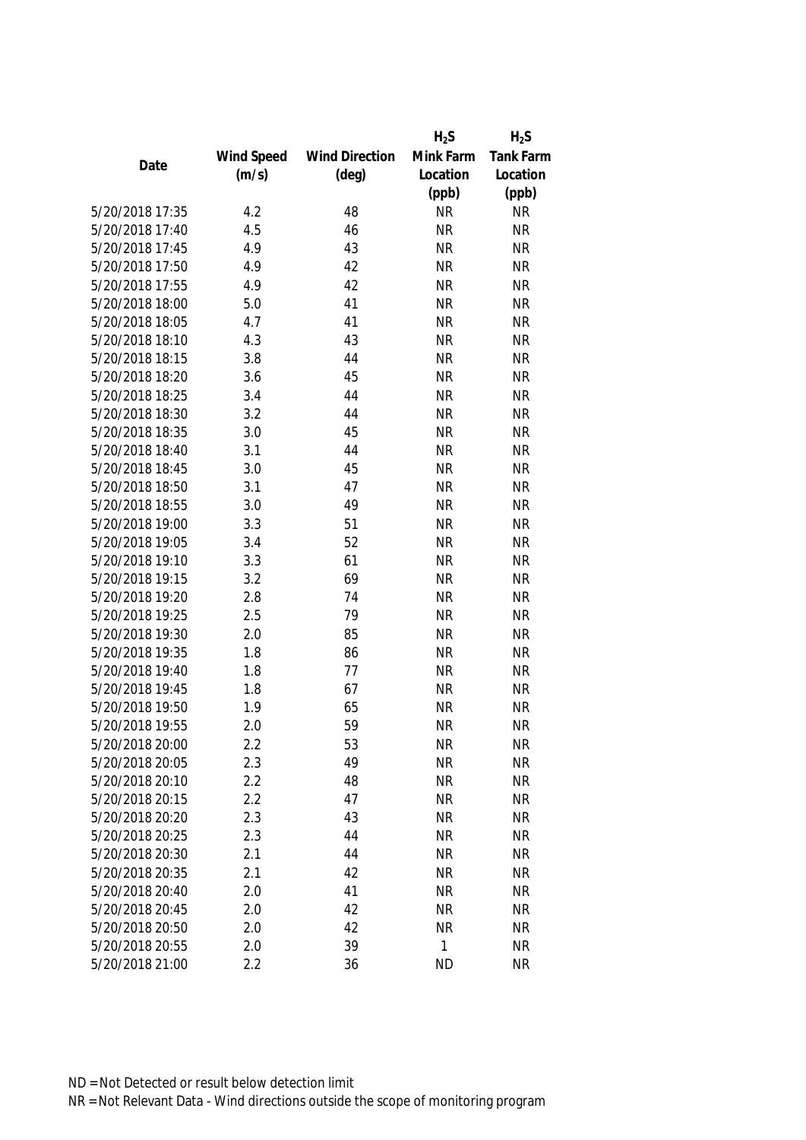|                 |            |                       | $H_2S$       | $H_2S$           |
|-----------------|------------|-----------------------|--------------|------------------|
|                 | Wind Speed | <b>Wind Direction</b> | Mink Farm    | <b>Tank Farm</b> |
| Date            | (m/s)      | $(\text{deg})$        | Location     | Location         |
|                 |            |                       | (ppb)        | (ppb)            |
| 5/20/2018 17:35 | 4.2        | 48                    | <b>NR</b>    | <b>NR</b>        |
| 5/20/2018 17:40 | 4.5        | 46                    | <b>NR</b>    | <b>NR</b>        |
| 5/20/2018 17:45 | 4.9        | 43                    | <b>NR</b>    | <b>NR</b>        |
| 5/20/2018 17:50 | 4.9        | 42                    | <b>NR</b>    | <b>NR</b>        |
| 5/20/2018 17:55 | 4.9        | 42                    | <b>NR</b>    | <b>NR</b>        |
| 5/20/2018 18:00 | 5.0        | 41                    | <b>NR</b>    | <b>NR</b>        |
| 5/20/2018 18:05 | 4.7        | 41                    | <b>NR</b>    | <b>NR</b>        |
| 5/20/2018 18:10 | 4.3        | 43                    | <b>NR</b>    | <b>NR</b>        |
| 5/20/2018 18:15 | 3.8        | 44                    | <b>NR</b>    | <b>NR</b>        |
| 5/20/2018 18:20 | 3.6        | 45                    | <b>NR</b>    | <b>NR</b>        |
| 5/20/2018 18:25 | 3.4        | 44                    | <b>NR</b>    | <b>NR</b>        |
| 5/20/2018 18:30 | 3.2        | 44                    | <b>NR</b>    | <b>NR</b>        |
| 5/20/2018 18:35 | 3.0        | 45                    | <b>NR</b>    | <b>NR</b>        |
| 5/20/2018 18:40 | 3.1        | 44                    | <b>NR</b>    | <b>NR</b>        |
| 5/20/2018 18:45 | 3.0        | 45                    | <b>NR</b>    | <b>NR</b>        |
| 5/20/2018 18:50 | 3.1        | 47                    | <b>NR</b>    | <b>NR</b>        |
| 5/20/2018 18:55 | 3.0        | 49                    | <b>NR</b>    | <b>NR</b>        |
| 5/20/2018 19:00 | 3.3        | 51                    | <b>NR</b>    | <b>NR</b>        |
| 5/20/2018 19:05 | 3.4        | 52                    | <b>NR</b>    | <b>NR</b>        |
| 5/20/2018 19:10 | 3.3        | 61                    | <b>NR</b>    | <b>NR</b>        |
| 5/20/2018 19:15 | 3.2        | 69                    | <b>NR</b>    | <b>NR</b>        |
| 5/20/2018 19:20 | 2.8        | 74                    | <b>NR</b>    | <b>NR</b>        |
| 5/20/2018 19:25 | 2.5        | 79                    | <b>NR</b>    | <b>NR</b>        |
| 5/20/2018 19:30 | 2.0        | 85                    | <b>NR</b>    | <b>NR</b>        |
| 5/20/2018 19:35 | 1.8        | 86                    | <b>NR</b>    | <b>NR</b>        |
| 5/20/2018 19:40 | 1.8        | 77                    | <b>NR</b>    | <b>NR</b>        |
| 5/20/2018 19:45 | 1.8        | 67                    | <b>NR</b>    | <b>NR</b>        |
| 5/20/2018 19:50 | 1.9        | 65                    | <b>NR</b>    | <b>NR</b>        |
| 5/20/2018 19:55 | 2.0        | 59                    | <b>NR</b>    | <b>NR</b>        |
| 5/20/2018 20:00 | 2.2        | 53                    | <b>NR</b>    | ΝR               |
| 5/20/2018 20:05 | 2.3        | 49                    | <b>NR</b>    | <b>NR</b>        |
| 5/20/2018 20:10 | 2.2        | 48                    | <b>NR</b>    | <b>NR</b>        |
| 5/20/2018 20:15 | 2.2        | 47                    | <b>NR</b>    | <b>NR</b>        |
| 5/20/2018 20:20 | 2.3        | 43                    | NR           | <b>NR</b>        |
| 5/20/2018 20:25 | 2.3        | 44                    | <b>NR</b>    | <b>NR</b>        |
| 5/20/2018 20:30 | 2.1        | 44                    | <b>NR</b>    | <b>NR</b>        |
| 5/20/2018 20:35 | 2.1        | 42                    | <b>NR</b>    | <b>NR</b>        |
| 5/20/2018 20:40 | 2.0        | 41                    | <b>NR</b>    | <b>NR</b>        |
| 5/20/2018 20:45 | 2.0        | 42                    | <b>NR</b>    | <b>NR</b>        |
| 5/20/2018 20:50 | 2.0        | 42                    | <b>NR</b>    | <b>NR</b>        |
| 5/20/2018 20:55 | 2.0        | 39                    | $\mathbf{1}$ | <b>NR</b>        |
| 5/20/2018 21:00 | 2.2        | 36                    | <b>ND</b>    | <b>NR</b>        |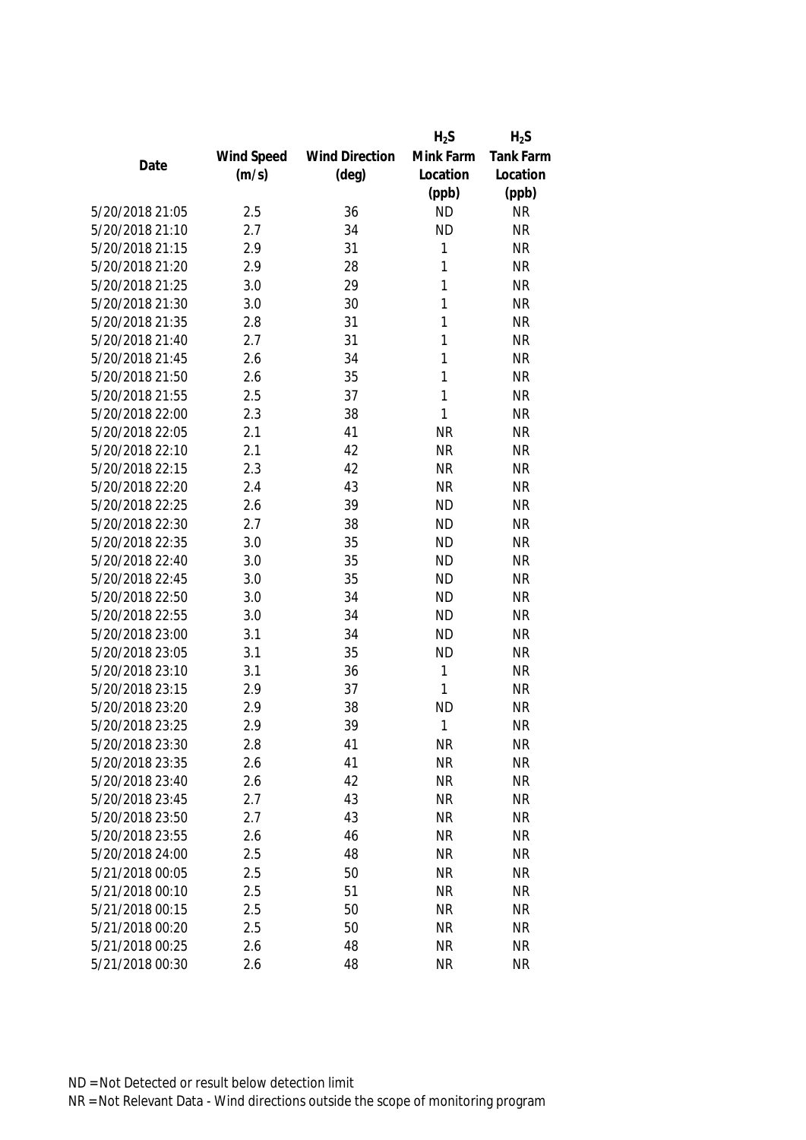|                 |            |                       | $H_2S$       | $H_2S$           |
|-----------------|------------|-----------------------|--------------|------------------|
|                 | Wind Speed | <b>Wind Direction</b> | Mink Farm    | <b>Tank Farm</b> |
| Date            | (m/s)      | $(\text{deg})$        | Location     | Location         |
|                 |            |                       | (ppb)        | (ppb)            |
| 5/20/2018 21:05 | 2.5        | 36                    | <b>ND</b>    | <b>NR</b>        |
| 5/20/2018 21:10 | 2.7        | 34                    | <b>ND</b>    | <b>NR</b>        |
| 5/20/2018 21:15 | 2.9        | 31                    | 1            | <b>NR</b>        |
| 5/20/2018 21:20 | 2.9        | 28                    | 1            | <b>NR</b>        |
| 5/20/2018 21:25 | 3.0        | 29                    | 1            | <b>NR</b>        |
| 5/20/2018 21:30 | 3.0        | 30                    | 1            | <b>NR</b>        |
| 5/20/2018 21:35 | 2.8        | 31                    | 1            | <b>NR</b>        |
| 5/20/2018 21:40 | 2.7        | 31                    | 1            | <b>NR</b>        |
| 5/20/2018 21:45 | 2.6        | 34                    | 1            | <b>NR</b>        |
| 5/20/2018 21:50 | 2.6        | 35                    | 1            | <b>NR</b>        |
| 5/20/2018 21:55 | 2.5        | 37                    | 1            | <b>NR</b>        |
| 5/20/2018 22:00 | 2.3        | 38                    | 1            | <b>NR</b>        |
| 5/20/2018 22:05 | 2.1        | 41                    | <b>NR</b>    | <b>NR</b>        |
| 5/20/2018 22:10 | 2.1        | 42                    | <b>NR</b>    | <b>NR</b>        |
| 5/20/2018 22:15 | 2.3        | 42                    | <b>NR</b>    | <b>NR</b>        |
| 5/20/2018 22:20 | 2.4        | 43                    | <b>NR</b>    | <b>NR</b>        |
| 5/20/2018 22:25 | 2.6        | 39                    | <b>ND</b>    | <b>NR</b>        |
| 5/20/2018 22:30 | 2.7        | 38                    | <b>ND</b>    | <b>NR</b>        |
| 5/20/2018 22:35 | 3.0        | 35                    | <b>ND</b>    | <b>NR</b>        |
| 5/20/2018 22:40 | 3.0        | 35                    | <b>ND</b>    | <b>NR</b>        |
| 5/20/2018 22:45 | 3.0        | 35                    | <b>ND</b>    | <b>NR</b>        |
| 5/20/2018 22:50 | 3.0        | 34                    | <b>ND</b>    | <b>NR</b>        |
| 5/20/2018 22:55 | 3.0        | 34                    | <b>ND</b>    | <b>NR</b>        |
| 5/20/2018 23:00 | 3.1        | 34                    | <b>ND</b>    | <b>NR</b>        |
| 5/20/2018 23:05 | 3.1        | 35                    | <b>ND</b>    | <b>NR</b>        |
| 5/20/2018 23:10 | 3.1        | 36                    | $\mathbf{1}$ | <b>NR</b>        |
| 5/20/2018 23:15 | 2.9        | 37                    | 1            | <b>NR</b>        |
| 5/20/2018 23:20 | 2.9        | 38                    | <b>ND</b>    | <b>NR</b>        |
| 5/20/2018 23:25 | 2.9        | 39                    | 1            | <b>NR</b>        |
| 5/20/2018 23:30 | 2.8        | 41                    | <b>NR</b>    | <b>NR</b>        |
| 5/20/2018 23:35 | 2.6        | 41                    | <b>NR</b>    | <b>NR</b>        |
| 5/20/2018 23:40 | 2.6        | 42                    | <b>NR</b>    | <b>NR</b>        |
| 5/20/2018 23:45 | 2.7        | 43                    | <b>NR</b>    | <b>NR</b>        |
| 5/20/2018 23:50 | 2.7        | 43                    | <b>NR</b>    | <b>NR</b>        |
| 5/20/2018 23:55 | 2.6        | 46                    | <b>NR</b>    | <b>NR</b>        |
| 5/20/2018 24:00 | 2.5        | 48                    | <b>NR</b>    | <b>NR</b>        |
| 5/21/2018 00:05 | 2.5        | 50                    | <b>NR</b>    | <b>NR</b>        |
| 5/21/2018 00:10 | 2.5        | 51                    | <b>NR</b>    | <b>NR</b>        |
| 5/21/2018 00:15 | 2.5        | 50                    | <b>NR</b>    | <b>NR</b>        |
| 5/21/2018 00:20 | 2.5        | 50                    | <b>NR</b>    | <b>NR</b>        |
| 5/21/2018 00:25 | 2.6        | 48                    | <b>NR</b>    | <b>NR</b>        |
| 5/21/2018 00:30 | 2.6        | 48                    | <b>NR</b>    | <b>NR</b>        |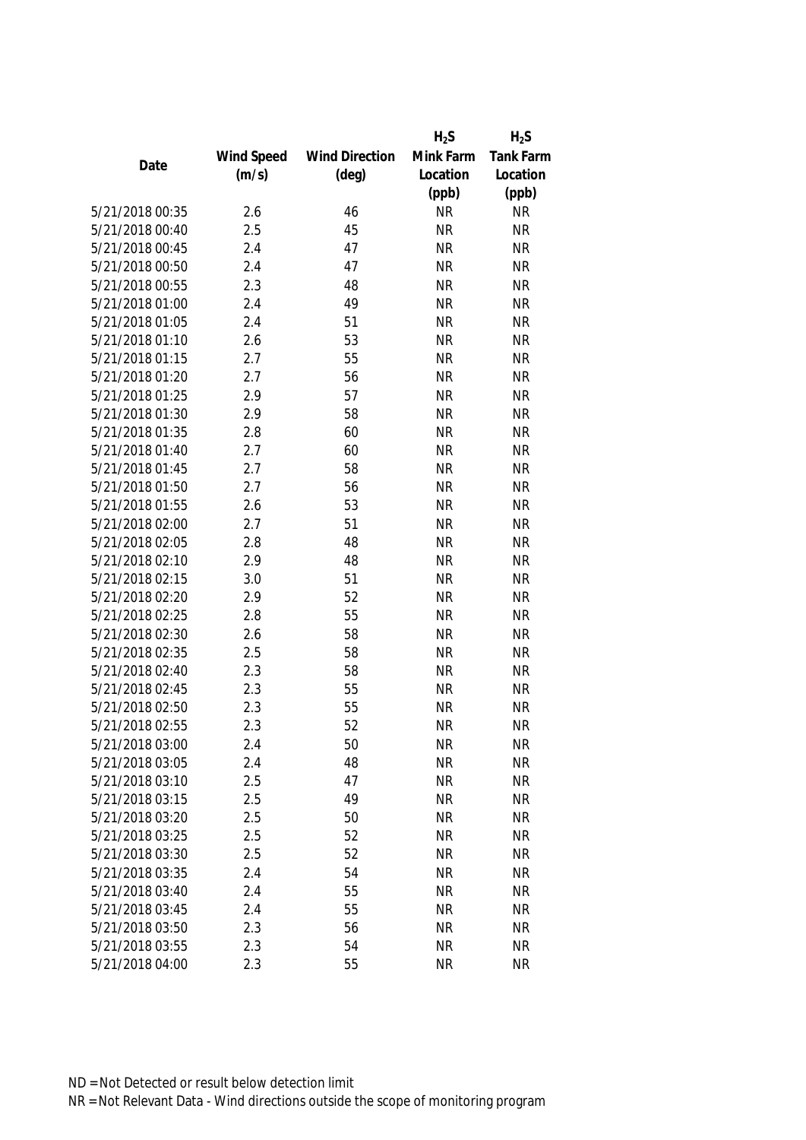|                 |            |                       | $H_2S$    | $H_2S$           |
|-----------------|------------|-----------------------|-----------|------------------|
|                 | Wind Speed | <b>Wind Direction</b> | Mink Farm | <b>Tank Farm</b> |
| Date            | (m/s)      | $(\text{deg})$        | Location  | Location         |
|                 |            |                       | (ppb)     | (ppb)            |
| 5/21/2018 00:35 | 2.6        | 46                    | <b>NR</b> | <b>NR</b>        |
| 5/21/2018 00:40 | 2.5        | 45                    | <b>NR</b> | <b>NR</b>        |
| 5/21/2018 00:45 | 2.4        | 47                    | <b>NR</b> | <b>NR</b>        |
| 5/21/2018 00:50 | 2.4        | 47                    | <b>NR</b> | <b>NR</b>        |
| 5/21/2018 00:55 | 2.3        | 48                    | <b>NR</b> | <b>NR</b>        |
| 5/21/2018 01:00 | 2.4        | 49                    | <b>NR</b> | <b>NR</b>        |
| 5/21/2018 01:05 | 2.4        | 51                    | <b>NR</b> | <b>NR</b>        |
| 5/21/2018 01:10 | 2.6        | 53                    | <b>NR</b> | <b>NR</b>        |
| 5/21/2018 01:15 | 2.7        | 55                    | <b>NR</b> | <b>NR</b>        |
| 5/21/2018 01:20 | 2.7        | 56                    | <b>NR</b> | <b>NR</b>        |
| 5/21/2018 01:25 | 2.9        | 57                    | <b>NR</b> | <b>NR</b>        |
| 5/21/2018 01:30 | 2.9        | 58                    | <b>NR</b> | <b>NR</b>        |
| 5/21/2018 01:35 | 2.8        | 60                    | <b>NR</b> | <b>NR</b>        |
| 5/21/2018 01:40 | 2.7        | 60                    | <b>NR</b> | <b>NR</b>        |
| 5/21/2018 01:45 | 2.7        | 58                    | <b>NR</b> | <b>NR</b>        |
| 5/21/2018 01:50 | 2.7        | 56                    | <b>NR</b> | <b>NR</b>        |
| 5/21/2018 01:55 | 2.6        | 53                    | <b>NR</b> | <b>NR</b>        |
| 5/21/2018 02:00 | 2.7        | 51                    | <b>NR</b> | <b>NR</b>        |
| 5/21/2018 02:05 | 2.8        | 48                    | <b>NR</b> | <b>NR</b>        |
| 5/21/2018 02:10 | 2.9        | 48                    | <b>NR</b> | <b>NR</b>        |
| 5/21/2018 02:15 | 3.0        | 51                    | <b>NR</b> | <b>NR</b>        |
| 5/21/2018 02:20 | 2.9        | 52                    | <b>NR</b> | <b>NR</b>        |
| 5/21/2018 02:25 | 2.8        | 55                    | <b>NR</b> | <b>NR</b>        |
| 5/21/2018 02:30 | 2.6        | 58                    | <b>NR</b> | <b>NR</b>        |
| 5/21/2018 02:35 | 2.5        | 58                    | <b>NR</b> | <b>NR</b>        |
| 5/21/2018 02:40 | 2.3        | 58                    | <b>NR</b> | <b>NR</b>        |
| 5/21/2018 02:45 | 2.3        | 55                    | <b>NR</b> | <b>NR</b>        |
| 5/21/2018 02:50 | 2.3        | 55                    | <b>NR</b> | <b>NR</b>        |
| 5/21/2018 02:55 | 2.3        | 52                    | <b>NR</b> | <b>NR</b>        |
| 5/21/2018 03:00 | 2.4        | 50                    | <b>NR</b> | ΝR               |
| 5/21/2018 03:05 | 2.4        | 48                    | <b>NR</b> | <b>NR</b>        |
| 5/21/2018 03:10 | 2.5        | 47                    | <b>NR</b> | <b>NR</b>        |
| 5/21/2018 03:15 | 2.5        | 49                    | <b>NR</b> | <b>NR</b>        |
| 5/21/2018 03:20 | 2.5        | 50                    | NR        | <b>NR</b>        |
| 5/21/2018 03:25 | 2.5        | 52                    | <b>NR</b> | <b>NR</b>        |
| 5/21/2018 03:30 | 2.5        | 52                    | <b>NR</b> | <b>NR</b>        |
| 5/21/2018 03:35 | 2.4        | 54                    | <b>NR</b> | <b>NR</b>        |
| 5/21/2018 03:40 | 2.4        | 55                    | <b>NR</b> | <b>NR</b>        |
| 5/21/2018 03:45 | 2.4        | 55                    | <b>NR</b> | <b>NR</b>        |
| 5/21/2018 03:50 | 2.3        | 56                    | <b>NR</b> | <b>NR</b>        |
| 5/21/2018 03:55 | 2.3        | 54                    | <b>NR</b> | <b>NR</b>        |
| 5/21/2018 04:00 | 2.3        | 55                    | <b>NR</b> | <b>NR</b>        |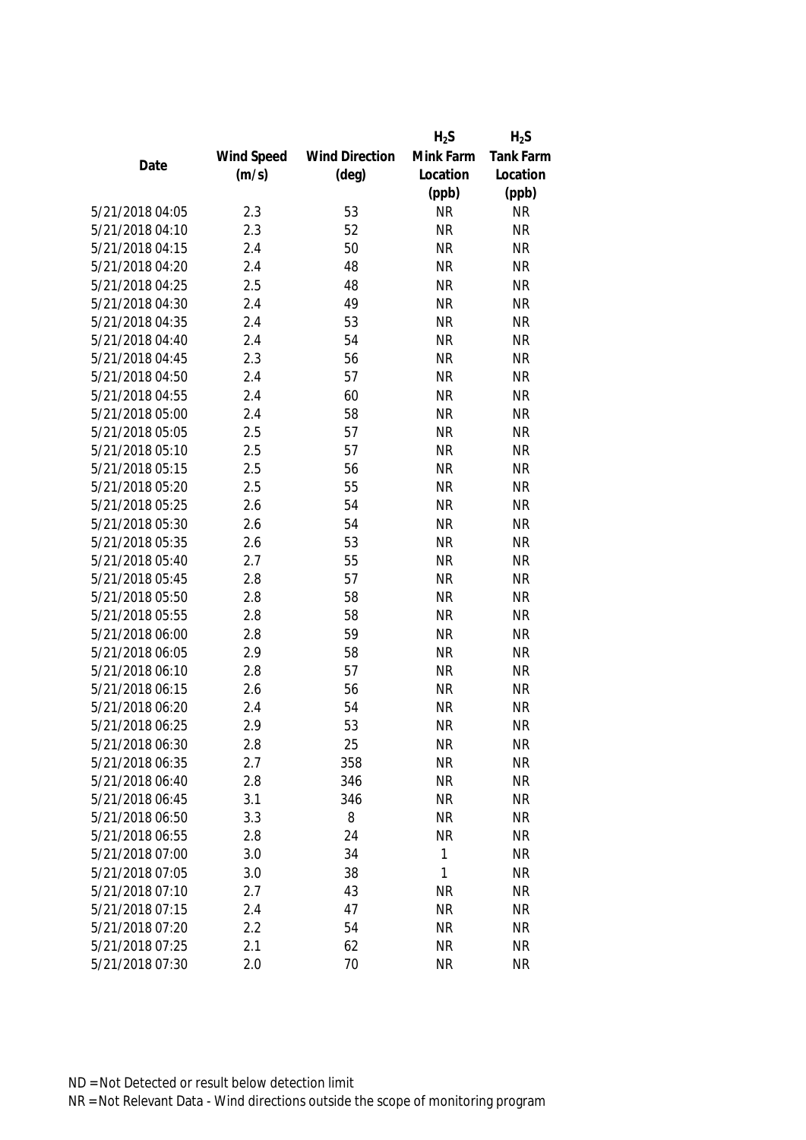|                 |            |                       | $H_2S$    | $H_2S$           |
|-----------------|------------|-----------------------|-----------|------------------|
|                 | Wind Speed | <b>Wind Direction</b> | Mink Farm | <b>Tank Farm</b> |
| Date            | (m/s)      | $(\text{deg})$        | Location  | Location         |
|                 |            |                       | (ppb)     | (ppb)            |
| 5/21/2018 04:05 | 2.3        | 53                    | <b>NR</b> | <b>NR</b>        |
| 5/21/2018 04:10 | 2.3        | 52                    | <b>NR</b> | <b>NR</b>        |
| 5/21/2018 04:15 | 2.4        | 50                    | <b>NR</b> | <b>NR</b>        |
| 5/21/2018 04:20 | 2.4        | 48                    | <b>NR</b> | <b>NR</b>        |
| 5/21/2018 04:25 | 2.5        | 48                    | <b>NR</b> | <b>NR</b>        |
| 5/21/2018 04:30 | 2.4        | 49                    | <b>NR</b> | <b>NR</b>        |
| 5/21/2018 04:35 | 2.4        | 53                    | <b>NR</b> | <b>NR</b>        |
| 5/21/2018 04:40 | 2.4        | 54                    | <b>NR</b> | <b>NR</b>        |
| 5/21/2018 04:45 | 2.3        | 56                    | <b>NR</b> | <b>NR</b>        |
| 5/21/2018 04:50 | 2.4        | 57                    | <b>NR</b> | <b>NR</b>        |
| 5/21/2018 04:55 | 2.4        | 60                    | <b>NR</b> | <b>NR</b>        |
| 5/21/2018 05:00 | 2.4        | 58                    | <b>NR</b> | <b>NR</b>        |
| 5/21/2018 05:05 | 2.5        | 57                    | <b>NR</b> | <b>NR</b>        |
| 5/21/2018 05:10 | 2.5        | 57                    | <b>NR</b> | <b>NR</b>        |
| 5/21/2018 05:15 | 2.5        | 56                    | <b>NR</b> | <b>NR</b>        |
| 5/21/2018 05:20 | 2.5        | 55                    | <b>NR</b> | <b>NR</b>        |
| 5/21/2018 05:25 | 2.6        | 54                    | <b>NR</b> | <b>NR</b>        |
| 5/21/2018 05:30 | 2.6        | 54                    | <b>NR</b> | <b>NR</b>        |
| 5/21/2018 05:35 | 2.6        | 53                    | <b>NR</b> | <b>NR</b>        |
| 5/21/2018 05:40 | 2.7        | 55                    | <b>NR</b> | <b>NR</b>        |
| 5/21/2018 05:45 | 2.8        | 57                    | <b>NR</b> | <b>NR</b>        |
| 5/21/2018 05:50 | 2.8        | 58                    | <b>NR</b> | <b>NR</b>        |
| 5/21/2018 05:55 | 2.8        | 58                    | <b>NR</b> | <b>NR</b>        |
| 5/21/2018 06:00 | 2.8        | 59                    | <b>NR</b> | <b>NR</b>        |
| 5/21/2018 06:05 | 2.9        | 58                    | <b>NR</b> | <b>NR</b>        |
| 5/21/2018 06:10 | 2.8        | 57                    | <b>NR</b> | <b>NR</b>        |
| 5/21/2018 06:15 | 2.6        | 56                    | <b>NR</b> | <b>NR</b>        |
| 5/21/2018 06:20 | 2.4        | 54                    | <b>NR</b> | <b>NR</b>        |
| 5/21/2018 06:25 | 2.9        | 53                    | <b>NR</b> | <b>NR</b>        |
| 5/21/2018 06:30 | 2.8        | 25                    | <b>NR</b> | <b>NR</b>        |
| 5/21/2018 06:35 | 2.7        | 358                   | <b>NR</b> | <b>NR</b>        |
| 5/21/2018 06:40 | 2.8        | 346                   | <b>NR</b> | <b>NR</b>        |
| 5/21/2018 06:45 | 3.1        | 346                   | <b>NR</b> | <b>NR</b>        |
| 5/21/2018 06:50 | 3.3        | 8                     | NR        | <b>NR</b>        |
| 5/21/2018 06:55 | 2.8        | 24                    | <b>NR</b> | <b>NR</b>        |
| 5/21/2018 07:00 | 3.0        | 34                    | 1         | <b>NR</b>        |
| 5/21/2018 07:05 | 3.0        | 38                    | 1         | <b>NR</b>        |
| 5/21/2018 07:10 | 2.7        | 43                    | <b>NR</b> | <b>NR</b>        |
| 5/21/2018 07:15 | 2.4        | 47                    | <b>NR</b> | <b>NR</b>        |
| 5/21/2018 07:20 | 2.2        | 54                    | <b>NR</b> | <b>NR</b>        |
| 5/21/2018 07:25 | 2.1        | 62                    | <b>NR</b> | <b>NR</b>        |
| 5/21/2018 07:30 | 2.0        | 70                    | <b>NR</b> | <b>NR</b>        |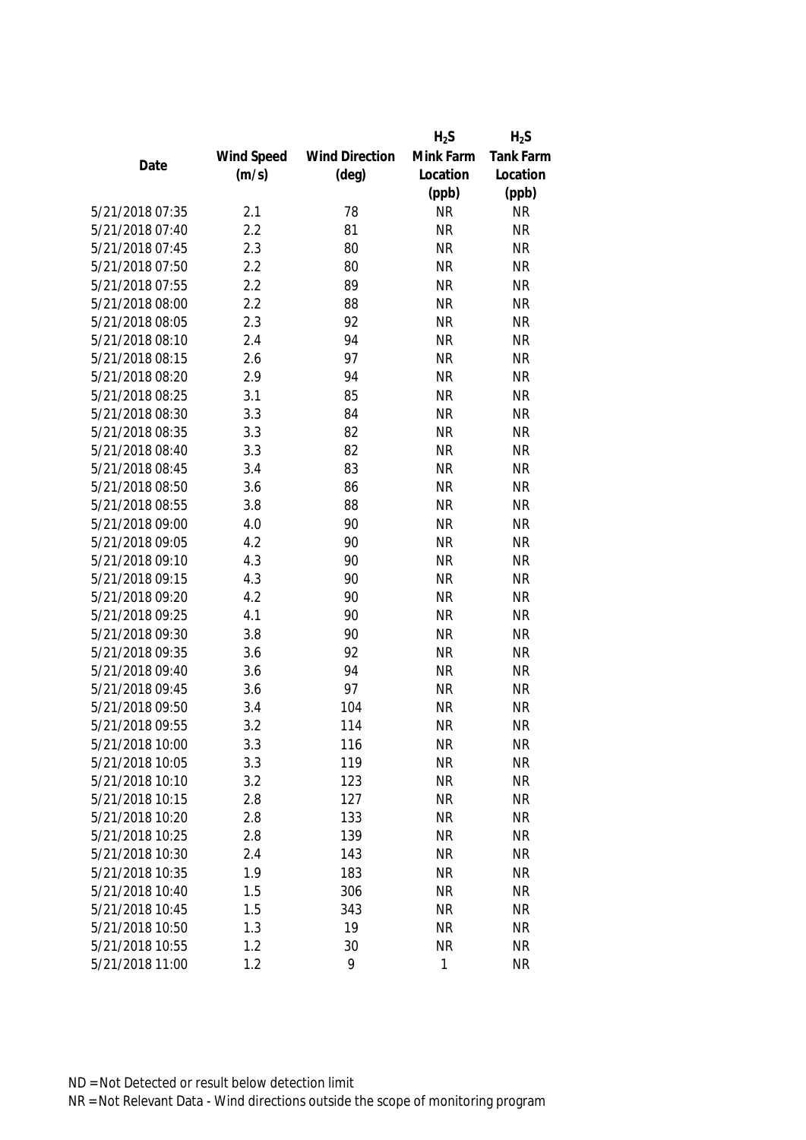|                 |            |                       | $H_2S$       | $H_2S$           |
|-----------------|------------|-----------------------|--------------|------------------|
|                 | Wind Speed | <b>Wind Direction</b> | Mink Farm    | <b>Tank Farm</b> |
| Date            | (m/s)      | $(\text{deg})$        | Location     | Location         |
|                 |            |                       | (ppb)        | (ppb)            |
| 5/21/2018 07:35 | 2.1        | 78                    | <b>NR</b>    | <b>NR</b>        |
| 5/21/2018 07:40 | 2.2        | 81                    | <b>NR</b>    | <b>NR</b>        |
| 5/21/2018 07:45 | 2.3        | 80                    | <b>NR</b>    | <b>NR</b>        |
| 5/21/2018 07:50 | 2.2        | 80                    | <b>NR</b>    | <b>NR</b>        |
| 5/21/2018 07:55 | 2.2        | 89                    | <b>NR</b>    | <b>NR</b>        |
| 5/21/2018 08:00 | 2.2        | 88                    | <b>NR</b>    | <b>NR</b>        |
| 5/21/2018 08:05 | 2.3        | 92                    | <b>NR</b>    | <b>NR</b>        |
| 5/21/2018 08:10 | 2.4        | 94                    | <b>NR</b>    | <b>NR</b>        |
| 5/21/2018 08:15 | 2.6        | 97                    | <b>NR</b>    | <b>NR</b>        |
| 5/21/2018 08:20 | 2.9        | 94                    | <b>NR</b>    | <b>NR</b>        |
| 5/21/2018 08:25 | 3.1        | 85                    | <b>NR</b>    | <b>NR</b>        |
| 5/21/2018 08:30 | 3.3        | 84                    | <b>NR</b>    | <b>NR</b>        |
| 5/21/2018 08:35 | 3.3        | 82                    | <b>NR</b>    | <b>NR</b>        |
| 5/21/2018 08:40 | 3.3        | 82                    | <b>NR</b>    | <b>NR</b>        |
| 5/21/2018 08:45 | 3.4        | 83                    | <b>NR</b>    | <b>NR</b>        |
| 5/21/2018 08:50 | 3.6        | 86                    | <b>NR</b>    | <b>NR</b>        |
| 5/21/2018 08:55 | 3.8        | 88                    | <b>NR</b>    | <b>NR</b>        |
| 5/21/2018 09:00 | 4.0        | 90                    | <b>NR</b>    | <b>NR</b>        |
| 5/21/2018 09:05 | 4.2        | 90                    | <b>NR</b>    | <b>NR</b>        |
| 5/21/2018 09:10 | 4.3        | 90                    | <b>NR</b>    | <b>NR</b>        |
| 5/21/2018 09:15 | 4.3        | 90                    | <b>NR</b>    | <b>NR</b>        |
| 5/21/2018 09:20 | 4.2        | 90                    | <b>NR</b>    | <b>NR</b>        |
| 5/21/2018 09:25 | 4.1        | 90                    | <b>NR</b>    | <b>NR</b>        |
| 5/21/2018 09:30 | 3.8        | 90                    | <b>NR</b>    | <b>NR</b>        |
| 5/21/2018 09:35 | 3.6        | 92                    | <b>NR</b>    | <b>NR</b>        |
| 5/21/2018 09:40 | 3.6        | 94                    | <b>NR</b>    | <b>NR</b>        |
| 5/21/2018 09:45 | 3.6        | 97                    | <b>NR</b>    | <b>NR</b>        |
| 5/21/2018 09:50 | 3.4        | 104                   | <b>NR</b>    | <b>NR</b>        |
| 5/21/2018 09:55 | 3.2        | 114                   | <b>NR</b>    | <b>NR</b>        |
| 5/21/2018 10:00 | 3.3        | 116                   | <b>NR</b>    | <b>NR</b>        |
| 5/21/2018 10:05 | 3.3        | 119                   | <b>NR</b>    | <b>NR</b>        |
| 5/21/2018 10:10 | 3.2        | 123                   | <b>NR</b>    | <b>NR</b>        |
| 5/21/2018 10:15 | 2.8        | 127                   | <b>NR</b>    | <b>NR</b>        |
| 5/21/2018 10:20 | 2.8        | 133                   | NR           | <b>NR</b>        |
| 5/21/2018 10:25 | 2.8        | 139                   | <b>NR</b>    | <b>NR</b>        |
| 5/21/2018 10:30 | 2.4        | 143                   | <b>NR</b>    | <b>NR</b>        |
| 5/21/2018 10:35 | 1.9        | 183                   | <b>NR</b>    | <b>NR</b>        |
| 5/21/2018 10:40 | 1.5        | 306                   | <b>NR</b>    | <b>NR</b>        |
| 5/21/2018 10:45 | 1.5        | 343                   | <b>NR</b>    | <b>NR</b>        |
| 5/21/2018 10:50 | 1.3        | 19                    | <b>NR</b>    | <b>NR</b>        |
| 5/21/2018 10:55 | 1.2        | 30                    | <b>NR</b>    | <b>NR</b>        |
| 5/21/2018 11:00 | 1.2        | 9                     | $\mathbf{1}$ | <b>NR</b>        |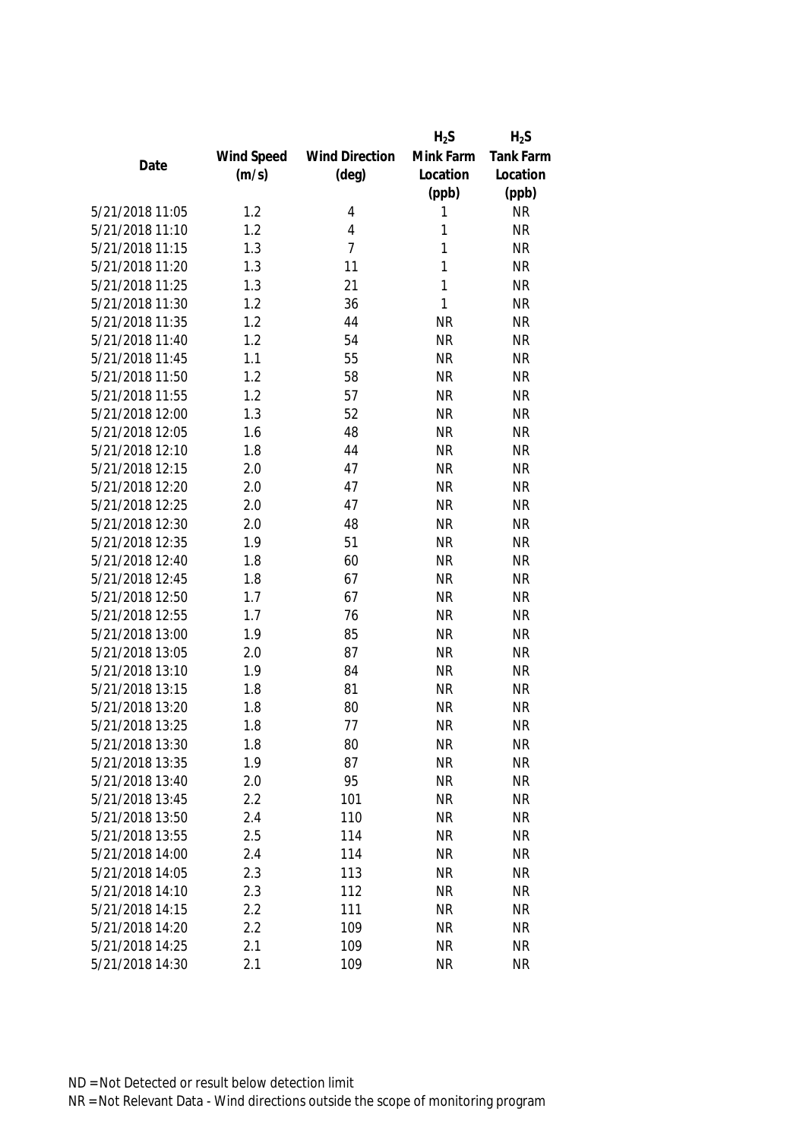|                 |            |                       | $H_2S$    | $H_2S$           |
|-----------------|------------|-----------------------|-----------|------------------|
|                 | Wind Speed | <b>Wind Direction</b> | Mink Farm | <b>Tank Farm</b> |
| Date            | (m/s)      | $(\text{deg})$        | Location  | Location         |
|                 |            |                       | (ppb)     | (ppb)            |
| 5/21/2018 11:05 | 1.2        | 4                     | 1         | <b>NR</b>        |
| 5/21/2018 11:10 | 1.2        | 4                     | 1         | <b>NR</b>        |
| 5/21/2018 11:15 | 1.3        | $\overline{7}$        | 1         | <b>NR</b>        |
| 5/21/2018 11:20 | 1.3        | 11                    | 1         | <b>NR</b>        |
| 5/21/2018 11:25 | 1.3        | 21                    | 1         | <b>NR</b>        |
| 5/21/2018 11:30 | 1.2        | 36                    | 1         | <b>NR</b>        |
| 5/21/2018 11:35 | 1.2        | 44                    | <b>NR</b> | <b>NR</b>        |
| 5/21/2018 11:40 | 1.2        | 54                    | <b>NR</b> | <b>NR</b>        |
| 5/21/2018 11:45 | 1.1        | 55                    | <b>NR</b> | <b>NR</b>        |
| 5/21/2018 11:50 | 1.2        | 58                    | <b>NR</b> | <b>NR</b>        |
| 5/21/2018 11:55 | 1.2        | 57                    | <b>NR</b> | <b>NR</b>        |
| 5/21/2018 12:00 | 1.3        | 52                    | <b>NR</b> | <b>NR</b>        |
| 5/21/2018 12:05 | 1.6        | 48                    | <b>NR</b> | <b>NR</b>        |
| 5/21/2018 12:10 | 1.8        | 44                    | <b>NR</b> | <b>NR</b>        |
| 5/21/2018 12:15 | 2.0        | 47                    | <b>NR</b> | <b>NR</b>        |
| 5/21/2018 12:20 | 2.0        | 47                    | <b>NR</b> | <b>NR</b>        |
| 5/21/2018 12:25 | 2.0        | 47                    | <b>NR</b> | <b>NR</b>        |
| 5/21/2018 12:30 | 2.0        | 48                    | <b>NR</b> | <b>NR</b>        |
| 5/21/2018 12:35 | 1.9        | 51                    | <b>NR</b> | <b>NR</b>        |
| 5/21/2018 12:40 | 1.8        | 60                    | <b>NR</b> | <b>NR</b>        |
| 5/21/2018 12:45 | 1.8        | 67                    | <b>NR</b> | <b>NR</b>        |
| 5/21/2018 12:50 | 1.7        | 67                    | <b>NR</b> | <b>NR</b>        |
| 5/21/2018 12:55 | 1.7        | 76                    | <b>NR</b> | <b>NR</b>        |
| 5/21/2018 13:00 | 1.9        | 85                    | <b>NR</b> | <b>NR</b>        |
| 5/21/2018 13:05 | 2.0        | 87                    | <b>NR</b> | <b>NR</b>        |
| 5/21/2018 13:10 | 1.9        | 84                    | <b>NR</b> | <b>NR</b>        |
| 5/21/2018 13:15 | 1.8        | 81                    | <b>NR</b> | <b>NR</b>        |
| 5/21/2018 13:20 | 1.8        | 80                    | <b>NR</b> | <b>NR</b>        |
| 5/21/2018 13:25 | 1.8        | 77                    | <b>NR</b> | <b>NR</b>        |
| 5/21/2018 13:30 | 1.8        | 80                    | NR        | <b>NR</b>        |
| 5/21/2018 13:35 | 1.9        | 87                    | <b>NR</b> | <b>NR</b>        |
| 5/21/2018 13:40 | 2.0        | 95                    | <b>NR</b> | <b>NR</b>        |
| 5/21/2018 13:45 | 2.2        | 101                   | <b>NR</b> | <b>NR</b>        |
| 5/21/2018 13:50 | 2.4        | 110                   | NR        | <b>NR</b>        |
| 5/21/2018 13:55 | 2.5        | 114                   | <b>NR</b> | <b>NR</b>        |
| 5/21/2018 14:00 | 2.4        | 114                   | <b>NR</b> | <b>NR</b>        |
| 5/21/2018 14:05 | 2.3        | 113                   | <b>NR</b> | <b>NR</b>        |
| 5/21/2018 14:10 | 2.3        | 112                   | <b>NR</b> | <b>NR</b>        |
| 5/21/2018 14:15 | 2.2        | 111                   | <b>NR</b> | <b>NR</b>        |
| 5/21/2018 14:20 | 2.2        | 109                   | <b>NR</b> | <b>NR</b>        |
| 5/21/2018 14:25 | 2.1        | 109                   | <b>NR</b> | <b>NR</b>        |
| 5/21/2018 14:30 | 2.1        | 109                   | <b>NR</b> | <b>NR</b>        |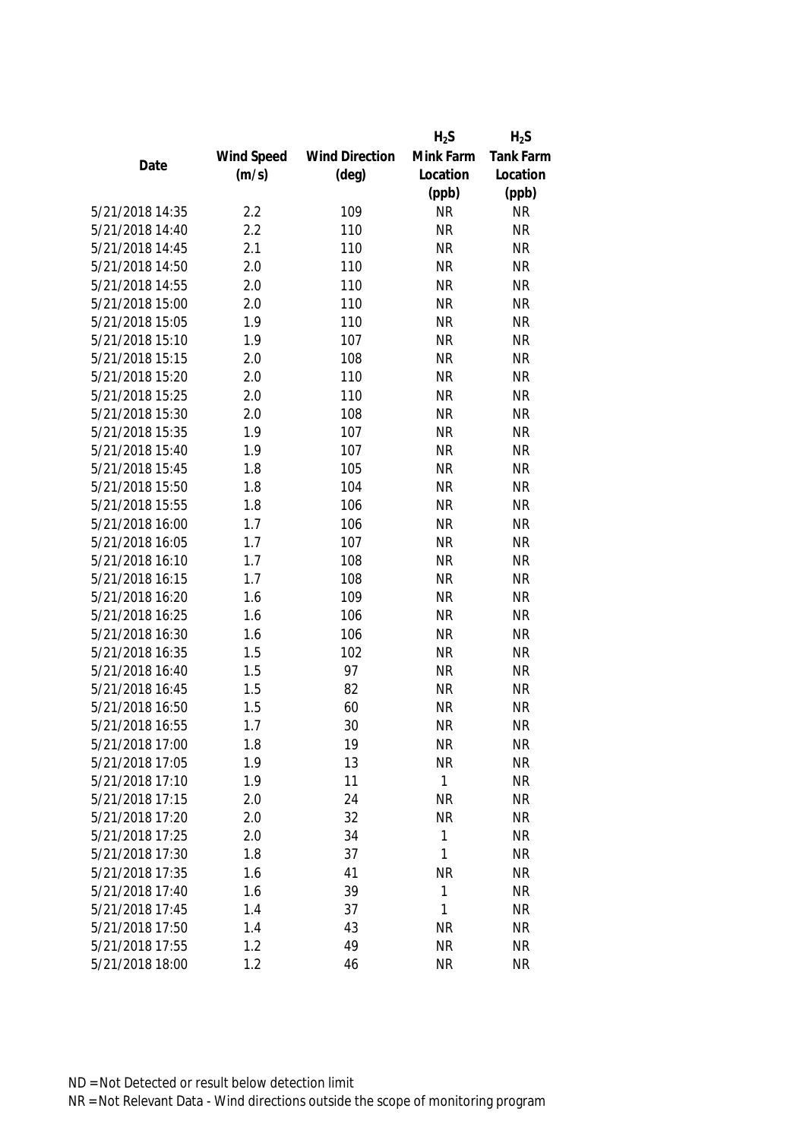|                 |            |                       | $H_2S$    | $H_2S$           |
|-----------------|------------|-----------------------|-----------|------------------|
|                 | Wind Speed | <b>Wind Direction</b> | Mink Farm | <b>Tank Farm</b> |
| Date            | (m/s)      | $(\text{deg})$        | Location  | Location         |
|                 |            |                       | (ppb)     | (ppb)            |
| 5/21/2018 14:35 | 2.2        | 109                   | <b>NR</b> | <b>NR</b>        |
| 5/21/2018 14:40 | 2.2        | 110                   | <b>NR</b> | <b>NR</b>        |
| 5/21/2018 14:45 | 2.1        | 110                   | <b>NR</b> | <b>NR</b>        |
| 5/21/2018 14:50 | 2.0        | 110                   | <b>NR</b> | <b>NR</b>        |
| 5/21/2018 14:55 | 2.0        | 110                   | <b>NR</b> | <b>NR</b>        |
| 5/21/2018 15:00 | 2.0        | 110                   | <b>NR</b> | <b>NR</b>        |
| 5/21/2018 15:05 | 1.9        | 110                   | <b>NR</b> | <b>NR</b>        |
| 5/21/2018 15:10 | 1.9        | 107                   | <b>NR</b> | <b>NR</b>        |
| 5/21/2018 15:15 | 2.0        | 108                   | <b>NR</b> | <b>NR</b>        |
| 5/21/2018 15:20 | 2.0        | 110                   | <b>NR</b> | <b>NR</b>        |
| 5/21/2018 15:25 | 2.0        | 110                   | <b>NR</b> | <b>NR</b>        |
| 5/21/2018 15:30 | 2.0        | 108                   | <b>NR</b> | <b>NR</b>        |
| 5/21/2018 15:35 | 1.9        | 107                   | <b>NR</b> | <b>NR</b>        |
| 5/21/2018 15:40 | 1.9        | 107                   | <b>NR</b> | <b>NR</b>        |
| 5/21/2018 15:45 | 1.8        | 105                   | <b>NR</b> | <b>NR</b>        |
| 5/21/2018 15:50 | 1.8        | 104                   | <b>NR</b> | <b>NR</b>        |
| 5/21/2018 15:55 | 1.8        | 106                   | <b>NR</b> | <b>NR</b>        |
| 5/21/2018 16:00 | 1.7        | 106                   | <b>NR</b> | <b>NR</b>        |
| 5/21/2018 16:05 | 1.7        | 107                   | <b>NR</b> | <b>NR</b>        |
| 5/21/2018 16:10 | 1.7        | 108                   | <b>NR</b> | <b>NR</b>        |
| 5/21/2018 16:15 | 1.7        | 108                   | <b>NR</b> | <b>NR</b>        |
| 5/21/2018 16:20 | 1.6        | 109                   | <b>NR</b> | <b>NR</b>        |
| 5/21/2018 16:25 | 1.6        | 106                   | <b>NR</b> | <b>NR</b>        |
| 5/21/2018 16:30 | 1.6        | 106                   | <b>NR</b> | <b>NR</b>        |
| 5/21/2018 16:35 | 1.5        | 102                   | <b>NR</b> | <b>NR</b>        |
| 5/21/2018 16:40 | 1.5        | 97                    | <b>NR</b> | <b>NR</b>        |
| 5/21/2018 16:45 | 1.5        | 82                    | <b>NR</b> | <b>NR</b>        |
| 5/21/2018 16:50 | 1.5        | 60                    | <b>NR</b> | <b>NR</b>        |
| 5/21/2018 16:55 | 1.7        | 30                    | <b>NR</b> | <b>NR</b>        |
| 5/21/2018 17:00 | 1.8        | 19                    | NR        | <b>NR</b>        |
| 5/21/2018 17:05 | 1.9        | 13                    | <b>NR</b> | <b>NR</b>        |
| 5/21/2018 17:10 | 1.9        | 11                    | 1         | <b>NR</b>        |
| 5/21/2018 17:15 | 2.0        | 24                    | <b>NR</b> | <b>NR</b>        |
| 5/21/2018 17:20 | 2.0        | 32                    | <b>NR</b> | <b>NR</b>        |
| 5/21/2018 17:25 | 2.0        | 34                    | 1         | <b>NR</b>        |
| 5/21/2018 17:30 | 1.8        | 37                    | 1         | <b>NR</b>        |
| 5/21/2018 17:35 | 1.6        | 41                    | <b>NR</b> | <b>NR</b>        |
| 5/21/2018 17:40 | 1.6        | 39                    | 1         | <b>NR</b>        |
| 5/21/2018 17:45 | 1.4        | 37                    | 1         | <b>NR</b>        |
| 5/21/2018 17:50 | 1.4        | 43                    | <b>NR</b> | <b>NR</b>        |
| 5/21/2018 17:55 | 1.2        | 49                    | <b>NR</b> | <b>NR</b>        |
| 5/21/2018 18:00 | 1.2        | 46                    | <b>NR</b> | <b>NR</b>        |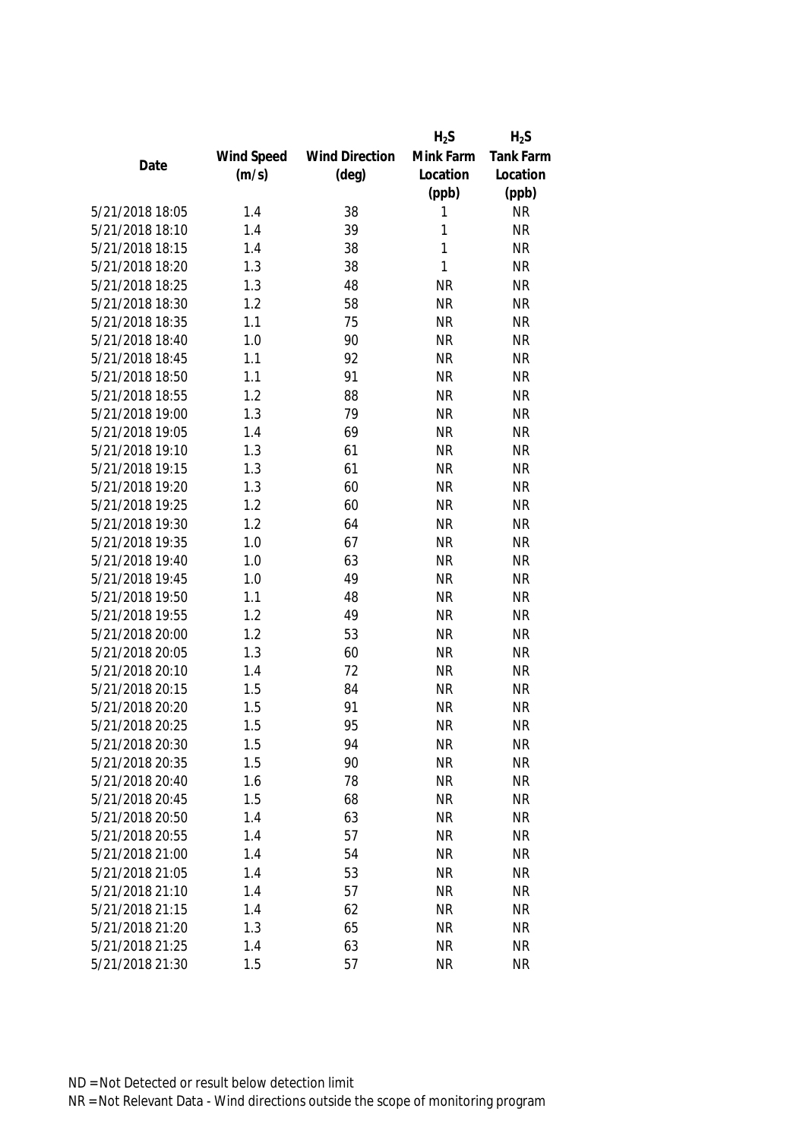|                 |            |                       | $H_2S$    | $H_2S$           |
|-----------------|------------|-----------------------|-----------|------------------|
|                 | Wind Speed | <b>Wind Direction</b> | Mink Farm | <b>Tank Farm</b> |
| Date            | (m/s)      | $(\text{deg})$        | Location  | Location         |
|                 |            |                       | (ppb)     | (ppb)            |
| 5/21/2018 18:05 | 1.4        | 38                    | 1         | <b>NR</b>        |
| 5/21/2018 18:10 | 1.4        | 39                    | 1         | <b>NR</b>        |
| 5/21/2018 18:15 | 1.4        | 38                    | 1         | <b>NR</b>        |
| 5/21/2018 18:20 | 1.3        | 38                    | 1         | <b>NR</b>        |
| 5/21/2018 18:25 | 1.3        | 48                    | <b>NR</b> | <b>NR</b>        |
| 5/21/2018 18:30 | 1.2        | 58                    | <b>NR</b> | <b>NR</b>        |
| 5/21/2018 18:35 | 1.1        | 75                    | <b>NR</b> | <b>NR</b>        |
| 5/21/2018 18:40 | 1.0        | 90                    | <b>NR</b> | <b>NR</b>        |
| 5/21/2018 18:45 | 1.1        | 92                    | <b>NR</b> | <b>NR</b>        |
| 5/21/2018 18:50 | 1.1        | 91                    | <b>NR</b> | <b>NR</b>        |
| 5/21/2018 18:55 | 1.2        | 88                    | <b>NR</b> | <b>NR</b>        |
| 5/21/2018 19:00 | 1.3        | 79                    | <b>NR</b> | <b>NR</b>        |
| 5/21/2018 19:05 | 1.4        | 69                    | <b>NR</b> | <b>NR</b>        |
| 5/21/2018 19:10 | 1.3        | 61                    | <b>NR</b> | <b>NR</b>        |
| 5/21/2018 19:15 | 1.3        | 61                    | <b>NR</b> | <b>NR</b>        |
| 5/21/2018 19:20 | 1.3        | 60                    | <b>NR</b> | <b>NR</b>        |
| 5/21/2018 19:25 | 1.2        | 60                    | <b>NR</b> | <b>NR</b>        |
| 5/21/2018 19:30 | 1.2        | 64                    | <b>NR</b> | <b>NR</b>        |
| 5/21/2018 19:35 | 1.0        | 67                    | <b>NR</b> | <b>NR</b>        |
| 5/21/2018 19:40 | 1.0        | 63                    | <b>NR</b> | <b>NR</b>        |
| 5/21/2018 19:45 | 1.0        | 49                    | <b>NR</b> | <b>NR</b>        |
| 5/21/2018 19:50 | 1.1        | 48                    | <b>NR</b> | <b>NR</b>        |
| 5/21/2018 19:55 | 1.2        | 49                    | <b>NR</b> | <b>NR</b>        |
| 5/21/2018 20:00 | 1.2        | 53                    | <b>NR</b> | <b>NR</b>        |
| 5/21/2018 20:05 | 1.3        | 60                    | <b>NR</b> | <b>NR</b>        |
| 5/21/2018 20:10 | 1.4        | 72                    | <b>NR</b> | <b>NR</b>        |
| 5/21/2018 20:15 | 1.5        | 84                    | <b>NR</b> | <b>NR</b>        |
| 5/21/2018 20:20 | 1.5        | 91                    | <b>NR</b> | <b>NR</b>        |
| 5/21/2018 20:25 | 1.5        | 95                    | <b>NR</b> | <b>NR</b>        |
| 5/21/2018 20:30 | 1.5        | 94                    | NR        | <b>NR</b>        |
| 5/21/2018 20:35 | 1.5        | 90                    | <b>NR</b> | <b>NR</b>        |
| 5/21/2018 20:40 | 1.6        | 78                    | <b>NR</b> | <b>NR</b>        |
| 5/21/2018 20:45 | 1.5        | 68                    | <b>NR</b> | <b>NR</b>        |
| 5/21/2018 20:50 | 1.4        | 63                    | <b>NR</b> | <b>NR</b>        |
| 5/21/2018 20:55 | 1.4        | 57                    | <b>NR</b> | <b>NR</b>        |
| 5/21/2018 21:00 | 1.4        | 54                    | <b>NR</b> | <b>NR</b>        |
| 5/21/2018 21:05 | 1.4        | 53                    | <b>NR</b> | <b>NR</b>        |
| 5/21/2018 21:10 | 1.4        | 57                    | <b>NR</b> | <b>NR</b>        |
| 5/21/2018 21:15 | 1.4        | 62                    | <b>NR</b> | <b>NR</b>        |
| 5/21/2018 21:20 | 1.3        | 65                    | <b>NR</b> | <b>NR</b>        |
| 5/21/2018 21:25 | 1.4        | 63                    | <b>NR</b> | <b>NR</b>        |
| 5/21/2018 21:30 | 1.5        | 57                    | <b>NR</b> | <b>NR</b>        |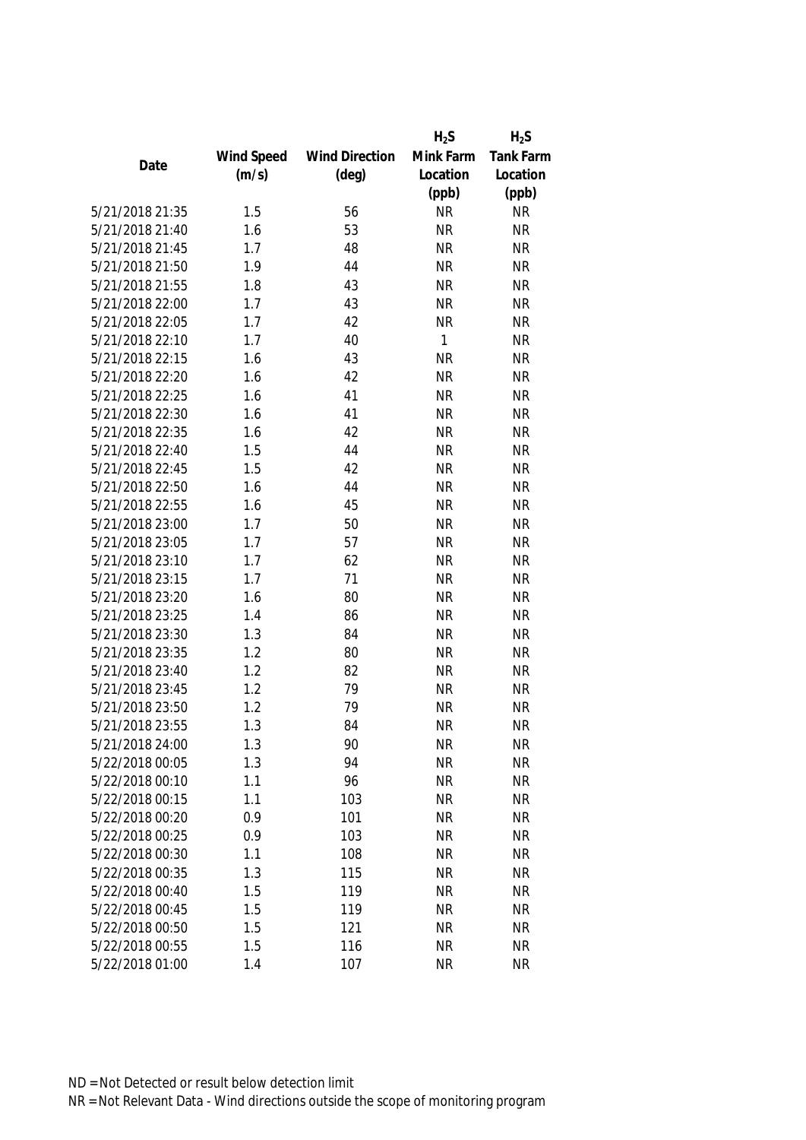|                 |            |                       | $H_2S$    | $H_2S$           |
|-----------------|------------|-----------------------|-----------|------------------|
|                 | Wind Speed | <b>Wind Direction</b> | Mink Farm | <b>Tank Farm</b> |
| Date            | (m/s)      | $(\text{deg})$        | Location  | Location         |
|                 |            |                       | (ppb)     | (ppb)            |
| 5/21/2018 21:35 | 1.5        | 56                    | <b>NR</b> | <b>NR</b>        |
| 5/21/2018 21:40 | 1.6        | 53                    | <b>NR</b> | <b>NR</b>        |
| 5/21/2018 21:45 | 1.7        | 48                    | <b>NR</b> | <b>NR</b>        |
| 5/21/2018 21:50 | 1.9        | 44                    | <b>NR</b> | <b>NR</b>        |
| 5/21/2018 21:55 | 1.8        | 43                    | <b>NR</b> | <b>NR</b>        |
| 5/21/2018 22:00 | 1.7        | 43                    | <b>NR</b> | <b>NR</b>        |
| 5/21/2018 22:05 | 1.7        | 42                    | <b>NR</b> | <b>NR</b>        |
| 5/21/2018 22:10 | 1.7        | 40                    | 1         | <b>NR</b>        |
| 5/21/2018 22:15 | 1.6        | 43                    | <b>NR</b> | <b>NR</b>        |
| 5/21/2018 22:20 | 1.6        | 42                    | <b>NR</b> | <b>NR</b>        |
| 5/21/2018 22:25 | 1.6        | 41                    | <b>NR</b> | <b>NR</b>        |
| 5/21/2018 22:30 | 1.6        | 41                    | <b>NR</b> | <b>NR</b>        |
| 5/21/2018 22:35 | 1.6        | 42                    | <b>NR</b> | <b>NR</b>        |
| 5/21/2018 22:40 | 1.5        | 44                    | <b>NR</b> | <b>NR</b>        |
| 5/21/2018 22:45 | 1.5        | 42                    | <b>NR</b> | <b>NR</b>        |
| 5/21/2018 22:50 | 1.6        | 44                    | <b>NR</b> | <b>NR</b>        |
| 5/21/2018 22:55 | 1.6        | 45                    | <b>NR</b> | <b>NR</b>        |
| 5/21/2018 23:00 | 1.7        | 50                    | <b>NR</b> | <b>NR</b>        |
| 5/21/2018 23:05 | 1.7        | 57                    | <b>NR</b> | <b>NR</b>        |
| 5/21/2018 23:10 | 1.7        | 62                    | <b>NR</b> | <b>NR</b>        |
| 5/21/2018 23:15 | 1.7        | 71                    | <b>NR</b> | <b>NR</b>        |
| 5/21/2018 23:20 | 1.6        | 80                    | <b>NR</b> | <b>NR</b>        |
| 5/21/2018 23:25 | 1.4        | 86                    | <b>NR</b> | <b>NR</b>        |
| 5/21/2018 23:30 | 1.3        | 84                    | <b>NR</b> | <b>NR</b>        |
| 5/21/2018 23:35 | 1.2        | 80                    | <b>NR</b> | <b>NR</b>        |
| 5/21/2018 23:40 | 1.2        | 82                    | <b>NR</b> | <b>NR</b>        |
| 5/21/2018 23:45 | 1.2        | 79                    | <b>NR</b> | <b>NR</b>        |
| 5/21/2018 23:50 | 1.2        | 79                    | <b>NR</b> | <b>NR</b>        |
| 5/21/2018 23:55 | 1.3        | 84                    | <b>NR</b> | <b>NR</b>        |
| 5/21/2018 24:00 | 1.3        | 90                    | <b>NR</b> | <b>NR</b>        |
| 5/22/2018 00:05 | 1.3        | 94                    | <b>NR</b> | <b>NR</b>        |
| 5/22/2018 00:10 | 1.1        | 96                    | <b>NR</b> | <b>NR</b>        |
| 5/22/2018 00:15 | 1.1        | 103                   | <b>NR</b> | <b>NR</b>        |
| 5/22/2018 00:20 | 0.9        | 101                   | <b>NR</b> | <b>NR</b>        |
| 5/22/2018 00:25 | 0.9        | 103                   | <b>NR</b> | <b>NR</b>        |
| 5/22/2018 00:30 | 1.1        | 108                   | <b>NR</b> | <b>NR</b>        |
| 5/22/2018 00:35 | 1.3        | 115                   | <b>NR</b> | <b>NR</b>        |
| 5/22/2018 00:40 | 1.5        | 119                   | <b>NR</b> | <b>NR</b>        |
| 5/22/2018 00:45 | 1.5        | 119                   | <b>NR</b> | <b>NR</b>        |
| 5/22/2018 00:50 | 1.5        | 121                   | <b>NR</b> | <b>NR</b>        |
| 5/22/2018 00:55 | 1.5        | 116                   | <b>NR</b> | <b>NR</b>        |
| 5/22/2018 01:00 | 1.4        | 107                   | <b>NR</b> | <b>NR</b>        |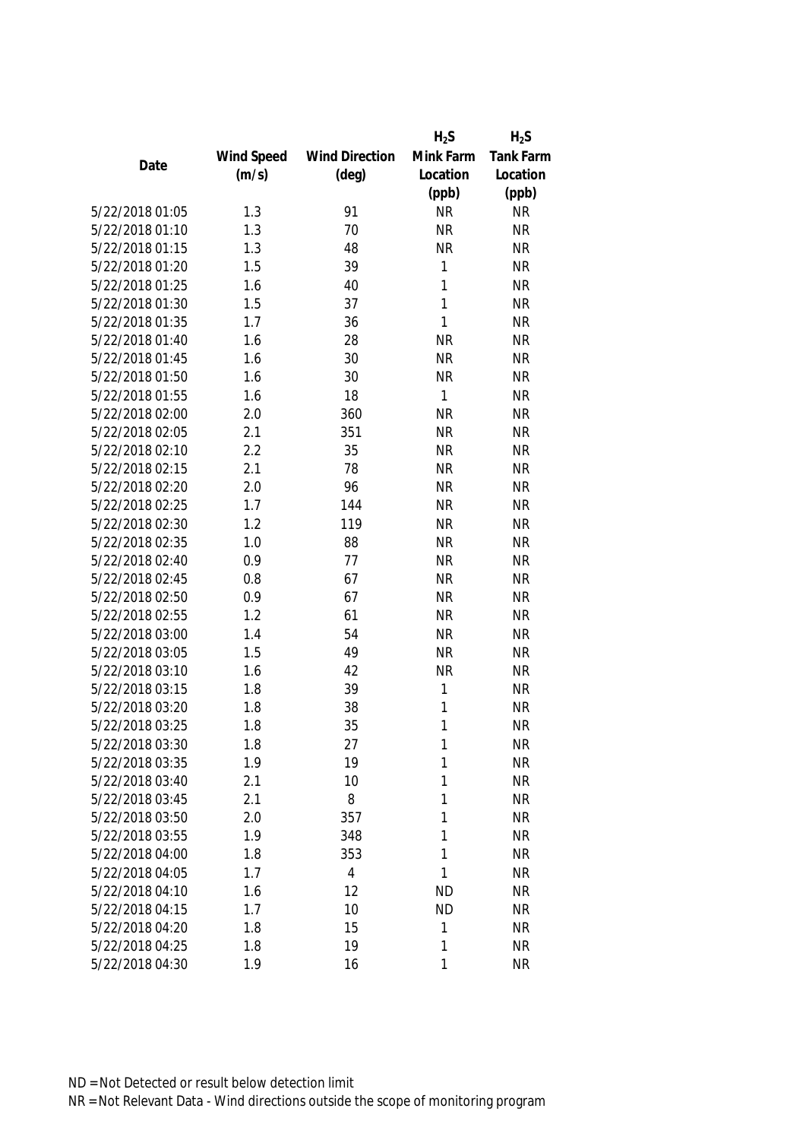|                 |            |                       | $H_2S$    | $H_2S$           |
|-----------------|------------|-----------------------|-----------|------------------|
|                 | Wind Speed | <b>Wind Direction</b> | Mink Farm | <b>Tank Farm</b> |
| Date            | (m/s)      | $(\text{deg})$        | Location  | Location         |
|                 |            |                       | (ppb)     | (ppb)            |
| 5/22/2018 01:05 | 1.3        | 91                    | <b>NR</b> | <b>NR</b>        |
| 5/22/2018 01:10 | 1.3        | 70                    | <b>NR</b> | <b>NR</b>        |
| 5/22/2018 01:15 | 1.3        | 48                    | <b>NR</b> | <b>NR</b>        |
| 5/22/2018 01:20 | 1.5        | 39                    | 1         | <b>NR</b>        |
| 5/22/2018 01:25 | 1.6        | 40                    | 1         | <b>NR</b>        |
| 5/22/2018 01:30 | 1.5        | 37                    | 1         | <b>NR</b>        |
| 5/22/2018 01:35 | 1.7        | 36                    | 1         | <b>NR</b>        |
| 5/22/2018 01:40 | 1.6        | 28                    | <b>NR</b> | <b>NR</b>        |
| 5/22/2018 01:45 | 1.6        | 30                    | <b>NR</b> | <b>NR</b>        |
| 5/22/2018 01:50 | 1.6        | 30                    | <b>NR</b> | <b>NR</b>        |
| 5/22/2018 01:55 | 1.6        | 18                    | 1         | <b>NR</b>        |
| 5/22/2018 02:00 | 2.0        | 360                   | <b>NR</b> | <b>NR</b>        |
| 5/22/2018 02:05 | 2.1        | 351                   | <b>NR</b> | <b>NR</b>        |
| 5/22/2018 02:10 | 2.2        | 35                    | <b>NR</b> | <b>NR</b>        |
| 5/22/2018 02:15 | 2.1        | 78                    | <b>NR</b> | <b>NR</b>        |
| 5/22/2018 02:20 | 2.0        | 96                    | <b>NR</b> | <b>NR</b>        |
| 5/22/2018 02:25 | 1.7        | 144                   | <b>NR</b> | <b>NR</b>        |
| 5/22/2018 02:30 | 1.2        | 119                   | <b>NR</b> | <b>NR</b>        |
| 5/22/2018 02:35 | 1.0        | 88                    | <b>NR</b> | <b>NR</b>        |
| 5/22/2018 02:40 | 0.9        | 77                    | <b>NR</b> | <b>NR</b>        |
| 5/22/2018 02:45 | 0.8        | 67                    | <b>NR</b> | <b>NR</b>        |
| 5/22/2018 02:50 | 0.9        | 67                    | <b>NR</b> | <b>NR</b>        |
| 5/22/2018 02:55 | 1.2        | 61                    | <b>NR</b> | <b>NR</b>        |
| 5/22/2018 03:00 | 1.4        | 54                    | <b>NR</b> | <b>NR</b>        |
| 5/22/2018 03:05 | 1.5        | 49                    | <b>NR</b> | <b>NR</b>        |
| 5/22/2018 03:10 | 1.6        | 42                    | <b>NR</b> | <b>NR</b>        |
| 5/22/2018 03:15 | 1.8        | 39                    | 1         | <b>NR</b>        |
| 5/22/2018 03:20 | 1.8        | 38                    | 1         | <b>NR</b>        |
| 5/22/2018 03:25 | 1.8        | 35                    | 1         | <b>NR</b>        |
| 5/22/2018 03:30 | 1.8        | 27                    | 1         | <b>NR</b>        |
| 5/22/2018 03:35 | 1.9        | 19                    | 1         | <b>NR</b>        |
| 5/22/2018 03:40 | 2.1        | 10                    | 1         | <b>NR</b>        |
| 5/22/2018 03:45 | 2.1        | 8                     | 1         | <b>NR</b>        |
| 5/22/2018 03:50 | 2.0        | 357                   | 1         | <b>NR</b>        |
| 5/22/2018 03:55 | 1.9        | 348                   | 1         | <b>NR</b>        |
| 5/22/2018 04:00 | 1.8        | 353                   | 1         | <b>NR</b>        |
| 5/22/2018 04:05 | 1.7        | $\overline{4}$        | 1         | <b>NR</b>        |
| 5/22/2018 04:10 | 1.6        | 12                    | <b>ND</b> | <b>NR</b>        |
| 5/22/2018 04:15 | 1.7        | 10                    | <b>ND</b> | <b>NR</b>        |
| 5/22/2018 04:20 | 1.8        | 15                    | 1         | <b>NR</b>        |
| 5/22/2018 04:25 | 1.8        | 19                    | 1         | <b>NR</b>        |
| 5/22/2018 04:30 | 1.9        | 16                    | 1         | <b>NR</b>        |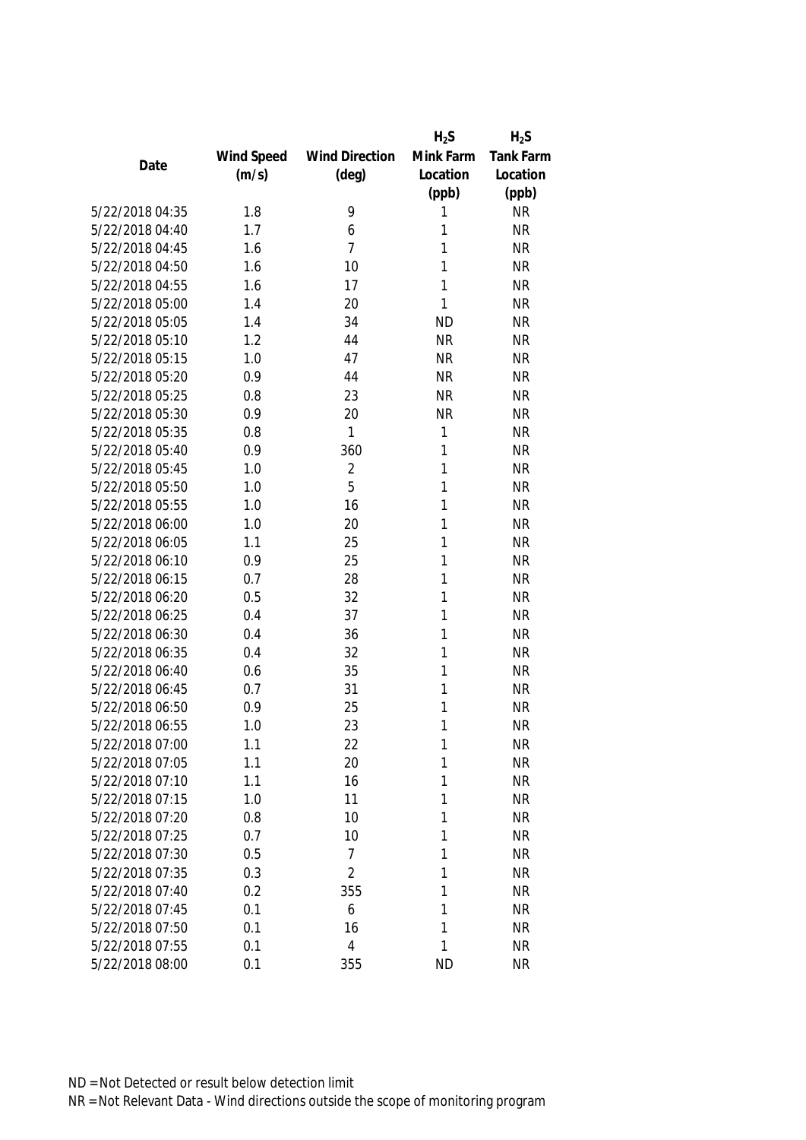| Mink Farm<br>Tank Farm<br>Wind Speed<br><b>Wind Direction</b><br>Date<br>(m/s)<br>$(\text{deg})$<br>Location<br>Location<br>(ppb)<br>(ppb)<br>5/22/2018 04:35<br>1.8<br>9<br><b>NR</b><br>1<br>5/22/2018 04:40<br>1.7<br><b>NR</b><br>6<br>1<br>$\overline{7}$<br>5/22/2018 04:45<br>1<br><b>NR</b><br>1.6<br>5/22/2018 04:50<br>1.6<br>10<br>1<br><b>NR</b><br>17<br>1<br><b>NR</b><br>5/22/2018 04:55<br>1.6<br>1<br><b>NR</b><br>5/22/2018 05:00<br>1.4<br>20<br>34<br>5/22/2018 05:05<br><b>ND</b><br><b>NR</b><br>1.4<br>5/22/2018 05:10<br>1.2<br>44<br><b>NR</b><br><b>NR</b><br>5/22/2018 05:15<br>47<br><b>NR</b><br><b>NR</b><br>1.0<br>44<br><b>NR</b><br><b>NR</b><br>5/22/2018 05:20<br>0.9<br>5/22/2018 05:25<br>0.8<br>23<br><b>NR</b><br><b>NR</b><br>5/22/2018 05:30<br>0.9<br>20<br><b>NR</b><br><b>NR</b><br>1<br><b>NR</b><br>5/22/2018 05:35<br>1<br>0.8<br>0.9<br>1<br><b>NR</b><br>5/22/2018 05:40<br>360<br>$\overline{2}$<br>5/22/2018 05:45<br>1.0<br>1<br><b>NR</b><br>5<br>5/22/2018 05:50<br>1.0<br>1<br><b>NR</b><br><b>NR</b><br>5/22/2018 05:55<br>16<br>1<br>1.0<br>20<br><b>NR</b><br>5/22/2018 06:00<br>1.0<br>1<br>5/22/2018 06:05<br>1.1<br>25<br>1<br><b>NR</b><br>25<br>5/22/2018 06:10<br>0.9<br>1<br><b>NR</b><br><b>NR</b><br>5/22/2018 06:15<br>0.7<br>28<br>1<br>0.5<br>32<br><b>NR</b><br>5/22/2018 06:20<br>1<br>37<br>5/22/2018 06:25<br>0.4<br>1<br><b>NR</b><br>5/22/2018 06:30<br>0.4<br>36<br>1<br><b>NR</b><br>32<br><b>NR</b><br>5/22/2018 06:35<br>0.4<br>1<br>35<br>5/22/2018 06:40<br>0.6<br>1<br><b>NR</b><br>5/22/2018 06:45<br>0.7<br>31<br>1<br><b>NR</b><br>25<br>5/22/2018 06:50<br>0.9<br>1<br><b>NR</b><br>23<br>1<br><b>NR</b><br>5/22/2018 06:55<br>1.0<br>1.1<br>1<br><b>NR</b><br>5/22/2018 07:00<br>22<br>5/22/2018 07:05<br>1.1<br>20<br>1<br><b>NR</b><br>5/22/2018 07:10<br>1.1<br>16<br><b>NR</b><br>1<br>11<br><b>NR</b><br>5/22/2018 07:15<br>1.0<br>1<br>5/22/2018 07:20<br>10<br><b>NR</b><br>0.8<br>1<br>5/22/2018 07:25<br>0.7<br>10<br><b>NR</b><br>1<br>5/22/2018 07:30<br>0.5<br>7<br><b>NR</b><br>1 |                 |     |                | $H_2S$ | $H_2S$    |
|----------------------------------------------------------------------------------------------------------------------------------------------------------------------------------------------------------------------------------------------------------------------------------------------------------------------------------------------------------------------------------------------------------------------------------------------------------------------------------------------------------------------------------------------------------------------------------------------------------------------------------------------------------------------------------------------------------------------------------------------------------------------------------------------------------------------------------------------------------------------------------------------------------------------------------------------------------------------------------------------------------------------------------------------------------------------------------------------------------------------------------------------------------------------------------------------------------------------------------------------------------------------------------------------------------------------------------------------------------------------------------------------------------------------------------------------------------------------------------------------------------------------------------------------------------------------------------------------------------------------------------------------------------------------------------------------------------------------------------------------------------------------------------------------------------------------------------------------------------------------------------------------------------------------------------------------------------------------------------------------------------------------------------------------------------------------------------------|-----------------|-----|----------------|--------|-----------|
|                                                                                                                                                                                                                                                                                                                                                                                                                                                                                                                                                                                                                                                                                                                                                                                                                                                                                                                                                                                                                                                                                                                                                                                                                                                                                                                                                                                                                                                                                                                                                                                                                                                                                                                                                                                                                                                                                                                                                                                                                                                                                        |                 |     |                |        |           |
|                                                                                                                                                                                                                                                                                                                                                                                                                                                                                                                                                                                                                                                                                                                                                                                                                                                                                                                                                                                                                                                                                                                                                                                                                                                                                                                                                                                                                                                                                                                                                                                                                                                                                                                                                                                                                                                                                                                                                                                                                                                                                        |                 |     |                |        |           |
|                                                                                                                                                                                                                                                                                                                                                                                                                                                                                                                                                                                                                                                                                                                                                                                                                                                                                                                                                                                                                                                                                                                                                                                                                                                                                                                                                                                                                                                                                                                                                                                                                                                                                                                                                                                                                                                                                                                                                                                                                                                                                        |                 |     |                |        |           |
|                                                                                                                                                                                                                                                                                                                                                                                                                                                                                                                                                                                                                                                                                                                                                                                                                                                                                                                                                                                                                                                                                                                                                                                                                                                                                                                                                                                                                                                                                                                                                                                                                                                                                                                                                                                                                                                                                                                                                                                                                                                                                        |                 |     |                |        |           |
|                                                                                                                                                                                                                                                                                                                                                                                                                                                                                                                                                                                                                                                                                                                                                                                                                                                                                                                                                                                                                                                                                                                                                                                                                                                                                                                                                                                                                                                                                                                                                                                                                                                                                                                                                                                                                                                                                                                                                                                                                                                                                        |                 |     |                |        |           |
|                                                                                                                                                                                                                                                                                                                                                                                                                                                                                                                                                                                                                                                                                                                                                                                                                                                                                                                                                                                                                                                                                                                                                                                                                                                                                                                                                                                                                                                                                                                                                                                                                                                                                                                                                                                                                                                                                                                                                                                                                                                                                        |                 |     |                |        |           |
|                                                                                                                                                                                                                                                                                                                                                                                                                                                                                                                                                                                                                                                                                                                                                                                                                                                                                                                                                                                                                                                                                                                                                                                                                                                                                                                                                                                                                                                                                                                                                                                                                                                                                                                                                                                                                                                                                                                                                                                                                                                                                        |                 |     |                |        |           |
|                                                                                                                                                                                                                                                                                                                                                                                                                                                                                                                                                                                                                                                                                                                                                                                                                                                                                                                                                                                                                                                                                                                                                                                                                                                                                                                                                                                                                                                                                                                                                                                                                                                                                                                                                                                                                                                                                                                                                                                                                                                                                        |                 |     |                |        |           |
|                                                                                                                                                                                                                                                                                                                                                                                                                                                                                                                                                                                                                                                                                                                                                                                                                                                                                                                                                                                                                                                                                                                                                                                                                                                                                                                                                                                                                                                                                                                                                                                                                                                                                                                                                                                                                                                                                                                                                                                                                                                                                        |                 |     |                |        |           |
|                                                                                                                                                                                                                                                                                                                                                                                                                                                                                                                                                                                                                                                                                                                                                                                                                                                                                                                                                                                                                                                                                                                                                                                                                                                                                                                                                                                                                                                                                                                                                                                                                                                                                                                                                                                                                                                                                                                                                                                                                                                                                        |                 |     |                |        |           |
|                                                                                                                                                                                                                                                                                                                                                                                                                                                                                                                                                                                                                                                                                                                                                                                                                                                                                                                                                                                                                                                                                                                                                                                                                                                                                                                                                                                                                                                                                                                                                                                                                                                                                                                                                                                                                                                                                                                                                                                                                                                                                        |                 |     |                |        |           |
|                                                                                                                                                                                                                                                                                                                                                                                                                                                                                                                                                                                                                                                                                                                                                                                                                                                                                                                                                                                                                                                                                                                                                                                                                                                                                                                                                                                                                                                                                                                                                                                                                                                                                                                                                                                                                                                                                                                                                                                                                                                                                        |                 |     |                |        |           |
|                                                                                                                                                                                                                                                                                                                                                                                                                                                                                                                                                                                                                                                                                                                                                                                                                                                                                                                                                                                                                                                                                                                                                                                                                                                                                                                                                                                                                                                                                                                                                                                                                                                                                                                                                                                                                                                                                                                                                                                                                                                                                        |                 |     |                |        |           |
|                                                                                                                                                                                                                                                                                                                                                                                                                                                                                                                                                                                                                                                                                                                                                                                                                                                                                                                                                                                                                                                                                                                                                                                                                                                                                                                                                                                                                                                                                                                                                                                                                                                                                                                                                                                                                                                                                                                                                                                                                                                                                        |                 |     |                |        |           |
|                                                                                                                                                                                                                                                                                                                                                                                                                                                                                                                                                                                                                                                                                                                                                                                                                                                                                                                                                                                                                                                                                                                                                                                                                                                                                                                                                                                                                                                                                                                                                                                                                                                                                                                                                                                                                                                                                                                                                                                                                                                                                        |                 |     |                |        |           |
|                                                                                                                                                                                                                                                                                                                                                                                                                                                                                                                                                                                                                                                                                                                                                                                                                                                                                                                                                                                                                                                                                                                                                                                                                                                                                                                                                                                                                                                                                                                                                                                                                                                                                                                                                                                                                                                                                                                                                                                                                                                                                        |                 |     |                |        |           |
|                                                                                                                                                                                                                                                                                                                                                                                                                                                                                                                                                                                                                                                                                                                                                                                                                                                                                                                                                                                                                                                                                                                                                                                                                                                                                                                                                                                                                                                                                                                                                                                                                                                                                                                                                                                                                                                                                                                                                                                                                                                                                        |                 |     |                |        |           |
|                                                                                                                                                                                                                                                                                                                                                                                                                                                                                                                                                                                                                                                                                                                                                                                                                                                                                                                                                                                                                                                                                                                                                                                                                                                                                                                                                                                                                                                                                                                                                                                                                                                                                                                                                                                                                                                                                                                                                                                                                                                                                        |                 |     |                |        |           |
|                                                                                                                                                                                                                                                                                                                                                                                                                                                                                                                                                                                                                                                                                                                                                                                                                                                                                                                                                                                                                                                                                                                                                                                                                                                                                                                                                                                                                                                                                                                                                                                                                                                                                                                                                                                                                                                                                                                                                                                                                                                                                        |                 |     |                |        |           |
|                                                                                                                                                                                                                                                                                                                                                                                                                                                                                                                                                                                                                                                                                                                                                                                                                                                                                                                                                                                                                                                                                                                                                                                                                                                                                                                                                                                                                                                                                                                                                                                                                                                                                                                                                                                                                                                                                                                                                                                                                                                                                        |                 |     |                |        |           |
|                                                                                                                                                                                                                                                                                                                                                                                                                                                                                                                                                                                                                                                                                                                                                                                                                                                                                                                                                                                                                                                                                                                                                                                                                                                                                                                                                                                                                                                                                                                                                                                                                                                                                                                                                                                                                                                                                                                                                                                                                                                                                        |                 |     |                |        |           |
|                                                                                                                                                                                                                                                                                                                                                                                                                                                                                                                                                                                                                                                                                                                                                                                                                                                                                                                                                                                                                                                                                                                                                                                                                                                                                                                                                                                                                                                                                                                                                                                                                                                                                                                                                                                                                                                                                                                                                                                                                                                                                        |                 |     |                |        |           |
|                                                                                                                                                                                                                                                                                                                                                                                                                                                                                                                                                                                                                                                                                                                                                                                                                                                                                                                                                                                                                                                                                                                                                                                                                                                                                                                                                                                                                                                                                                                                                                                                                                                                                                                                                                                                                                                                                                                                                                                                                                                                                        |                 |     |                |        |           |
|                                                                                                                                                                                                                                                                                                                                                                                                                                                                                                                                                                                                                                                                                                                                                                                                                                                                                                                                                                                                                                                                                                                                                                                                                                                                                                                                                                                                                                                                                                                                                                                                                                                                                                                                                                                                                                                                                                                                                                                                                                                                                        |                 |     |                |        |           |
|                                                                                                                                                                                                                                                                                                                                                                                                                                                                                                                                                                                                                                                                                                                                                                                                                                                                                                                                                                                                                                                                                                                                                                                                                                                                                                                                                                                                                                                                                                                                                                                                                                                                                                                                                                                                                                                                                                                                                                                                                                                                                        |                 |     |                |        |           |
|                                                                                                                                                                                                                                                                                                                                                                                                                                                                                                                                                                                                                                                                                                                                                                                                                                                                                                                                                                                                                                                                                                                                                                                                                                                                                                                                                                                                                                                                                                                                                                                                                                                                                                                                                                                                                                                                                                                                                                                                                                                                                        |                 |     |                |        |           |
|                                                                                                                                                                                                                                                                                                                                                                                                                                                                                                                                                                                                                                                                                                                                                                                                                                                                                                                                                                                                                                                                                                                                                                                                                                                                                                                                                                                                                                                                                                                                                                                                                                                                                                                                                                                                                                                                                                                                                                                                                                                                                        |                 |     |                |        |           |
|                                                                                                                                                                                                                                                                                                                                                                                                                                                                                                                                                                                                                                                                                                                                                                                                                                                                                                                                                                                                                                                                                                                                                                                                                                                                                                                                                                                                                                                                                                                                                                                                                                                                                                                                                                                                                                                                                                                                                                                                                                                                                        |                 |     |                |        |           |
|                                                                                                                                                                                                                                                                                                                                                                                                                                                                                                                                                                                                                                                                                                                                                                                                                                                                                                                                                                                                                                                                                                                                                                                                                                                                                                                                                                                                                                                                                                                                                                                                                                                                                                                                                                                                                                                                                                                                                                                                                                                                                        |                 |     |                |        |           |
|                                                                                                                                                                                                                                                                                                                                                                                                                                                                                                                                                                                                                                                                                                                                                                                                                                                                                                                                                                                                                                                                                                                                                                                                                                                                                                                                                                                                                                                                                                                                                                                                                                                                                                                                                                                                                                                                                                                                                                                                                                                                                        |                 |     |                |        |           |
|                                                                                                                                                                                                                                                                                                                                                                                                                                                                                                                                                                                                                                                                                                                                                                                                                                                                                                                                                                                                                                                                                                                                                                                                                                                                                                                                                                                                                                                                                                                                                                                                                                                                                                                                                                                                                                                                                                                                                                                                                                                                                        |                 |     |                |        |           |
|                                                                                                                                                                                                                                                                                                                                                                                                                                                                                                                                                                                                                                                                                                                                                                                                                                                                                                                                                                                                                                                                                                                                                                                                                                                                                                                                                                                                                                                                                                                                                                                                                                                                                                                                                                                                                                                                                                                                                                                                                                                                                        |                 |     |                |        |           |
|                                                                                                                                                                                                                                                                                                                                                                                                                                                                                                                                                                                                                                                                                                                                                                                                                                                                                                                                                                                                                                                                                                                                                                                                                                                                                                                                                                                                                                                                                                                                                                                                                                                                                                                                                                                                                                                                                                                                                                                                                                                                                        |                 |     |                |        |           |
|                                                                                                                                                                                                                                                                                                                                                                                                                                                                                                                                                                                                                                                                                                                                                                                                                                                                                                                                                                                                                                                                                                                                                                                                                                                                                                                                                                                                                                                                                                                                                                                                                                                                                                                                                                                                                                                                                                                                                                                                                                                                                        |                 |     |                |        |           |
|                                                                                                                                                                                                                                                                                                                                                                                                                                                                                                                                                                                                                                                                                                                                                                                                                                                                                                                                                                                                                                                                                                                                                                                                                                                                                                                                                                                                                                                                                                                                                                                                                                                                                                                                                                                                                                                                                                                                                                                                                                                                                        |                 |     |                |        |           |
|                                                                                                                                                                                                                                                                                                                                                                                                                                                                                                                                                                                                                                                                                                                                                                                                                                                                                                                                                                                                                                                                                                                                                                                                                                                                                                                                                                                                                                                                                                                                                                                                                                                                                                                                                                                                                                                                                                                                                                                                                                                                                        |                 |     |                |        |           |
|                                                                                                                                                                                                                                                                                                                                                                                                                                                                                                                                                                                                                                                                                                                                                                                                                                                                                                                                                                                                                                                                                                                                                                                                                                                                                                                                                                                                                                                                                                                                                                                                                                                                                                                                                                                                                                                                                                                                                                                                                                                                                        |                 |     |                |        |           |
|                                                                                                                                                                                                                                                                                                                                                                                                                                                                                                                                                                                                                                                                                                                                                                                                                                                                                                                                                                                                                                                                                                                                                                                                                                                                                                                                                                                                                                                                                                                                                                                                                                                                                                                                                                                                                                                                                                                                                                                                                                                                                        |                 |     |                |        |           |
|                                                                                                                                                                                                                                                                                                                                                                                                                                                                                                                                                                                                                                                                                                                                                                                                                                                                                                                                                                                                                                                                                                                                                                                                                                                                                                                                                                                                                                                                                                                                                                                                                                                                                                                                                                                                                                                                                                                                                                                                                                                                                        |                 |     |                |        |           |
|                                                                                                                                                                                                                                                                                                                                                                                                                                                                                                                                                                                                                                                                                                                                                                                                                                                                                                                                                                                                                                                                                                                                                                                                                                                                                                                                                                                                                                                                                                                                                                                                                                                                                                                                                                                                                                                                                                                                                                                                                                                                                        | 5/22/2018 07:35 | 0.3 | $\overline{2}$ | 1      | <b>NR</b> |
| 5/22/2018 07:40<br>0.2<br>355<br><b>NR</b><br>1                                                                                                                                                                                                                                                                                                                                                                                                                                                                                                                                                                                                                                                                                                                                                                                                                                                                                                                                                                                                                                                                                                                                                                                                                                                                                                                                                                                                                                                                                                                                                                                                                                                                                                                                                                                                                                                                                                                                                                                                                                        |                 |     |                |        |           |
| 5/22/2018 07:45<br>0.1<br><b>NR</b><br>6<br>1                                                                                                                                                                                                                                                                                                                                                                                                                                                                                                                                                                                                                                                                                                                                                                                                                                                                                                                                                                                                                                                                                                                                                                                                                                                                                                                                                                                                                                                                                                                                                                                                                                                                                                                                                                                                                                                                                                                                                                                                                                          |                 |     |                |        |           |
| 5/22/2018 07:50<br>0.1<br><b>NR</b><br>16<br>1                                                                                                                                                                                                                                                                                                                                                                                                                                                                                                                                                                                                                                                                                                                                                                                                                                                                                                                                                                                                                                                                                                                                                                                                                                                                                                                                                                                                                                                                                                                                                                                                                                                                                                                                                                                                                                                                                                                                                                                                                                         |                 |     |                |        |           |
| 4<br>5/22/2018 07:55<br>0.1<br>1<br><b>NR</b>                                                                                                                                                                                                                                                                                                                                                                                                                                                                                                                                                                                                                                                                                                                                                                                                                                                                                                                                                                                                                                                                                                                                                                                                                                                                                                                                                                                                                                                                                                                                                                                                                                                                                                                                                                                                                                                                                                                                                                                                                                          |                 |     |                |        |           |
| 5/22/2018 08:00<br>0.1<br>355<br><b>ND</b><br><b>NR</b>                                                                                                                                                                                                                                                                                                                                                                                                                                                                                                                                                                                                                                                                                                                                                                                                                                                                                                                                                                                                                                                                                                                                                                                                                                                                                                                                                                                                                                                                                                                                                                                                                                                                                                                                                                                                                                                                                                                                                                                                                                |                 |     |                |        |           |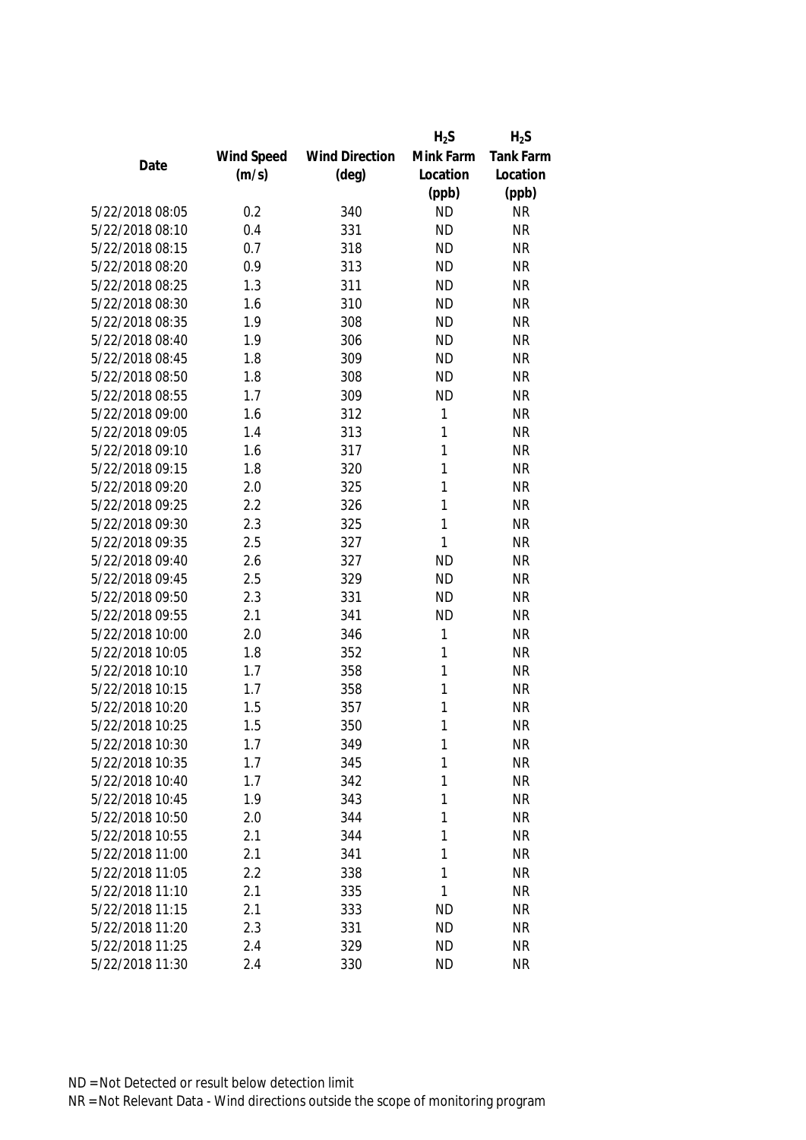|                 |            |                       | $H_2S$    | $H_2S$           |
|-----------------|------------|-----------------------|-----------|------------------|
|                 | Wind Speed | <b>Wind Direction</b> | Mink Farm | <b>Tank Farm</b> |
| Date            | (m/s)      | $(\text{deg})$        | Location  | Location         |
|                 |            |                       | (ppb)     | (ppb)            |
| 5/22/2018 08:05 | 0.2        | 340                   | <b>ND</b> | <b>NR</b>        |
| 5/22/2018 08:10 | 0.4        | 331                   | <b>ND</b> | <b>NR</b>        |
| 5/22/2018 08:15 | 0.7        | 318                   | <b>ND</b> | <b>NR</b>        |
| 5/22/2018 08:20 | 0.9        | 313                   | <b>ND</b> | <b>NR</b>        |
| 5/22/2018 08:25 | 1.3        | 311                   | <b>ND</b> | <b>NR</b>        |
| 5/22/2018 08:30 | 1.6        | 310                   | <b>ND</b> | <b>NR</b>        |
| 5/22/2018 08:35 | 1.9        | 308                   | <b>ND</b> | <b>NR</b>        |
| 5/22/2018 08:40 | 1.9        | 306                   | <b>ND</b> | <b>NR</b>        |
| 5/22/2018 08:45 | 1.8        | 309                   | <b>ND</b> | <b>NR</b>        |
| 5/22/2018 08:50 | 1.8        | 308                   | <b>ND</b> | <b>NR</b>        |
| 5/22/2018 08:55 | 1.7        | 309                   | <b>ND</b> | <b>NR</b>        |
| 5/22/2018 09:00 | 1.6        | 312                   | 1         | <b>NR</b>        |
| 5/22/2018 09:05 | 1.4        | 313                   | 1         | <b>NR</b>        |
| 5/22/2018 09:10 | 1.6        | 317                   | 1         | <b>NR</b>        |
| 5/22/2018 09:15 | 1.8        | 320                   | 1         | <b>NR</b>        |
| 5/22/2018 09:20 | 2.0        | 325                   | 1         | <b>NR</b>        |
| 5/22/2018 09:25 | 2.2        | 326                   | 1         | <b>NR</b>        |
| 5/22/2018 09:30 | 2.3        | 325                   | 1         | <b>NR</b>        |
| 5/22/2018 09:35 | 2.5        | 327                   | 1         | <b>NR</b>        |
| 5/22/2018 09:40 | 2.6        | 327                   | <b>ND</b> | <b>NR</b>        |
| 5/22/2018 09:45 | 2.5        | 329                   | <b>ND</b> | <b>NR</b>        |
| 5/22/2018 09:50 | 2.3        | 331                   | <b>ND</b> | <b>NR</b>        |
| 5/22/2018 09:55 | 2.1        | 341                   | <b>ND</b> | <b>NR</b>        |
| 5/22/2018 10:00 | 2.0        | 346                   | 1         | <b>NR</b>        |
| 5/22/2018 10:05 | 1.8        | 352                   | 1         | <b>NR</b>        |
| 5/22/2018 10:10 | 1.7        | 358                   | 1         | <b>NR</b>        |
| 5/22/2018 10:15 | 1.7        | 358                   | 1         | <b>NR</b>        |
| 5/22/2018 10:20 | 1.5        | 357                   | 1         | <b>NR</b>        |
| 5/22/2018 10:25 | 1.5        | 350                   | 1         | <b>NR</b>        |
| 5/22/2018 10:30 | 1.7        | 349                   | 1         | <b>NR</b>        |
| 5/22/2018 10:35 | 1.7        | 345                   | 1         | <b>NR</b>        |
| 5/22/2018 10:40 | 1.7        | 342                   | 1         | <b>NR</b>        |
| 5/22/2018 10:45 | 1.9        | 343                   | 1         | <b>NR</b>        |
| 5/22/2018 10:50 | 2.0        | 344                   | 1         | <b>NR</b>        |
| 5/22/2018 10:55 | 2.1        | 344                   | 1         | <b>NR</b>        |
| 5/22/2018 11:00 | 2.1        | 341                   | 1         | <b>NR</b>        |
| 5/22/2018 11:05 | 2.2        | 338                   | 1         | <b>NR</b>        |
| 5/22/2018 11:10 | 2.1        | 335                   | 1         | <b>NR</b>        |
| 5/22/2018 11:15 | 2.1        | 333                   | <b>ND</b> | <b>NR</b>        |
| 5/22/2018 11:20 | 2.3        | 331                   | <b>ND</b> | <b>NR</b>        |
| 5/22/2018 11:25 | 2.4        | 329                   | <b>ND</b> | <b>NR</b>        |
| 5/22/2018 11:30 | 2.4        | 330                   | <b>ND</b> | <b>NR</b>        |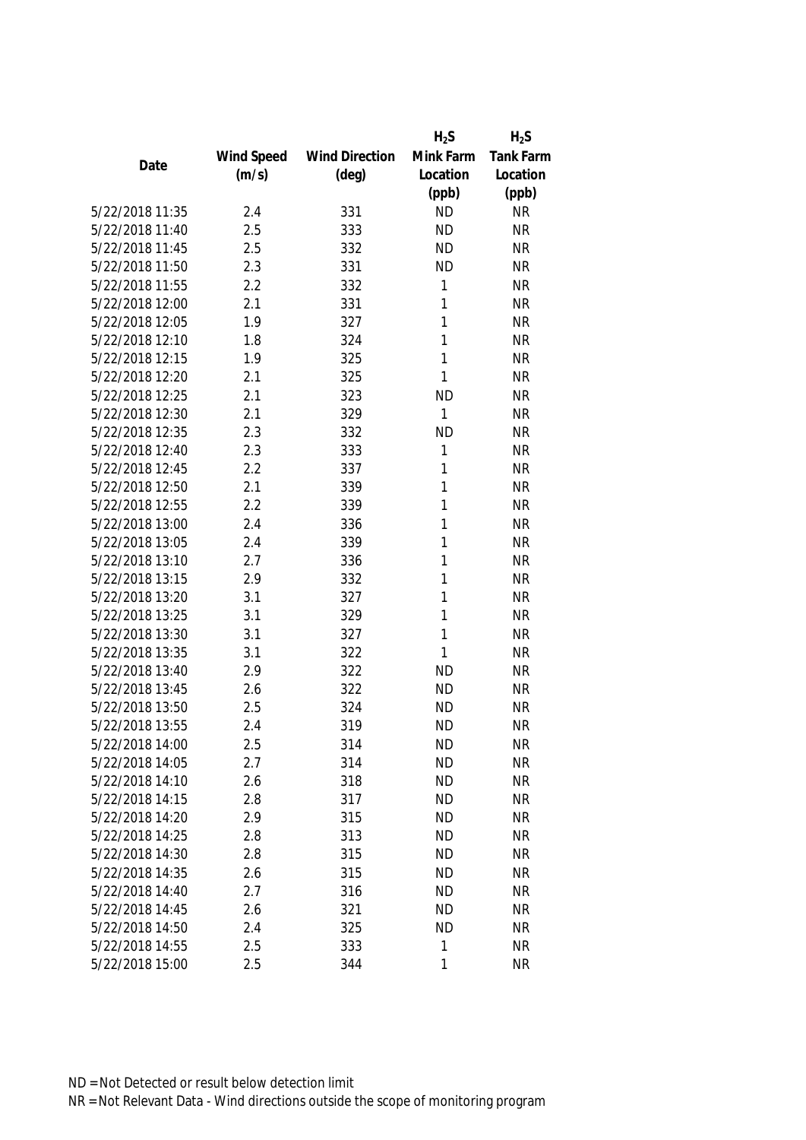|                 |            |                       | $H_2S$    | $H_2S$           |
|-----------------|------------|-----------------------|-----------|------------------|
|                 | Wind Speed | <b>Wind Direction</b> | Mink Farm | <b>Tank Farm</b> |
| Date            | (m/s)      | $(\text{deg})$        | Location  | Location         |
|                 |            |                       | (ppb)     | (ppb)            |
| 5/22/2018 11:35 | 2.4        | 331                   | <b>ND</b> | <b>NR</b>        |
| 5/22/2018 11:40 | 2.5        | 333                   | <b>ND</b> | <b>NR</b>        |
| 5/22/2018 11:45 | 2.5        | 332                   | <b>ND</b> | <b>NR</b>        |
| 5/22/2018 11:50 | 2.3        | 331                   | <b>ND</b> | <b>NR</b>        |
| 5/22/2018 11:55 | 2.2        | 332                   | 1         | <b>NR</b>        |
| 5/22/2018 12:00 | 2.1        | 331                   | 1         | <b>NR</b>        |
| 5/22/2018 12:05 | 1.9        | 327                   | 1         | <b>NR</b>        |
| 5/22/2018 12:10 | 1.8        | 324                   | 1         | <b>NR</b>        |
| 5/22/2018 12:15 | 1.9        | 325                   | 1         | <b>NR</b>        |
| 5/22/2018 12:20 | 2.1        | 325                   | 1         | <b>NR</b>        |
| 5/22/2018 12:25 | 2.1        | 323                   | <b>ND</b> | <b>NR</b>        |
| 5/22/2018 12:30 | 2.1        | 329                   | 1         | <b>NR</b>        |
| 5/22/2018 12:35 | 2.3        | 332                   | <b>ND</b> | <b>NR</b>        |
| 5/22/2018 12:40 | 2.3        | 333                   | 1         | <b>NR</b>        |
| 5/22/2018 12:45 | 2.2        | 337                   | 1         | <b>NR</b>        |
| 5/22/2018 12:50 | 2.1        | 339                   | 1         | <b>NR</b>        |
| 5/22/2018 12:55 | 2.2        | 339                   | 1         | <b>NR</b>        |
| 5/22/2018 13:00 | 2.4        | 336                   | 1         | <b>NR</b>        |
| 5/22/2018 13:05 | 2.4        | 339                   | 1         | <b>NR</b>        |
| 5/22/2018 13:10 | 2.7        | 336                   | 1         | <b>NR</b>        |
| 5/22/2018 13:15 | 2.9        | 332                   | 1         | <b>NR</b>        |
| 5/22/2018 13:20 | 3.1        | 327                   | 1         | <b>NR</b>        |
| 5/22/2018 13:25 | 3.1        | 329                   | 1         | <b>NR</b>        |
| 5/22/2018 13:30 | 3.1        | 327                   | 1         | <b>NR</b>        |
| 5/22/2018 13:35 | 3.1        | 322                   | 1         | <b>NR</b>        |
| 5/22/2018 13:40 | 2.9        | 322                   | <b>ND</b> | <b>NR</b>        |
| 5/22/2018 13:45 | 2.6        | 322                   | <b>ND</b> | <b>NR</b>        |
| 5/22/2018 13:50 | 2.5        | 324                   | <b>ND</b> | <b>NR</b>        |
| 5/22/2018 13:55 | 2.4        | 319                   | <b>ND</b> | <b>NR</b>        |
| 5/22/2018 14:00 | 2.5        | 314                   | <b>ND</b> | NR               |
| 5/22/2018 14:05 | 2.7        | 314                   | <b>ND</b> | <b>NR</b>        |
| 5/22/2018 14:10 | 2.6        | 318                   | <b>ND</b> | <b>NR</b>        |
| 5/22/2018 14:15 | 2.8        | 317                   | <b>ND</b> | <b>NR</b>        |
| 5/22/2018 14:20 | 2.9        | 315                   | <b>ND</b> | <b>NR</b>        |
| 5/22/2018 14:25 | 2.8        | 313                   | <b>ND</b> | <b>NR</b>        |
| 5/22/2018 14:30 | 2.8        | 315                   | <b>ND</b> | <b>NR</b>        |
| 5/22/2018 14:35 | 2.6        | 315                   | <b>ND</b> | <b>NR</b>        |
| 5/22/2018 14:40 | 2.7        | 316                   | <b>ND</b> | <b>NR</b>        |
| 5/22/2018 14:45 | 2.6        | 321                   | <b>ND</b> | <b>NR</b>        |
| 5/22/2018 14:50 | 2.4        | 325                   | <b>ND</b> | <b>NR</b>        |
| 5/22/2018 14:55 | 2.5        | 333                   | 1         | <b>NR</b>        |
| 5/22/2018 15:00 | 2.5        | 344                   | 1         | <b>NR</b>        |
|                 |            |                       |           |                  |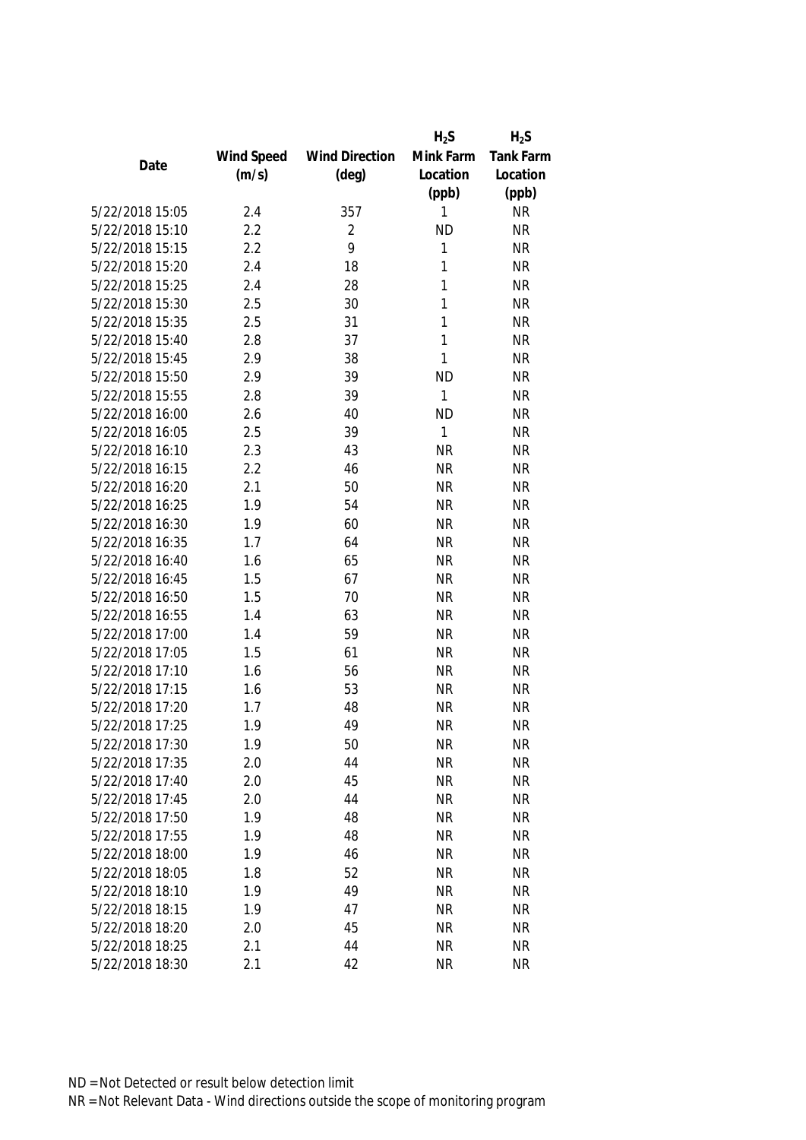|                 |            |                       | $H_2S$       | $H_2S$           |
|-----------------|------------|-----------------------|--------------|------------------|
|                 | Wind Speed | <b>Wind Direction</b> | Mink Farm    | <b>Tank Farm</b> |
| Date            | (m/s)      | $(\text{deg})$        | Location     | Location         |
|                 |            |                       | (ppb)        | (ppb)            |
| 5/22/2018 15:05 | 2.4        | 357                   | 1            | <b>NR</b>        |
| 5/22/2018 15:10 | 2.2        | 2                     | <b>ND</b>    | <b>NR</b>        |
| 5/22/2018 15:15 | 2.2        | 9                     | 1            | <b>NR</b>        |
| 5/22/2018 15:20 | 2.4        | 18                    | 1            | <b>NR</b>        |
| 5/22/2018 15:25 | 2.4        | 28                    | 1            | <b>NR</b>        |
| 5/22/2018 15:30 | 2.5        | 30                    | 1            | <b>NR</b>        |
| 5/22/2018 15:35 | 2.5        | 31                    | $\mathbf{1}$ | <b>NR</b>        |
| 5/22/2018 15:40 | 2.8        | 37                    | 1            | <b>NR</b>        |
| 5/22/2018 15:45 | 2.9        | 38                    | 1            | <b>NR</b>        |
| 5/22/2018 15:50 | 2.9        | 39                    | <b>ND</b>    | <b>NR</b>        |
| 5/22/2018 15:55 | 2.8        | 39                    | $\mathbf{1}$ | <b>NR</b>        |
| 5/22/2018 16:00 | 2.6        | 40                    | <b>ND</b>    | <b>NR</b>        |
| 5/22/2018 16:05 | 2.5        | 39                    | 1            | <b>NR</b>        |
| 5/22/2018 16:10 | 2.3        | 43                    | <b>NR</b>    | <b>NR</b>        |
| 5/22/2018 16:15 | 2.2        | 46                    | <b>NR</b>    | <b>NR</b>        |
| 5/22/2018 16:20 | 2.1        | 50                    | <b>NR</b>    | <b>NR</b>        |
| 5/22/2018 16:25 | 1.9        | 54                    | <b>NR</b>    | <b>NR</b>        |
| 5/22/2018 16:30 | 1.9        | 60                    | <b>NR</b>    | <b>NR</b>        |
| 5/22/2018 16:35 | 1.7        | 64                    | <b>NR</b>    | <b>NR</b>        |
| 5/22/2018 16:40 | 1.6        | 65                    | <b>NR</b>    | <b>NR</b>        |
| 5/22/2018 16:45 | 1.5        | 67                    | <b>NR</b>    | <b>NR</b>        |
| 5/22/2018 16:50 | 1.5        | 70                    | <b>NR</b>    | <b>NR</b>        |
| 5/22/2018 16:55 | 1.4        | 63                    | <b>NR</b>    | <b>NR</b>        |
| 5/22/2018 17:00 | 1.4        | 59                    | <b>NR</b>    | <b>NR</b>        |
| 5/22/2018 17:05 | 1.5        | 61                    | <b>NR</b>    | <b>NR</b>        |
| 5/22/2018 17:10 | 1.6        | 56                    | <b>NR</b>    | <b>NR</b>        |
| 5/22/2018 17:15 | 1.6        | 53                    | <b>NR</b>    | <b>NR</b>        |
| 5/22/2018 17:20 | 1.7        | 48                    | <b>NR</b>    | <b>NR</b>        |
| 5/22/2018 17:25 | 1.9        | 49                    | <b>NR</b>    | <b>NR</b>        |
| 5/22/2018 17:30 | 1.9        | 50                    | <b>NR</b>    | <b>NR</b>        |
| 5/22/2018 17:35 | 2.0        | 44                    | <b>NR</b>    | <b>NR</b>        |
| 5/22/2018 17:40 | 2.0        | 45                    | <b>NR</b>    | <b>NR</b>        |
| 5/22/2018 17:45 | 2.0        | 44                    | <b>NR</b>    | <b>NR</b>        |
| 5/22/2018 17:50 | 1.9        | 48                    | <b>NR</b>    | <b>NR</b>        |
| 5/22/2018 17:55 | 1.9        | 48                    | <b>NR</b>    | <b>NR</b>        |
| 5/22/2018 18:00 | 1.9        | 46                    | <b>NR</b>    | <b>NR</b>        |
| 5/22/2018 18:05 | 1.8        | 52                    | <b>NR</b>    | <b>NR</b>        |
| 5/22/2018 18:10 | 1.9        | 49                    | <b>NR</b>    | <b>NR</b>        |
| 5/22/2018 18:15 | 1.9        | 47                    | <b>NR</b>    | <b>NR</b>        |
| 5/22/2018 18:20 | 2.0        | 45                    | <b>NR</b>    | <b>NR</b>        |
| 5/22/2018 18:25 | 2.1        | 44                    | <b>NR</b>    | <b>NR</b>        |
| 5/22/2018 18:30 | 2.1        | 42                    | <b>NR</b>    | <b>NR</b>        |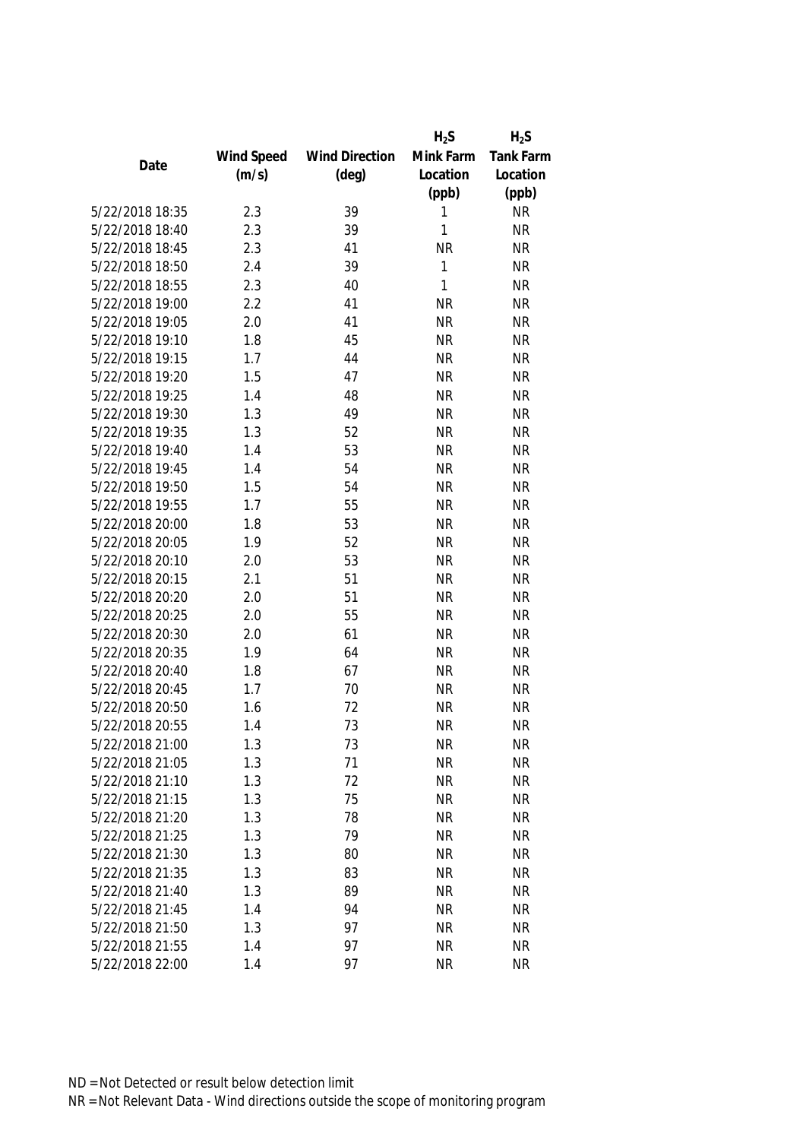|                 |            |                       | $H_2S$       | $H_2S$           |
|-----------------|------------|-----------------------|--------------|------------------|
|                 | Wind Speed | <b>Wind Direction</b> | Mink Farm    | <b>Tank Farm</b> |
| Date            | (m/s)      | $(\text{deg})$        | Location     | Location         |
|                 |            |                       | (ppb)        | (ppb)            |
| 5/22/2018 18:35 | 2.3        | 39                    | 1            | <b>NR</b>        |
| 5/22/2018 18:40 | 2.3        | 39                    | 1            | <b>NR</b>        |
| 5/22/2018 18:45 | 2.3        | 41                    | <b>NR</b>    | <b>NR</b>        |
| 5/22/2018 18:50 | 2.4        | 39                    | $\mathbf{1}$ | <b>NR</b>        |
| 5/22/2018 18:55 | 2.3        | 40                    | 1            | <b>NR</b>        |
| 5/22/2018 19:00 | 2.2        | 41                    | <b>NR</b>    | <b>NR</b>        |
| 5/22/2018 19:05 | 2.0        | 41                    | <b>NR</b>    | <b>NR</b>        |
| 5/22/2018 19:10 | 1.8        | 45                    | <b>NR</b>    | <b>NR</b>        |
| 5/22/2018 19:15 | 1.7        | 44                    | <b>NR</b>    | <b>NR</b>        |
| 5/22/2018 19:20 | 1.5        | 47                    | <b>NR</b>    | <b>NR</b>        |
| 5/22/2018 19:25 | 1.4        | 48                    | <b>NR</b>    | <b>NR</b>        |
| 5/22/2018 19:30 | 1.3        | 49                    | <b>NR</b>    | <b>NR</b>        |
| 5/22/2018 19:35 | 1.3        | 52                    | <b>NR</b>    | <b>NR</b>        |
| 5/22/2018 19:40 | 1.4        | 53                    | <b>NR</b>    | <b>NR</b>        |
| 5/22/2018 19:45 | 1.4        | 54                    | <b>NR</b>    | <b>NR</b>        |
| 5/22/2018 19:50 | 1.5        | 54                    | <b>NR</b>    | <b>NR</b>        |
| 5/22/2018 19:55 | 1.7        | 55                    | <b>NR</b>    | <b>NR</b>        |
| 5/22/2018 20:00 | 1.8        | 53                    | <b>NR</b>    | <b>NR</b>        |
| 5/22/2018 20:05 | 1.9        | 52                    | <b>NR</b>    | <b>NR</b>        |
| 5/22/2018 20:10 | 2.0        | 53                    | <b>NR</b>    | <b>NR</b>        |
| 5/22/2018 20:15 | 2.1        | 51                    | <b>NR</b>    | <b>NR</b>        |
| 5/22/2018 20:20 | 2.0        | 51                    | <b>NR</b>    | <b>NR</b>        |
| 5/22/2018 20:25 | 2.0        | 55                    | <b>NR</b>    | <b>NR</b>        |
| 5/22/2018 20:30 | 2.0        | 61                    | <b>NR</b>    | <b>NR</b>        |
| 5/22/2018 20:35 | 1.9        | 64                    | <b>NR</b>    | <b>NR</b>        |
| 5/22/2018 20:40 | 1.8        | 67                    | <b>NR</b>    | <b>NR</b>        |
| 5/22/2018 20:45 | 1.7        | 70                    | <b>NR</b>    | <b>NR</b>        |
| 5/22/2018 20:50 | 1.6        | 72                    | <b>NR</b>    | <b>NR</b>        |
| 5/22/2018 20:55 | 1.4        | 73                    | <b>NR</b>    | <b>NR</b>        |
| 5/22/2018 21:00 | 1.3        | 73                    | <b>NR</b>    | <b>NR</b>        |
| 5/22/2018 21:05 | 1.3        | 71                    | <b>NR</b>    | <b>NR</b>        |
| 5/22/2018 21:10 | 1.3        | 72                    | <b>NR</b>    | <b>NR</b>        |
| 5/22/2018 21:15 | 1.3        | 75                    | <b>NR</b>    | <b>NR</b>        |
| 5/22/2018 21:20 | 1.3        | 78                    | <b>NR</b>    | <b>NR</b>        |
| 5/22/2018 21:25 | 1.3        | 79                    | <b>NR</b>    | <b>NR</b>        |
| 5/22/2018 21:30 | 1.3        | 80                    | <b>NR</b>    | <b>NR</b>        |
| 5/22/2018 21:35 | 1.3        | 83                    | <b>NR</b>    | <b>NR</b>        |
| 5/22/2018 21:40 | 1.3        | 89                    | <b>NR</b>    | <b>NR</b>        |
| 5/22/2018 21:45 | 1.4        | 94                    | <b>NR</b>    | <b>NR</b>        |
| 5/22/2018 21:50 | 1.3        | 97                    | <b>NR</b>    | <b>NR</b>        |
| 5/22/2018 21:55 | 1.4        | 97                    | <b>NR</b>    | <b>NR</b>        |
| 5/22/2018 22:00 | 1.4        | 97                    | <b>NR</b>    | <b>NR</b>        |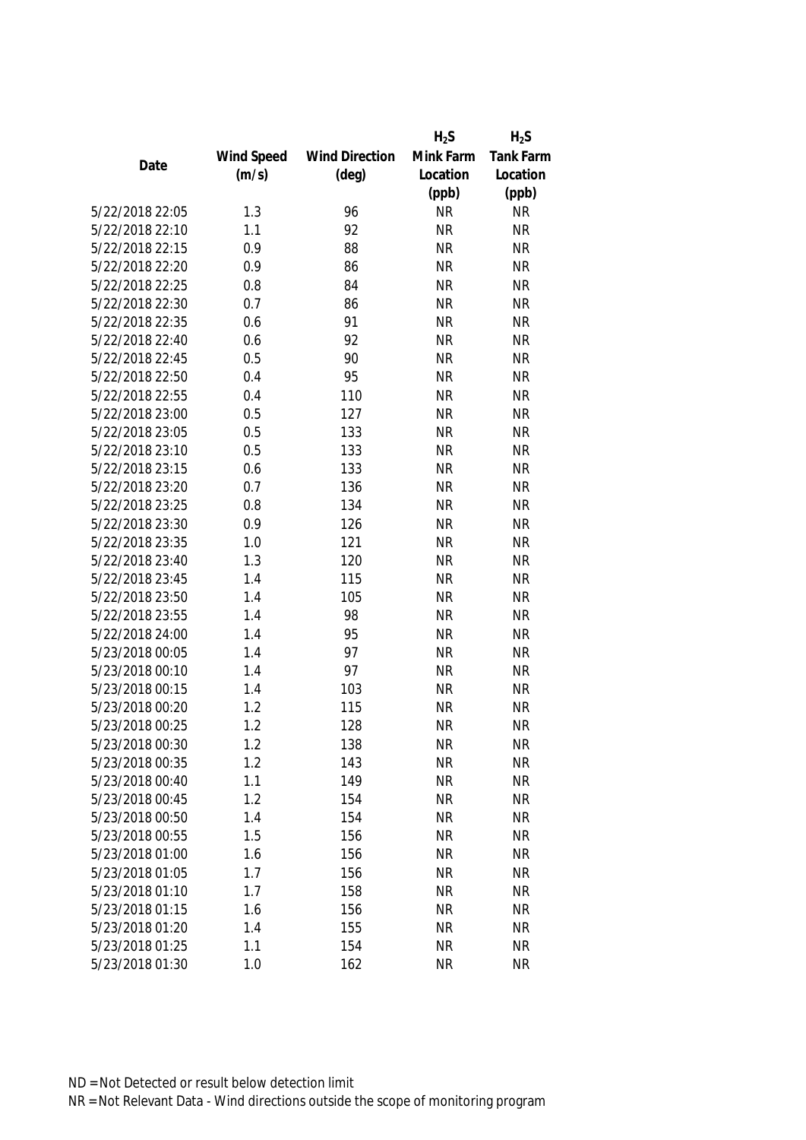|                 |            |                       | $H_2S$    | $H_2S$           |
|-----------------|------------|-----------------------|-----------|------------------|
|                 | Wind Speed | <b>Wind Direction</b> | Mink Farm | <b>Tank Farm</b> |
| Date            | (m/s)      | $(\text{deg})$        | Location  | Location         |
|                 |            |                       | (ppb)     | (ppb)            |
| 5/22/2018 22:05 | 1.3        | 96                    | <b>NR</b> | <b>NR</b>        |
| 5/22/2018 22:10 | 1.1        | 92                    | <b>NR</b> | <b>NR</b>        |
| 5/22/2018 22:15 | 0.9        | 88                    | <b>NR</b> | <b>NR</b>        |
| 5/22/2018 22:20 | 0.9        | 86                    | <b>NR</b> | <b>NR</b>        |
| 5/22/2018 22:25 | 0.8        | 84                    | <b>NR</b> | <b>NR</b>        |
| 5/22/2018 22:30 | 0.7        | 86                    | <b>NR</b> | <b>NR</b>        |
| 5/22/2018 22:35 | 0.6        | 91                    | <b>NR</b> | <b>NR</b>        |
| 5/22/2018 22:40 | 0.6        | 92                    | <b>NR</b> | <b>NR</b>        |
| 5/22/2018 22:45 | 0.5        | 90                    | <b>NR</b> | <b>NR</b>        |
| 5/22/2018 22:50 | 0.4        | 95                    | <b>NR</b> | <b>NR</b>        |
| 5/22/2018 22:55 | 0.4        | 110                   | <b>NR</b> | <b>NR</b>        |
| 5/22/2018 23:00 | 0.5        | 127                   | <b>NR</b> | <b>NR</b>        |
| 5/22/2018 23:05 | 0.5        | 133                   | <b>NR</b> | <b>NR</b>        |
| 5/22/2018 23:10 | 0.5        | 133                   | <b>NR</b> | <b>NR</b>        |
| 5/22/2018 23:15 | 0.6        | 133                   | <b>NR</b> | <b>NR</b>        |
| 5/22/2018 23:20 | 0.7        | 136                   | <b>NR</b> | <b>NR</b>        |
| 5/22/2018 23:25 | 0.8        | 134                   | <b>NR</b> | <b>NR</b>        |
| 5/22/2018 23:30 | 0.9        | 126                   | <b>NR</b> | <b>NR</b>        |
| 5/22/2018 23:35 | 1.0        | 121                   | <b>NR</b> | <b>NR</b>        |
| 5/22/2018 23:40 | 1.3        | 120                   | <b>NR</b> | <b>NR</b>        |
| 5/22/2018 23:45 | 1.4        | 115                   | <b>NR</b> | <b>NR</b>        |
| 5/22/2018 23:50 | 1.4        | 105                   | <b>NR</b> | <b>NR</b>        |
| 5/22/2018 23:55 | 1.4        | 98                    | <b>NR</b> | <b>NR</b>        |
| 5/22/2018 24:00 | 1.4        | 95                    | <b>NR</b> | <b>NR</b>        |
| 5/23/2018 00:05 | 1.4        | 97                    | <b>NR</b> | <b>NR</b>        |
| 5/23/2018 00:10 | 1.4        | 97                    | <b>NR</b> | <b>NR</b>        |
| 5/23/2018 00:15 | 1.4        | 103                   | <b>NR</b> | <b>NR</b>        |
| 5/23/2018 00:20 | 1.2        | 115                   | <b>NR</b> | <b>NR</b>        |
| 5/23/2018 00:25 | 1.2        | 128                   | <b>NR</b> | <b>NR</b>        |
| 5/23/2018 00:30 | 1.2        | 138                   | <b>NR</b> | <b>NR</b>        |
| 5/23/2018 00:35 | 1.2        | 143                   | <b>NR</b> | <b>NR</b>        |
| 5/23/2018 00:40 | 1.1        | 149                   | <b>NR</b> | <b>NR</b>        |
| 5/23/2018 00:45 | 1.2        | 154                   | <b>NR</b> | <b>NR</b>        |
| 5/23/2018 00:50 | 1.4        | 154                   | NR        | <b>NR</b>        |
| 5/23/2018 00:55 | 1.5        | 156                   | <b>NR</b> | <b>NR</b>        |
| 5/23/2018 01:00 | 1.6        | 156                   | <b>NR</b> | <b>NR</b>        |
| 5/23/2018 01:05 | 1.7        | 156                   | <b>NR</b> | <b>NR</b>        |
| 5/23/2018 01:10 | 1.7        | 158                   | <b>NR</b> | <b>NR</b>        |
| 5/23/2018 01:15 | 1.6        | 156                   | <b>NR</b> | <b>NR</b>        |
| 5/23/2018 01:20 | 1.4        | 155                   | <b>NR</b> | <b>NR</b>        |
| 5/23/2018 01:25 | 1.1        | 154                   | <b>NR</b> | <b>NR</b>        |
| 5/23/2018 01:30 | 1.0        | 162                   | <b>NR</b> | <b>NR</b>        |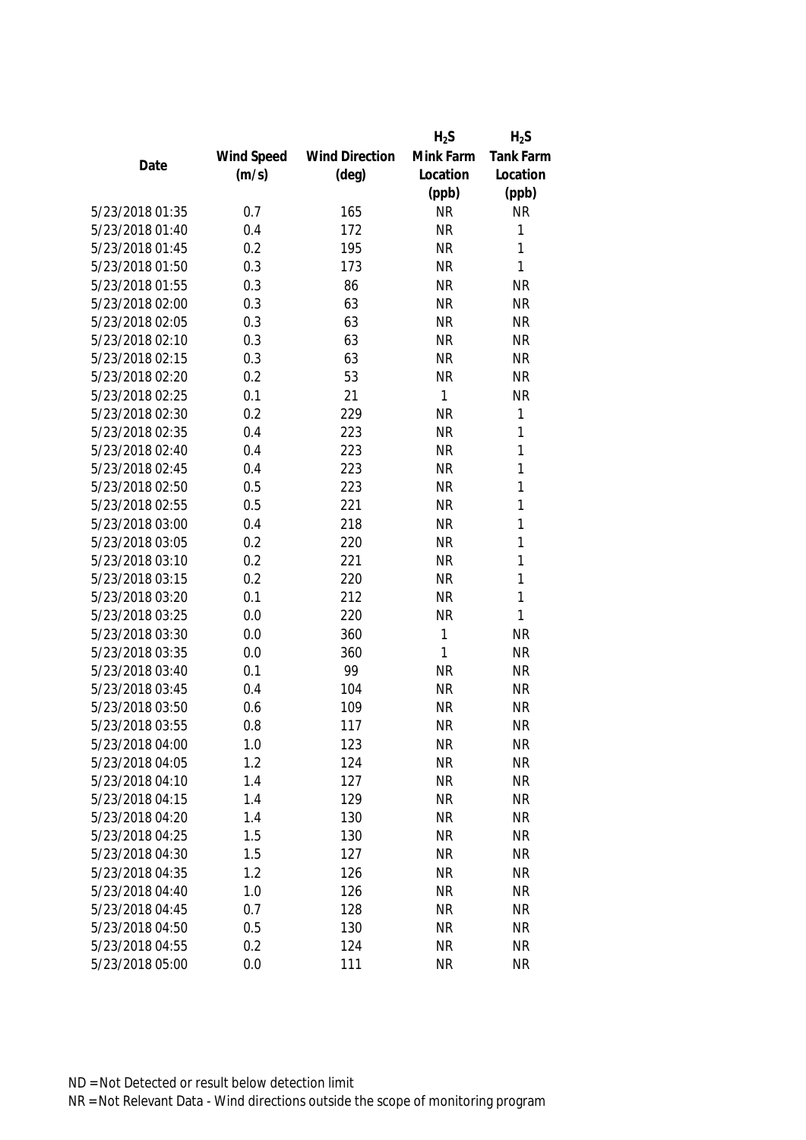|                 |            |                       | $H_2S$       | $H_2S$           |
|-----------------|------------|-----------------------|--------------|------------------|
|                 | Wind Speed | <b>Wind Direction</b> | Mink Farm    | <b>Tank Farm</b> |
| Date            | (m/s)      | $(\text{deg})$        | Location     | Location         |
|                 |            |                       | (ppb)        | (ppb)            |
| 5/23/2018 01:35 | 0.7        | 165                   | <b>NR</b>    | <b>NR</b>        |
| 5/23/2018 01:40 | 0.4        | 172                   | <b>NR</b>    | 1                |
| 5/23/2018 01:45 | 0.2        | 195                   | <b>NR</b>    | 1                |
| 5/23/2018 01:50 | 0.3        | 173                   | <b>NR</b>    | 1                |
| 5/23/2018 01:55 | 0.3        | 86                    | <b>NR</b>    | <b>NR</b>        |
| 5/23/2018 02:00 | 0.3        | 63                    | <b>NR</b>    | <b>NR</b>        |
| 5/23/2018 02:05 | 0.3        | 63                    | <b>NR</b>    | <b>NR</b>        |
| 5/23/2018 02:10 | 0.3        | 63                    | <b>NR</b>    | <b>NR</b>        |
| 5/23/2018 02:15 | 0.3        | 63                    | <b>NR</b>    | <b>NR</b>        |
| 5/23/2018 02:20 | 0.2        | 53                    | <b>NR</b>    | <b>NR</b>        |
| 5/23/2018 02:25 | 0.1        | 21                    | $\mathbf{1}$ | <b>NR</b>        |
| 5/23/2018 02:30 | 0.2        | 229                   | <b>NR</b>    | 1                |
| 5/23/2018 02:35 | 0.4        | 223                   | <b>NR</b>    | 1                |
| 5/23/2018 02:40 | 0.4        | 223                   | <b>NR</b>    | 1                |
| 5/23/2018 02:45 | 0.4        | 223                   | <b>NR</b>    | 1                |
| 5/23/2018 02:50 | 0.5        | 223                   | <b>NR</b>    | 1                |
| 5/23/2018 02:55 | 0.5        | 221                   | <b>NR</b>    | 1                |
| 5/23/2018 03:00 | 0.4        | 218                   | <b>NR</b>    | 1                |
| 5/23/2018 03:05 | 0.2        | 220                   | <b>NR</b>    | 1                |
| 5/23/2018 03:10 | 0.2        | 221                   | <b>NR</b>    | 1                |
| 5/23/2018 03:15 | 0.2        | 220                   | <b>NR</b>    | 1                |
| 5/23/2018 03:20 | 0.1        | 212                   | <b>NR</b>    | 1                |
| 5/23/2018 03:25 | 0.0        | 220                   | <b>NR</b>    | 1                |
| 5/23/2018 03:30 | 0.0        | 360                   | $\mathbf{1}$ | <b>NR</b>        |
| 5/23/2018 03:35 | 0.0        | 360                   | 1            | <b>NR</b>        |
| 5/23/2018 03:40 | 0.1        | 99                    | <b>NR</b>    | <b>NR</b>        |
| 5/23/2018 03:45 | 0.4        | 104                   | <b>NR</b>    | <b>NR</b>        |
| 5/23/2018 03:50 | 0.6        | 109                   | <b>NR</b>    | <b>NR</b>        |
| 5/23/2018 03:55 | 0.8        | 117                   | <b>NR</b>    | <b>NR</b>        |
| 5/23/2018 04:00 | 1.0        | 123                   | <b>NR</b>    | <b>NR</b>        |
| 5/23/2018 04:05 | 1.2        | 124                   | <b>NR</b>    | <b>NR</b>        |
| 5/23/2018 04:10 | 1.4        | 127                   | <b>NR</b>    | <b>NR</b>        |
| 5/23/2018 04:15 | 1.4        | 129                   | <b>NR</b>    | <b>NR</b>        |
| 5/23/2018 04:20 | 1.4        | 130                   | <b>NR</b>    | <b>NR</b>        |
| 5/23/2018 04:25 | 1.5        | 130                   | <b>NR</b>    | <b>NR</b>        |
| 5/23/2018 04:30 | 1.5        | 127                   | <b>NR</b>    | <b>NR</b>        |
| 5/23/2018 04:35 | 1.2        | 126                   | <b>NR</b>    | <b>NR</b>        |
| 5/23/2018 04:40 | 1.0        | 126                   | <b>NR</b>    | <b>NR</b>        |
| 5/23/2018 04:45 | 0.7        | 128                   | <b>NR</b>    | <b>NR</b>        |
| 5/23/2018 04:50 | 0.5        | 130                   | <b>NR</b>    | <b>NR</b>        |
| 5/23/2018 04:55 | 0.2        | 124                   | <b>NR</b>    | <b>NR</b>        |
| 5/23/2018 05:00 | 0.0        | 111                   | <b>NR</b>    | <b>NR</b>        |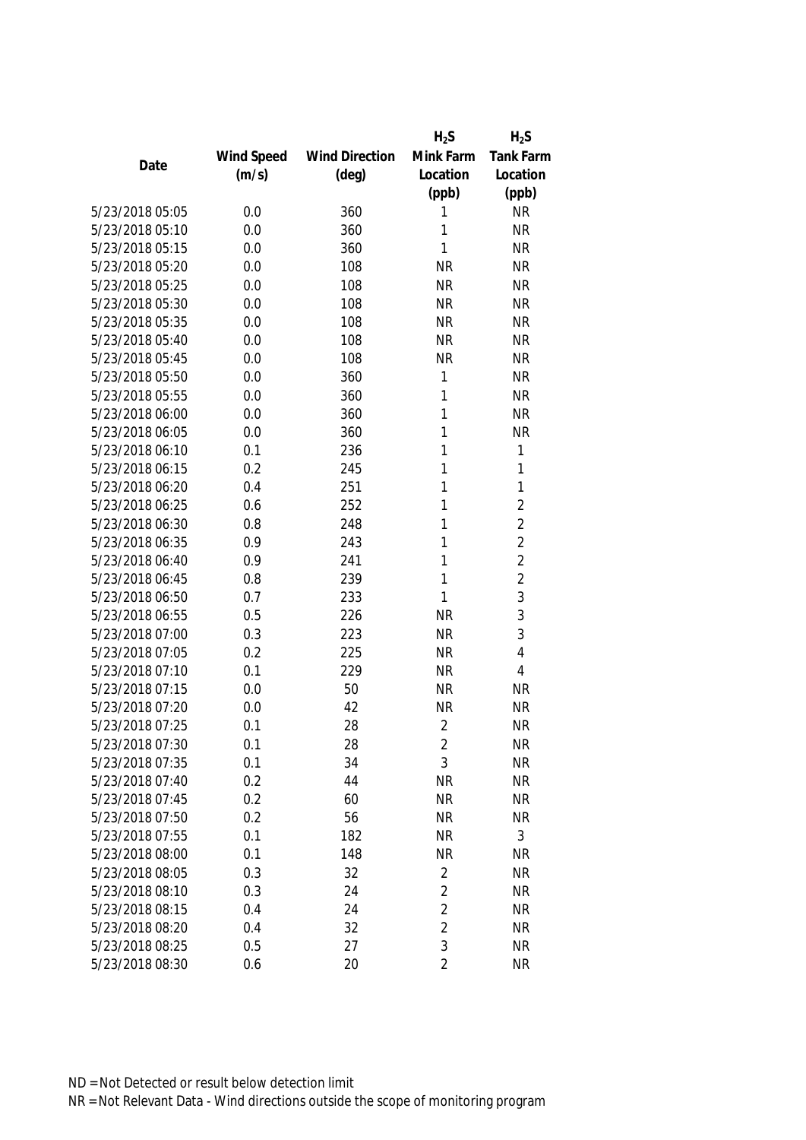|                 |            |                       | $H_2S$         | $H_2S$           |
|-----------------|------------|-----------------------|----------------|------------------|
|                 | Wind Speed | <b>Wind Direction</b> | Mink Farm      | <b>Tank Farm</b> |
| Date            | (m/s)      | $(\text{deg})$        | Location       | Location         |
|                 |            |                       | (ppb)          | (ppb)            |
| 5/23/2018 05:05 | 0.0        | 360                   | 1              | <b>NR</b>        |
| 5/23/2018 05:10 | 0.0        | 360                   | 1              | <b>NR</b>        |
| 5/23/2018 05:15 | 0.0        | 360                   | 1              | <b>NR</b>        |
| 5/23/2018 05:20 | 0.0        | 108                   | <b>NR</b>      | <b>NR</b>        |
| 5/23/2018 05:25 | 0.0        | 108                   | <b>NR</b>      | <b>NR</b>        |
| 5/23/2018 05:30 | 0.0        | 108                   | <b>NR</b>      | <b>NR</b>        |
| 5/23/2018 05:35 | 0.0        | 108                   | <b>NR</b>      | <b>NR</b>        |
| 5/23/2018 05:40 | 0.0        | 108                   | <b>NR</b>      | <b>NR</b>        |
| 5/23/2018 05:45 | 0.0        | 108                   | <b>NR</b>      | <b>NR</b>        |
| 5/23/2018 05:50 | 0.0        | 360                   | 1              | <b>NR</b>        |
| 5/23/2018 05:55 | 0.0        | 360                   | 1              | <b>NR</b>        |
| 5/23/2018 06:00 | 0.0        | 360                   | 1              | <b>NR</b>        |
| 5/23/2018 06:05 | 0.0        | 360                   | 1              | <b>NR</b>        |
| 5/23/2018 06:10 | 0.1        | 236                   | 1              | 1                |
| 5/23/2018 06:15 | 0.2        | 245                   | 1              | 1                |
| 5/23/2018 06:20 | 0.4        | 251                   | 1              | 1                |
| 5/23/2018 06:25 | 0.6        | 252                   | 1              | $\overline{2}$   |
| 5/23/2018 06:30 | 0.8        | 248                   | 1              | $\overline{c}$   |
| 5/23/2018 06:35 | 0.9        | 243                   | 1              | $\overline{2}$   |
| 5/23/2018 06:40 | 0.9        | 241                   | 1              | $\overline{c}$   |
| 5/23/2018 06:45 | 0.8        | 239                   | 1              | $\overline{c}$   |
| 5/23/2018 06:50 | 0.7        | 233                   | 1              | 3                |
| 5/23/2018 06:55 | 0.5        | 226                   | <b>NR</b>      | 3                |
| 5/23/2018 07:00 | 0.3        | 223                   | <b>NR</b>      | 3                |
| 5/23/2018 07:05 | 0.2        | 225                   | <b>NR</b>      | $\overline{4}$   |
| 5/23/2018 07:10 | 0.1        | 229                   | <b>NR</b>      | 4                |
| 5/23/2018 07:15 | 0.0        | 50                    | <b>NR</b>      | <b>NR</b>        |
| 5/23/2018 07:20 | 0.0        | 42                    | <b>NR</b>      | <b>NR</b>        |
| 5/23/2018 07:25 | 0.1        | 28                    | $\overline{2}$ | <b>NR</b>        |
| 5/23/2018 07:30 | 0.1        | 28                    | 2              | <b>NR</b>        |
| 5/23/2018 07:35 | 0.1        | 34                    | 3              | <b>NR</b>        |
| 5/23/2018 07:40 | 0.2        | 44                    | <b>NR</b>      | <b>NR</b>        |
| 5/23/2018 07:45 | 0.2        | 60                    | <b>NR</b>      | <b>NR</b>        |
| 5/23/2018 07:50 | 0.2        | 56                    | <b>NR</b>      | <b>NR</b>        |
| 5/23/2018 07:55 | 0.1        | 182                   | <b>NR</b>      | 3                |
| 5/23/2018 08:00 | 0.1        | 148                   | <b>NR</b>      | <b>NR</b>        |
| 5/23/2018 08:05 | 0.3        | 32                    | $\overline{2}$ | <b>NR</b>        |
| 5/23/2018 08:10 | 0.3        | 24                    | $\overline{2}$ | <b>NR</b>        |
| 5/23/2018 08:15 | 0.4        | 24                    | $\overline{2}$ | <b>NR</b>        |
| 5/23/2018 08:20 | 0.4        | 32                    | $\overline{2}$ | <b>NR</b>        |
| 5/23/2018 08:25 | 0.5        | 27                    | 3              | <b>NR</b>        |
| 5/23/2018 08:30 | 0.6        | 20                    | $\overline{2}$ | <b>NR</b>        |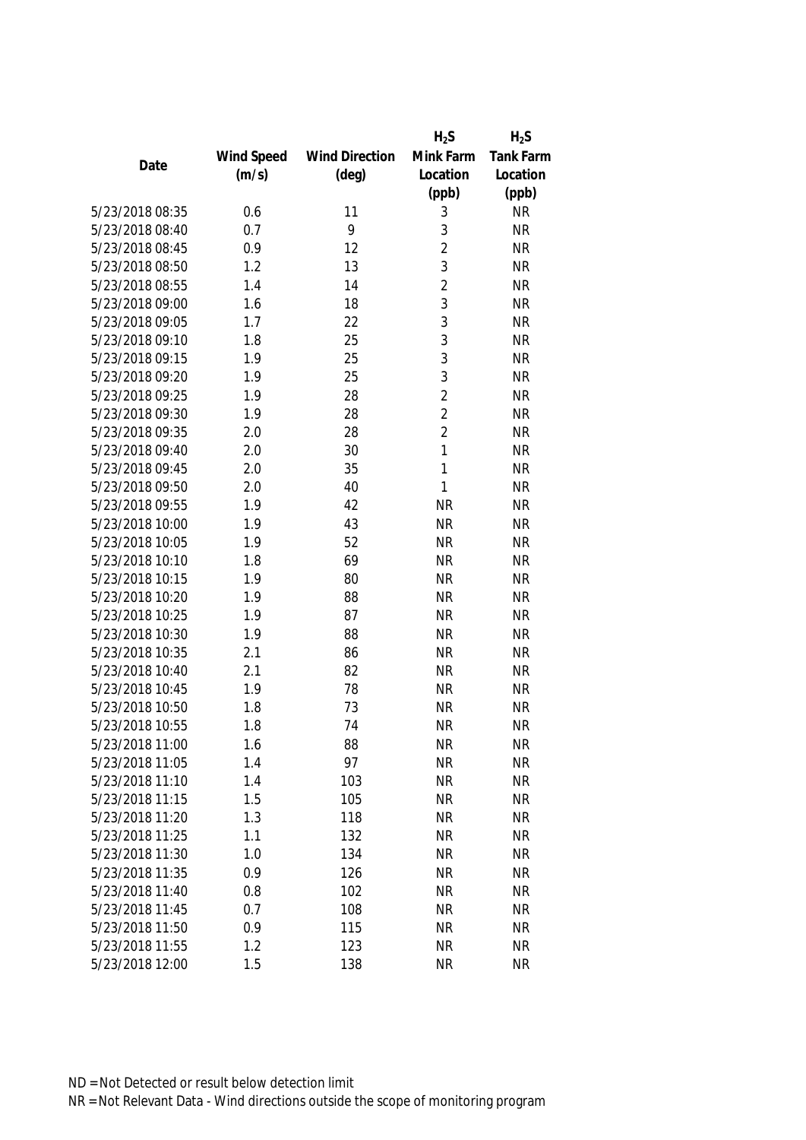|                 |            |                       | $H_2S$         | $H_2S$           |
|-----------------|------------|-----------------------|----------------|------------------|
|                 | Wind Speed | <b>Wind Direction</b> | Mink Farm      | <b>Tank Farm</b> |
| Date            | (m/s)      | $(\text{deg})$        | Location       | Location         |
|                 |            |                       | (ppb)          | (ppb)            |
| 5/23/2018 08:35 | 0.6        | 11                    | 3              | <b>NR</b>        |
| 5/23/2018 08:40 | 0.7        | 9                     | 3              | <b>NR</b>        |
| 5/23/2018 08:45 | 0.9        | 12                    | $\overline{2}$ | <b>NR</b>        |
| 5/23/2018 08:50 | 1.2        | 13                    | 3              | <b>NR</b>        |
| 5/23/2018 08:55 | 1.4        | 14                    | $\overline{2}$ | <b>NR</b>        |
| 5/23/2018 09:00 | 1.6        | 18                    | 3              | <b>NR</b>        |
| 5/23/2018 09:05 | 1.7        | 22                    | 3              | <b>NR</b>        |
| 5/23/2018 09:10 | 1.8        | 25                    | 3              | <b>NR</b>        |
| 5/23/2018 09:15 | 1.9        | 25                    | 3              | <b>NR</b>        |
| 5/23/2018 09:20 | 1.9        | 25                    | 3              | <b>NR</b>        |
| 5/23/2018 09:25 | 1.9        | 28                    | $\overline{2}$ | <b>NR</b>        |
| 5/23/2018 09:30 | 1.9        | 28                    | $\overline{2}$ | <b>NR</b>        |
| 5/23/2018 09:35 | 2.0        | 28                    | $\overline{2}$ | <b>NR</b>        |
| 5/23/2018 09:40 | 2.0        | 30                    | $\mathbf{1}$   | <b>NR</b>        |
| 5/23/2018 09:45 | 2.0        | 35                    | $\mathbf{1}$   | <b>NR</b>        |
| 5/23/2018 09:50 | 2.0        | 40                    | 1              | <b>NR</b>        |
| 5/23/2018 09:55 | 1.9        | 42                    | <b>NR</b>      | <b>NR</b>        |
| 5/23/2018 10:00 | 1.9        | 43                    | <b>NR</b>      | <b>NR</b>        |
| 5/23/2018 10:05 | 1.9        | 52                    | <b>NR</b>      | <b>NR</b>        |
| 5/23/2018 10:10 | 1.8        | 69                    | <b>NR</b>      | <b>NR</b>        |
| 5/23/2018 10:15 | 1.9        | 80                    | <b>NR</b>      | <b>NR</b>        |
| 5/23/2018 10:20 | 1.9        | 88                    | <b>NR</b>      | <b>NR</b>        |
| 5/23/2018 10:25 | 1.9        | 87                    | <b>NR</b>      | <b>NR</b>        |
| 5/23/2018 10:30 | 1.9        | 88                    | <b>NR</b>      | <b>NR</b>        |
| 5/23/2018 10:35 | 2.1        | 86                    | <b>NR</b>      | <b>NR</b>        |
| 5/23/2018 10:40 | 2.1        | 82                    | <b>NR</b>      | <b>NR</b>        |
| 5/23/2018 10:45 | 1.9        | 78                    | <b>NR</b>      | <b>NR</b>        |
| 5/23/2018 10:50 | 1.8        | 73                    | <b>NR</b>      | <b>NR</b>        |
| 5/23/2018 10:55 | 1.8        | 74                    | <b>NR</b>      | <b>NR</b>        |
| 5/23/2018 11:00 | 1.6        | 88                    | <b>NR</b>      | <b>NR</b>        |
| 5/23/2018 11:05 | 1.4        | 97                    | <b>NR</b>      | <b>NR</b>        |
| 5/23/2018 11:10 | 1.4        | 103                   | <b>NR</b>      | <b>NR</b>        |
| 5/23/2018 11:15 | 1.5        | 105                   | <b>NR</b>      | <b>NR</b>        |
| 5/23/2018 11:20 | 1.3        | 118                   | <b>NR</b>      | <b>NR</b>        |
| 5/23/2018 11:25 | 1.1        | 132                   | <b>NR</b>      | <b>NR</b>        |
| 5/23/2018 11:30 | 1.0        | 134                   | <b>NR</b>      | <b>NR</b>        |
| 5/23/2018 11:35 | 0.9        | 126                   | <b>NR</b>      | <b>NR</b>        |
| 5/23/2018 11:40 | 0.8        | 102                   | <b>NR</b>      | <b>NR</b>        |
| 5/23/2018 11:45 | 0.7        | 108                   | <b>NR</b>      | <b>NR</b>        |
| 5/23/2018 11:50 | 0.9        | 115                   | <b>NR</b>      | <b>NR</b>        |
| 5/23/2018 11:55 | 1.2        | 123                   | <b>NR</b>      | <b>NR</b>        |
| 5/23/2018 12:00 | 1.5        | 138                   | <b>NR</b>      | <b>NR</b>        |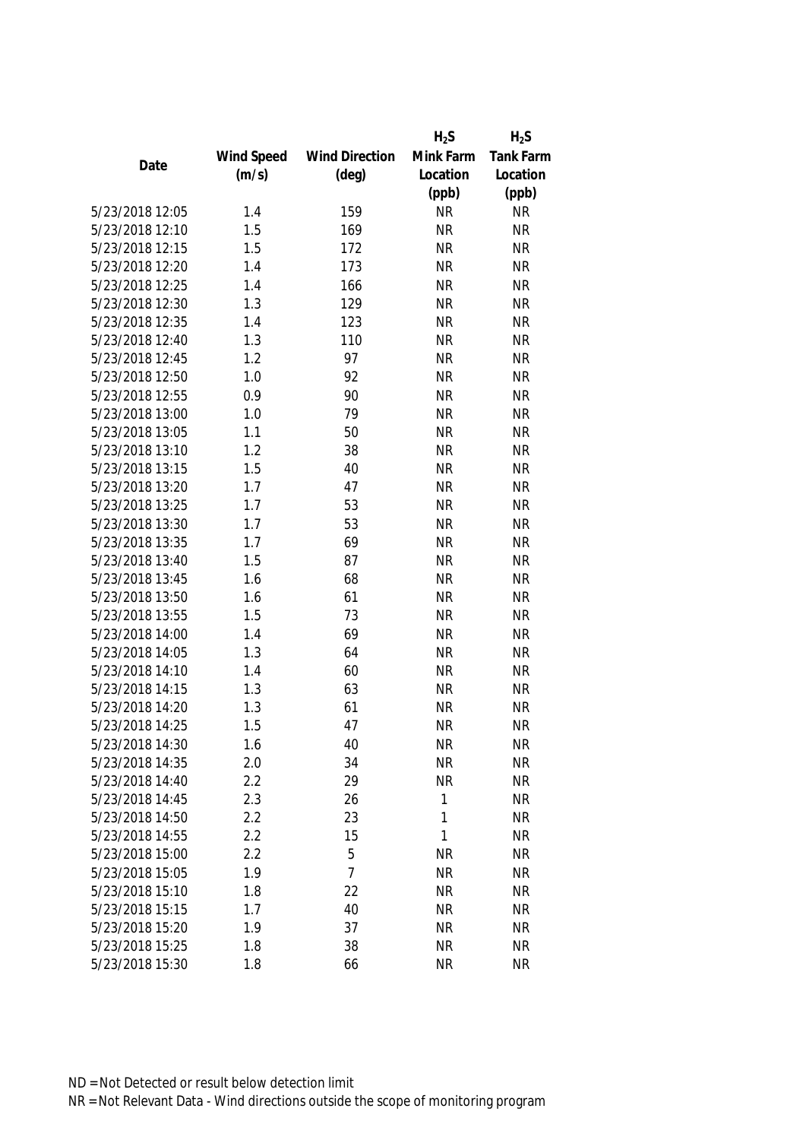|                 |            |                       | $H_2S$    | $H_2S$           |
|-----------------|------------|-----------------------|-----------|------------------|
|                 | Wind Speed | <b>Wind Direction</b> | Mink Farm | <b>Tank Farm</b> |
| Date            | (m/s)      | $(\text{deg})$        | Location  | Location         |
|                 |            |                       | (ppb)     | (ppb)            |
| 5/23/2018 12:05 | 1.4        | 159                   | <b>NR</b> | <b>NR</b>        |
| 5/23/2018 12:10 | 1.5        | 169                   | <b>NR</b> | <b>NR</b>        |
| 5/23/2018 12:15 | 1.5        | 172                   | <b>NR</b> | <b>NR</b>        |
| 5/23/2018 12:20 | 1.4        | 173                   | <b>NR</b> | <b>NR</b>        |
| 5/23/2018 12:25 | 1.4        | 166                   | <b>NR</b> | <b>NR</b>        |
| 5/23/2018 12:30 | 1.3        | 129                   | <b>NR</b> | <b>NR</b>        |
| 5/23/2018 12:35 | 1.4        | 123                   | <b>NR</b> | <b>NR</b>        |
| 5/23/2018 12:40 | 1.3        | 110                   | <b>NR</b> | <b>NR</b>        |
| 5/23/2018 12:45 | 1.2        | 97                    | <b>NR</b> | <b>NR</b>        |
| 5/23/2018 12:50 | 1.0        | 92                    | <b>NR</b> | <b>NR</b>        |
| 5/23/2018 12:55 | 0.9        | 90                    | <b>NR</b> | <b>NR</b>        |
| 5/23/2018 13:00 | 1.0        | 79                    | <b>NR</b> | <b>NR</b>        |
| 5/23/2018 13:05 | 1.1        | 50                    | <b>NR</b> | <b>NR</b>        |
| 5/23/2018 13:10 | 1.2        | 38                    | <b>NR</b> | <b>NR</b>        |
| 5/23/2018 13:15 | 1.5        | 40                    | <b>NR</b> | <b>NR</b>        |
| 5/23/2018 13:20 | 1.7        | 47                    | <b>NR</b> | <b>NR</b>        |
| 5/23/2018 13:25 | 1.7        | 53                    | <b>NR</b> | <b>NR</b>        |
| 5/23/2018 13:30 | 1.7        | 53                    | <b>NR</b> | <b>NR</b>        |
| 5/23/2018 13:35 | 1.7        | 69                    | <b>NR</b> | <b>NR</b>        |
| 5/23/2018 13:40 | 1.5        | 87                    | <b>NR</b> | <b>NR</b>        |
| 5/23/2018 13:45 | 1.6        | 68                    | <b>NR</b> | <b>NR</b>        |
| 5/23/2018 13:50 | 1.6        | 61                    | <b>NR</b> | <b>NR</b>        |
| 5/23/2018 13:55 | 1.5        | 73                    | <b>NR</b> | <b>NR</b>        |
| 5/23/2018 14:00 | 1.4        | 69                    | <b>NR</b> | <b>NR</b>        |
| 5/23/2018 14:05 | 1.3        | 64                    | <b>NR</b> | <b>NR</b>        |
| 5/23/2018 14:10 | 1.4        | 60                    | <b>NR</b> | <b>NR</b>        |
| 5/23/2018 14:15 | 1.3        | 63                    | <b>NR</b> | <b>NR</b>        |
| 5/23/2018 14:20 | 1.3        | 61                    | <b>NR</b> | <b>NR</b>        |
| 5/23/2018 14:25 | 1.5        | 47                    | <b>NR</b> | <b>NR</b>        |
| 5/23/2018 14:30 | 1.6        | 40                    | <b>NR</b> | <b>NR</b>        |
| 5/23/2018 14:35 | 2.0        | 34                    | <b>NR</b> | <b>NR</b>        |
| 5/23/2018 14:40 | 2.2        | 29                    | <b>NR</b> | <b>NR</b>        |
| 5/23/2018 14:45 | 2.3        | 26                    | 1         | <b>NR</b>        |
| 5/23/2018 14:50 | 2.2        | 23                    | 1         | <b>NR</b>        |
| 5/23/2018 14:55 | 2.2        | 15                    | 1         | <b>NR</b>        |
| 5/23/2018 15:00 | 2.2        | 5                     | <b>NR</b> | <b>NR</b>        |
| 5/23/2018 15:05 | 1.9        | $\overline{7}$        | <b>NR</b> | <b>NR</b>        |
| 5/23/2018 15:10 | 1.8        | 22                    | <b>NR</b> | <b>NR</b>        |
| 5/23/2018 15:15 | 1.7        | 40                    | <b>NR</b> | <b>NR</b>        |
| 5/23/2018 15:20 | 1.9        | 37                    | <b>NR</b> | <b>NR</b>        |
| 5/23/2018 15:25 | 1.8        | 38                    | <b>NR</b> | <b>NR</b>        |
| 5/23/2018 15:30 | 1.8        | 66                    | <b>NR</b> | <b>NR</b>        |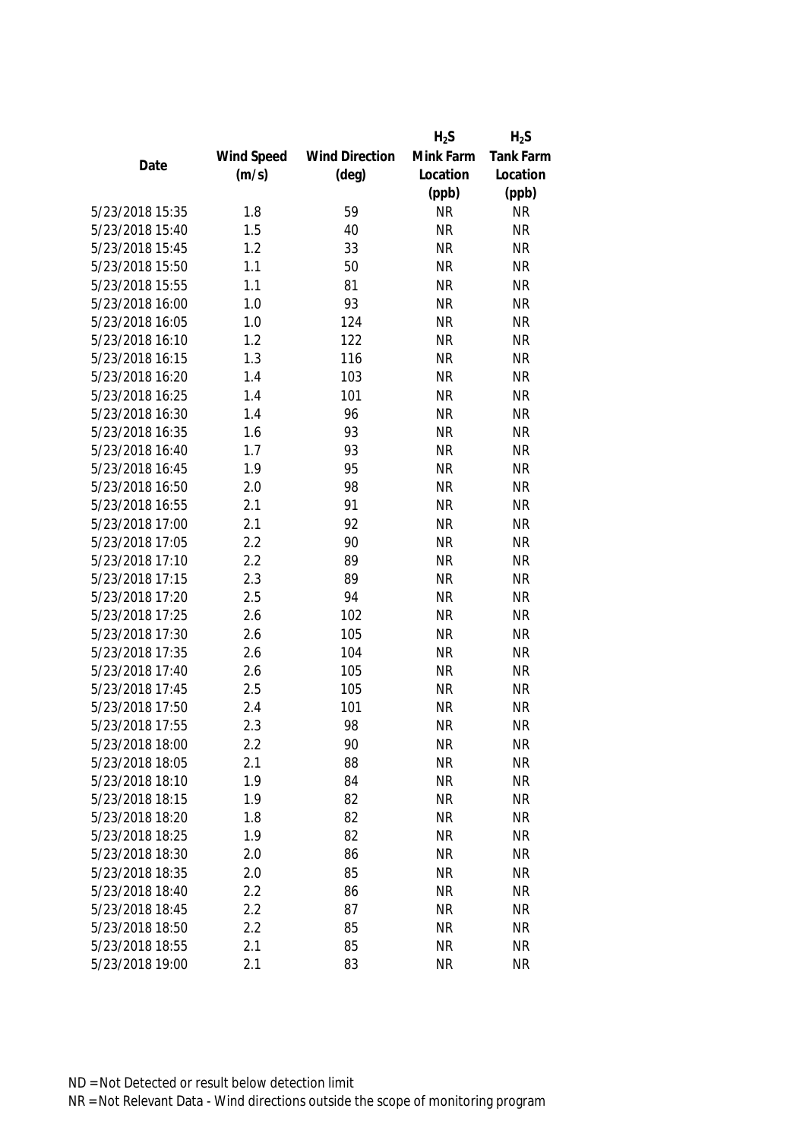|                 |            |                       | $H_2S$    | $H_2S$           |
|-----------------|------------|-----------------------|-----------|------------------|
|                 | Wind Speed | <b>Wind Direction</b> | Mink Farm | <b>Tank Farm</b> |
| Date            | (m/s)      | $(\text{deg})$        | Location  | Location         |
|                 |            |                       | (ppb)     | (ppb)            |
| 5/23/2018 15:35 | 1.8        | 59                    | <b>NR</b> | <b>NR</b>        |
| 5/23/2018 15:40 | 1.5        | 40                    | <b>NR</b> | <b>NR</b>        |
| 5/23/2018 15:45 | 1.2        | 33                    | <b>NR</b> | <b>NR</b>        |
| 5/23/2018 15:50 | 1.1        | 50                    | <b>NR</b> | <b>NR</b>        |
| 5/23/2018 15:55 | 1.1        | 81                    | <b>NR</b> | <b>NR</b>        |
| 5/23/2018 16:00 | 1.0        | 93                    | <b>NR</b> | <b>NR</b>        |
| 5/23/2018 16:05 | 1.0        | 124                   | <b>NR</b> | <b>NR</b>        |
| 5/23/2018 16:10 | 1.2        | 122                   | <b>NR</b> | <b>NR</b>        |
| 5/23/2018 16:15 | 1.3        | 116                   | <b>NR</b> | <b>NR</b>        |
| 5/23/2018 16:20 | 1.4        | 103                   | <b>NR</b> | <b>NR</b>        |
| 5/23/2018 16:25 | 1.4        | 101                   | <b>NR</b> | <b>NR</b>        |
| 5/23/2018 16:30 | 1.4        | 96                    | <b>NR</b> | <b>NR</b>        |
| 5/23/2018 16:35 | 1.6        | 93                    | <b>NR</b> | <b>NR</b>        |
| 5/23/2018 16:40 | 1.7        | 93                    | <b>NR</b> | <b>NR</b>        |
| 5/23/2018 16:45 | 1.9        | 95                    | <b>NR</b> | <b>NR</b>        |
| 5/23/2018 16:50 | 2.0        | 98                    | <b>NR</b> | <b>NR</b>        |
| 5/23/2018 16:55 | 2.1        | 91                    | <b>NR</b> | <b>NR</b>        |
| 5/23/2018 17:00 | 2.1        | 92                    | <b>NR</b> | <b>NR</b>        |
| 5/23/2018 17:05 | 2.2        | 90                    | <b>NR</b> | <b>NR</b>        |
| 5/23/2018 17:10 | 2.2        | 89                    | <b>NR</b> | <b>NR</b>        |
| 5/23/2018 17:15 | 2.3        | 89                    | <b>NR</b> | <b>NR</b>        |
| 5/23/2018 17:20 | 2.5        | 94                    | <b>NR</b> | <b>NR</b>        |
| 5/23/2018 17:25 | 2.6        | 102                   | <b>NR</b> | <b>NR</b>        |
| 5/23/2018 17:30 | 2.6        | 105                   | <b>NR</b> | <b>NR</b>        |
| 5/23/2018 17:35 | 2.6        | 104                   | <b>NR</b> | <b>NR</b>        |
| 5/23/2018 17:40 | 2.6        | 105                   | <b>NR</b> | <b>NR</b>        |
| 5/23/2018 17:45 | 2.5        | 105                   | <b>NR</b> | <b>NR</b>        |
| 5/23/2018 17:50 | 2.4        | 101                   | <b>NR</b> | <b>NR</b>        |
| 5/23/2018 17:55 | 2.3        | 98                    | <b>NR</b> | <b>NR</b>        |
| 5/23/2018 18:00 | 2.2        | 90                    | <b>NR</b> | <b>NR</b>        |
| 5/23/2018 18:05 | 2.1        | 88                    | <b>NR</b> | <b>NR</b>        |
| 5/23/2018 18:10 | 1.9        | 84                    | <b>NR</b> | <b>NR</b>        |
| 5/23/2018 18:15 | 1.9        | 82                    | <b>NR</b> | <b>NR</b>        |
| 5/23/2018 18:20 | 1.8        | 82                    | NR        | <b>NR</b>        |
| 5/23/2018 18:25 | 1.9        | 82                    | <b>NR</b> | <b>NR</b>        |
| 5/23/2018 18:30 | 2.0        | 86                    | <b>NR</b> | <b>NR</b>        |
| 5/23/2018 18:35 | 2.0        | 85                    | <b>NR</b> | <b>NR</b>        |
| 5/23/2018 18:40 | 2.2        | 86                    | <b>NR</b> | <b>NR</b>        |
| 5/23/2018 18:45 | 2.2        | 87                    | <b>NR</b> | <b>NR</b>        |
| 5/23/2018 18:50 | 2.2        | 85                    | <b>NR</b> | <b>NR</b>        |
| 5/23/2018 18:55 | 2.1        | 85                    | <b>NR</b> | <b>NR</b>        |
| 5/23/2018 19:00 | 2.1        | 83                    | <b>NR</b> | <b>NR</b>        |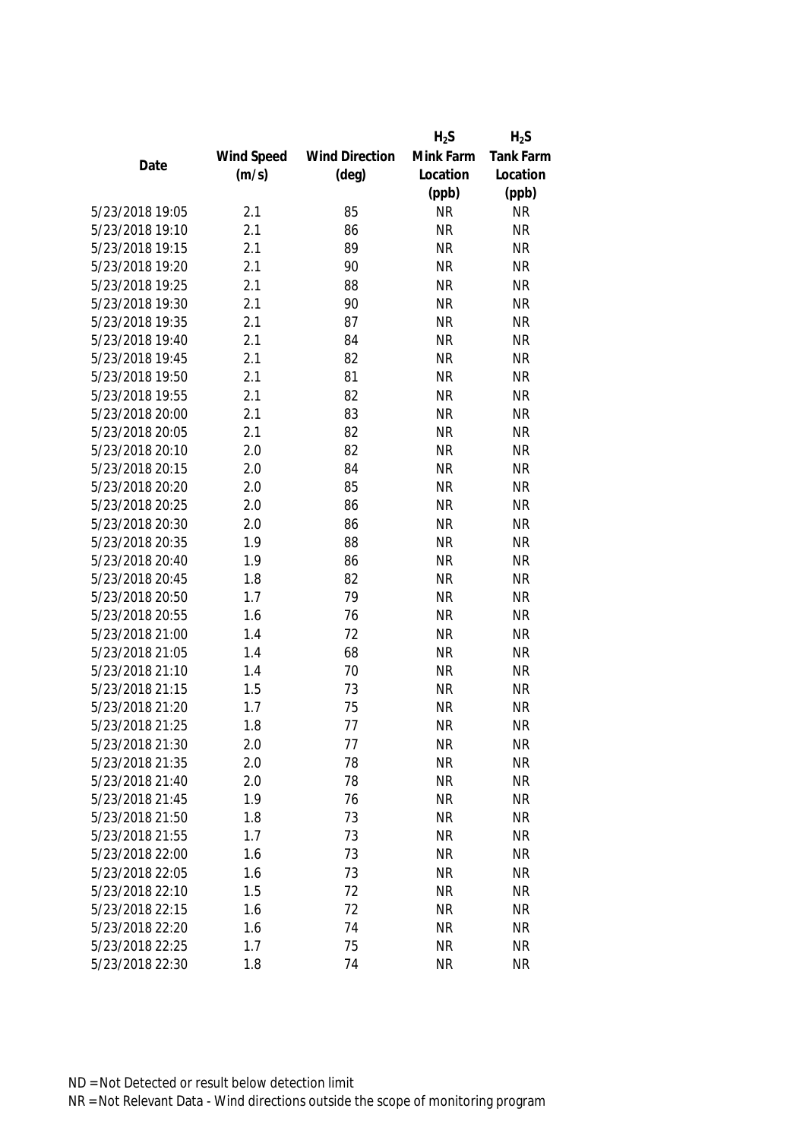|                 |            |                       | $H_2S$    | $H_2S$           |
|-----------------|------------|-----------------------|-----------|------------------|
|                 | Wind Speed | <b>Wind Direction</b> | Mink Farm | <b>Tank Farm</b> |
| Date            | (m/s)      | $(\text{deg})$        | Location  | Location         |
|                 |            |                       | (ppb)     | (ppb)            |
| 5/23/2018 19:05 | 2.1        | 85                    | <b>NR</b> | <b>NR</b>        |
| 5/23/2018 19:10 | 2.1        | 86                    | <b>NR</b> | <b>NR</b>        |
| 5/23/2018 19:15 | 2.1        | 89                    | <b>NR</b> | <b>NR</b>        |
| 5/23/2018 19:20 | 2.1        | 90                    | <b>NR</b> | <b>NR</b>        |
| 5/23/2018 19:25 | 2.1        | 88                    | <b>NR</b> | <b>NR</b>        |
| 5/23/2018 19:30 | 2.1        | 90                    | <b>NR</b> | <b>NR</b>        |
| 5/23/2018 19:35 | 2.1        | 87                    | <b>NR</b> | <b>NR</b>        |
| 5/23/2018 19:40 | 2.1        | 84                    | <b>NR</b> | <b>NR</b>        |
| 5/23/2018 19:45 | 2.1        | 82                    | <b>NR</b> | <b>NR</b>        |
| 5/23/2018 19:50 | 2.1        | 81                    | <b>NR</b> | <b>NR</b>        |
| 5/23/2018 19:55 | 2.1        | 82                    | <b>NR</b> | <b>NR</b>        |
| 5/23/2018 20:00 | 2.1        | 83                    | <b>NR</b> | <b>NR</b>        |
| 5/23/2018 20:05 | 2.1        | 82                    | <b>NR</b> | <b>NR</b>        |
| 5/23/2018 20:10 | 2.0        | 82                    | <b>NR</b> | <b>NR</b>        |
| 5/23/2018 20:15 | 2.0        | 84                    | <b>NR</b> | <b>NR</b>        |
| 5/23/2018 20:20 | 2.0        | 85                    | <b>NR</b> | <b>NR</b>        |
| 5/23/2018 20:25 | 2.0        | 86                    | <b>NR</b> | <b>NR</b>        |
| 5/23/2018 20:30 | 2.0        | 86                    | <b>NR</b> | <b>NR</b>        |
| 5/23/2018 20:35 | 1.9        | 88                    | <b>NR</b> | <b>NR</b>        |
| 5/23/2018 20:40 | 1.9        | 86                    | <b>NR</b> | <b>NR</b>        |
| 5/23/2018 20:45 | 1.8        | 82                    | <b>NR</b> | <b>NR</b>        |
| 5/23/2018 20:50 | 1.7        | 79                    | <b>NR</b> | <b>NR</b>        |
| 5/23/2018 20:55 | 1.6        | 76                    | <b>NR</b> | <b>NR</b>        |
| 5/23/2018 21:00 | 1.4        | 72                    | <b>NR</b> | <b>NR</b>        |
| 5/23/2018 21:05 | 1.4        | 68                    | <b>NR</b> | <b>NR</b>        |
| 5/23/2018 21:10 | 1.4        | 70                    | <b>NR</b> | <b>NR</b>        |
| 5/23/2018 21:15 | 1.5        | 73                    | <b>NR</b> | <b>NR</b>        |
| 5/23/2018 21:20 | 1.7        | 75                    | <b>NR</b> | <b>NR</b>        |
| 5/23/2018 21:25 | 1.8        | 77                    | <b>NR</b> | <b>NR</b>        |
| 5/23/2018 21:30 | 2.0        | 77                    | NR        | <b>NR</b>        |
| 5/23/2018 21:35 | 2.0        | 78                    | <b>NR</b> | <b>NR</b>        |
| 5/23/2018 21:40 | 2.0        | 78                    | <b>NR</b> | <b>NR</b>        |
| 5/23/2018 21:45 | 1.9        | 76                    | <b>NR</b> | <b>NR</b>        |
| 5/23/2018 21:50 | 1.8        | 73                    | NR        | <b>NR</b>        |
| 5/23/2018 21:55 | 1.7        | 73                    | <b>NR</b> | <b>NR</b>        |
| 5/23/2018 22:00 | 1.6        | 73                    | <b>NR</b> | <b>NR</b>        |
| 5/23/2018 22:05 | 1.6        | 73                    | <b>NR</b> | <b>NR</b>        |
| 5/23/2018 22:10 | 1.5        | 72                    | NR        | <b>NR</b>        |
| 5/23/2018 22:15 | 1.6        | 72                    | <b>NR</b> | <b>NR</b>        |
| 5/23/2018 22:20 | 1.6        | 74                    | <b>NR</b> | <b>NR</b>        |
| 5/23/2018 22:25 | 1.7        | 75                    | <b>NR</b> | <b>NR</b>        |
| 5/23/2018 22:30 | 1.8        | 74                    | <b>NR</b> | <b>NR</b>        |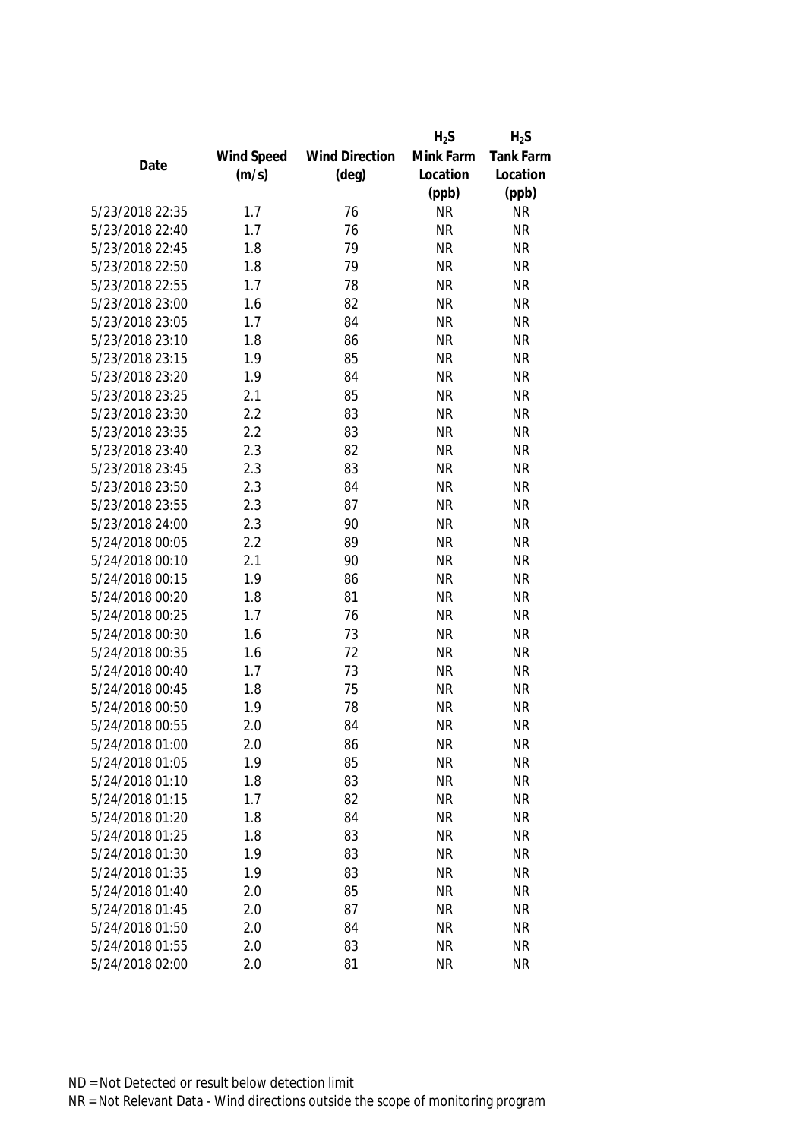|                 |            |                       | $H_2S$    | $H_2S$           |
|-----------------|------------|-----------------------|-----------|------------------|
|                 | Wind Speed | <b>Wind Direction</b> | Mink Farm | <b>Tank Farm</b> |
| Date            | (m/s)      | $(\text{deg})$        | Location  | Location         |
|                 |            |                       | (ppb)     | (ppb)            |
| 5/23/2018 22:35 | 1.7        | 76                    | <b>NR</b> | <b>NR</b>        |
| 5/23/2018 22:40 | 1.7        | 76                    | <b>NR</b> | <b>NR</b>        |
| 5/23/2018 22:45 | 1.8        | 79                    | <b>NR</b> | <b>NR</b>        |
| 5/23/2018 22:50 | 1.8        | 79                    | <b>NR</b> | <b>NR</b>        |
| 5/23/2018 22:55 | 1.7        | 78                    | <b>NR</b> | <b>NR</b>        |
| 5/23/2018 23:00 | 1.6        | 82                    | <b>NR</b> | <b>NR</b>        |
| 5/23/2018 23:05 | 1.7        | 84                    | <b>NR</b> | <b>NR</b>        |
| 5/23/2018 23:10 | 1.8        | 86                    | <b>NR</b> | <b>NR</b>        |
| 5/23/2018 23:15 | 1.9        | 85                    | <b>NR</b> | <b>NR</b>        |
| 5/23/2018 23:20 | 1.9        | 84                    | <b>NR</b> | <b>NR</b>        |
| 5/23/2018 23:25 | 2.1        | 85                    | <b>NR</b> | <b>NR</b>        |
| 5/23/2018 23:30 | 2.2        | 83                    | <b>NR</b> | <b>NR</b>        |
| 5/23/2018 23:35 | 2.2        | 83                    | <b>NR</b> | <b>NR</b>        |
| 5/23/2018 23:40 | 2.3        | 82                    | <b>NR</b> | <b>NR</b>        |
| 5/23/2018 23:45 | 2.3        | 83                    | <b>NR</b> | <b>NR</b>        |
| 5/23/2018 23:50 | 2.3        | 84                    | <b>NR</b> | <b>NR</b>        |
| 5/23/2018 23:55 | 2.3        | 87                    | <b>NR</b> | <b>NR</b>        |
| 5/23/2018 24:00 | 2.3        | 90                    | <b>NR</b> | <b>NR</b>        |
| 5/24/2018 00:05 | 2.2        | 89                    | <b>NR</b> | <b>NR</b>        |
| 5/24/2018 00:10 | 2.1        | 90                    | <b>NR</b> | <b>NR</b>        |
| 5/24/2018 00:15 | 1.9        | 86                    | <b>NR</b> | <b>NR</b>        |
| 5/24/2018 00:20 | 1.8        | 81                    | <b>NR</b> | <b>NR</b>        |
| 5/24/2018 00:25 | 1.7        | 76                    | <b>NR</b> | <b>NR</b>        |
| 5/24/2018 00:30 | 1.6        | 73                    | <b>NR</b> | <b>NR</b>        |
| 5/24/2018 00:35 | 1.6        | 72                    | <b>NR</b> | <b>NR</b>        |
| 5/24/2018 00:40 | 1.7        | 73                    | <b>NR</b> | <b>NR</b>        |
| 5/24/2018 00:45 | 1.8        | 75                    | <b>NR</b> | <b>NR</b>        |
| 5/24/2018 00:50 | 1.9        | 78                    | <b>NR</b> | <b>NR</b>        |
| 5/24/2018 00:55 | 2.0        | 84                    | <b>NR</b> | <b>NR</b>        |
| 5/24/2018 01:00 | 2.0        | 86                    | <b>NR</b> | <b>NR</b>        |
| 5/24/2018 01:05 | 1.9        | 85                    | <b>NR</b> | <b>NR</b>        |
| 5/24/2018 01:10 | 1.8        | 83                    | <b>NR</b> | <b>NR</b>        |
| 5/24/2018 01:15 | 1.7        | 82                    | <b>NR</b> | <b>NR</b>        |
| 5/24/2018 01:20 | 1.8        | 84                    | NR        | <b>NR</b>        |
| 5/24/2018 01:25 | 1.8        | 83                    | <b>NR</b> | <b>NR</b>        |
| 5/24/2018 01:30 | 1.9        | 83                    | <b>NR</b> | <b>NR</b>        |
| 5/24/2018 01:35 | 1.9        | 83                    | <b>NR</b> | <b>NR</b>        |
| 5/24/2018 01:40 | 2.0        | 85                    | <b>NR</b> | <b>NR</b>        |
| 5/24/2018 01:45 | 2.0        | 87                    | <b>NR</b> | <b>NR</b>        |
| 5/24/2018 01:50 | 2.0        | 84                    | <b>NR</b> | <b>NR</b>        |
| 5/24/2018 01:55 | 2.0        | 83                    | <b>NR</b> | <b>NR</b>        |
| 5/24/2018 02:00 | 2.0        | 81                    | <b>NR</b> | <b>NR</b>        |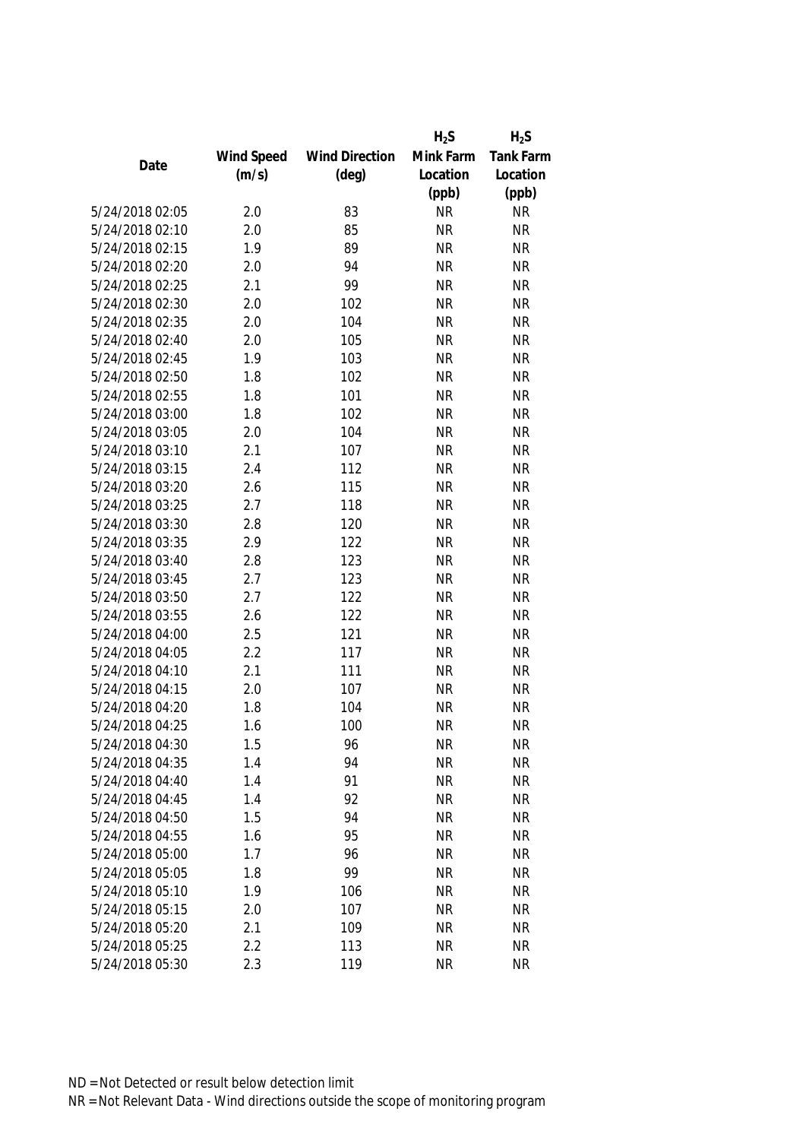|                 |            |                       | $H_2S$    | $H_2S$           |
|-----------------|------------|-----------------------|-----------|------------------|
|                 | Wind Speed | <b>Wind Direction</b> | Mink Farm | <b>Tank Farm</b> |
| Date            | (m/s)      | $(\text{deg})$        | Location  | Location         |
|                 |            |                       | (ppb)     | (ppb)            |
| 5/24/2018 02:05 | 2.0        | 83                    | <b>NR</b> | <b>NR</b>        |
| 5/24/2018 02:10 | 2.0        | 85                    | <b>NR</b> | <b>NR</b>        |
| 5/24/2018 02:15 | 1.9        | 89                    | <b>NR</b> | <b>NR</b>        |
| 5/24/2018 02:20 | 2.0        | 94                    | <b>NR</b> | <b>NR</b>        |
| 5/24/2018 02:25 | 2.1        | 99                    | <b>NR</b> | <b>NR</b>        |
| 5/24/2018 02:30 | 2.0        | 102                   | <b>NR</b> | <b>NR</b>        |
| 5/24/2018 02:35 | 2.0        | 104                   | <b>NR</b> | <b>NR</b>        |
| 5/24/2018 02:40 | 2.0        | 105                   | <b>NR</b> | <b>NR</b>        |
| 5/24/2018 02:45 | 1.9        | 103                   | <b>NR</b> | <b>NR</b>        |
| 5/24/2018 02:50 | 1.8        | 102                   | <b>NR</b> | <b>NR</b>        |
| 5/24/2018 02:55 | 1.8        | 101                   | <b>NR</b> | <b>NR</b>        |
| 5/24/2018 03:00 | 1.8        | 102                   | <b>NR</b> | <b>NR</b>        |
| 5/24/2018 03:05 | 2.0        | 104                   | <b>NR</b> | <b>NR</b>        |
| 5/24/2018 03:10 | 2.1        | 107                   | <b>NR</b> | <b>NR</b>        |
| 5/24/2018 03:15 | 2.4        | 112                   | <b>NR</b> | <b>NR</b>        |
| 5/24/2018 03:20 | 2.6        | 115                   | <b>NR</b> | <b>NR</b>        |
| 5/24/2018 03:25 | 2.7        | 118                   | <b>NR</b> | <b>NR</b>        |
| 5/24/2018 03:30 | 2.8        | 120                   | <b>NR</b> | <b>NR</b>        |
| 5/24/2018 03:35 | 2.9        | 122                   | <b>NR</b> | <b>NR</b>        |
| 5/24/2018 03:40 | 2.8        | 123                   | <b>NR</b> | <b>NR</b>        |
| 5/24/2018 03:45 | 2.7        | 123                   | <b>NR</b> | <b>NR</b>        |
| 5/24/2018 03:50 | 2.7        | 122                   | <b>NR</b> | <b>NR</b>        |
| 5/24/2018 03:55 | 2.6        | 122                   | <b>NR</b> | <b>NR</b>        |
| 5/24/2018 04:00 | 2.5        | 121                   | <b>NR</b> | <b>NR</b>        |
| 5/24/2018 04:05 | 2.2        | 117                   | <b>NR</b> | <b>NR</b>        |
| 5/24/2018 04:10 | 2.1        | 111                   | <b>NR</b> | <b>NR</b>        |
| 5/24/2018 04:15 | 2.0        | 107                   | <b>NR</b> | <b>NR</b>        |
| 5/24/2018 04:20 | 1.8        | 104                   | <b>NR</b> | <b>NR</b>        |
| 5/24/2018 04:25 | 1.6        | 100                   | <b>NR</b> | <b>NR</b>        |
| 5/24/2018 04:30 | 1.5        | 96                    | <b>NR</b> | <b>NR</b>        |
| 5/24/2018 04:35 | 1.4        | 94                    | <b>NR</b> | <b>NR</b>        |
| 5/24/2018 04:40 | 1.4        | 91                    | <b>NR</b> | <b>NR</b>        |
| 5/24/2018 04:45 | 1.4        | 92                    | <b>NR</b> | <b>NR</b>        |
| 5/24/2018 04:50 | 1.5        | 94                    | <b>NR</b> | <b>NR</b>        |
| 5/24/2018 04:55 | 1.6        | 95                    | <b>NR</b> | <b>NR</b>        |
| 5/24/2018 05:00 | 1.7        | 96                    | <b>NR</b> | <b>NR</b>        |
| 5/24/2018 05:05 | 1.8        | 99                    | <b>NR</b> | <b>NR</b>        |
| 5/24/2018 05:10 | 1.9        | 106                   | <b>NR</b> | <b>NR</b>        |
| 5/24/2018 05:15 | 2.0        | 107                   | <b>NR</b> | <b>NR</b>        |
| 5/24/2018 05:20 | 2.1        | 109                   | <b>NR</b> | <b>NR</b>        |
| 5/24/2018 05:25 | 2.2        | 113                   | <b>NR</b> | <b>NR</b>        |
| 5/24/2018 05:30 | 2.3        | 119                   | <b>NR</b> | <b>NR</b>        |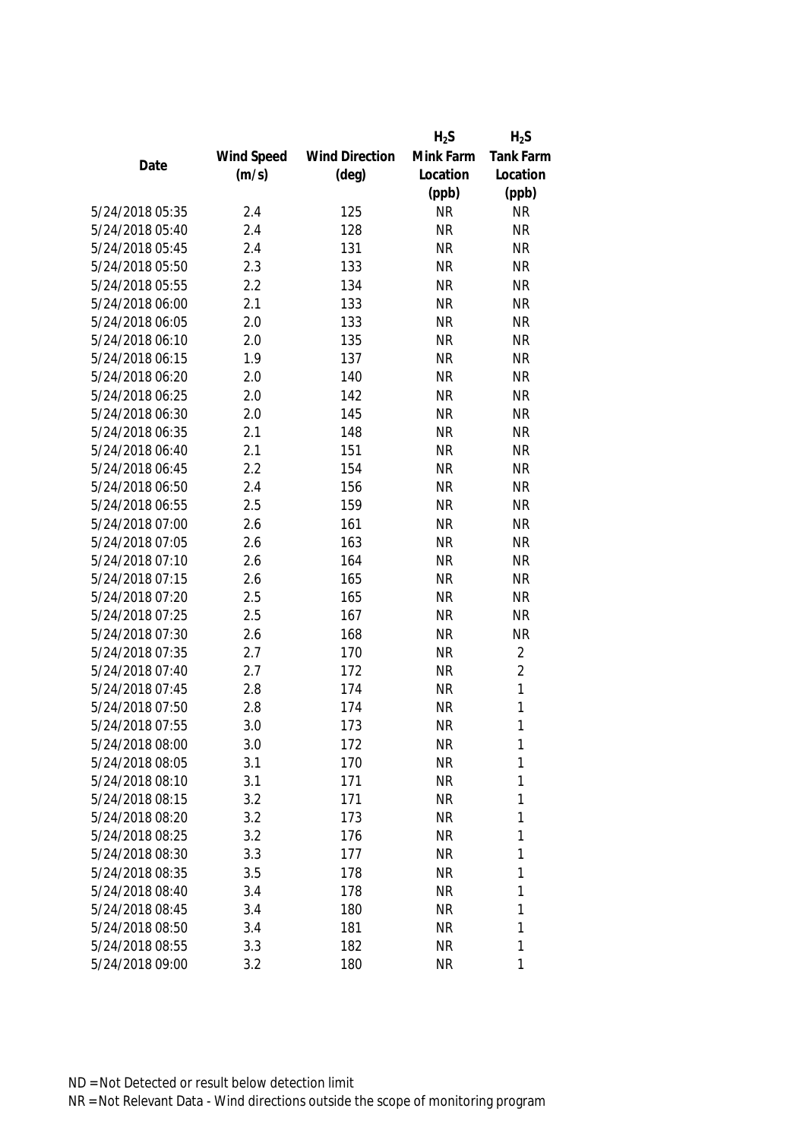|                 |            |                       | $H_2S$    | $H_2S$           |
|-----------------|------------|-----------------------|-----------|------------------|
|                 | Wind Speed | <b>Wind Direction</b> | Mink Farm | <b>Tank Farm</b> |
| Date            | (m/s)      | $(\text{deg})$        | Location  | Location         |
|                 |            |                       | (ppb)     | (ppb)            |
| 5/24/2018 05:35 | 2.4        | 125                   | <b>NR</b> | <b>NR</b>        |
| 5/24/2018 05:40 | 2.4        | 128                   | <b>NR</b> | <b>NR</b>        |
| 5/24/2018 05:45 | 2.4        | 131                   | <b>NR</b> | <b>NR</b>        |
| 5/24/2018 05:50 | 2.3        | 133                   | <b>NR</b> | <b>NR</b>        |
| 5/24/2018 05:55 | 2.2        | 134                   | <b>NR</b> | <b>NR</b>        |
| 5/24/2018 06:00 | 2.1        | 133                   | <b>NR</b> | <b>NR</b>        |
| 5/24/2018 06:05 | 2.0        | 133                   | <b>NR</b> | <b>NR</b>        |
| 5/24/2018 06:10 | 2.0        | 135                   | <b>NR</b> | <b>NR</b>        |
| 5/24/2018 06:15 | 1.9        | 137                   | <b>NR</b> | <b>NR</b>        |
| 5/24/2018 06:20 | 2.0        | 140                   | <b>NR</b> | <b>NR</b>        |
| 5/24/2018 06:25 | 2.0        | 142                   | <b>NR</b> | <b>NR</b>        |
| 5/24/2018 06:30 | 2.0        | 145                   | <b>NR</b> | <b>NR</b>        |
| 5/24/2018 06:35 | 2.1        | 148                   | <b>NR</b> | <b>NR</b>        |
| 5/24/2018 06:40 | 2.1        | 151                   | <b>NR</b> | <b>NR</b>        |
| 5/24/2018 06:45 | 2.2        | 154                   | <b>NR</b> | <b>NR</b>        |
| 5/24/2018 06:50 | 2.4        | 156                   | <b>NR</b> | <b>NR</b>        |
| 5/24/2018 06:55 | 2.5        | 159                   | <b>NR</b> | <b>NR</b>        |
| 5/24/2018 07:00 | 2.6        | 161                   | <b>NR</b> | <b>NR</b>        |
| 5/24/2018 07:05 | 2.6        | 163                   | <b>NR</b> | <b>NR</b>        |
| 5/24/2018 07:10 | 2.6        | 164                   | <b>NR</b> | <b>NR</b>        |
| 5/24/2018 07:15 | 2.6        | 165                   | <b>NR</b> | <b>NR</b>        |
| 5/24/2018 07:20 | 2.5        | 165                   | <b>NR</b> | <b>NR</b>        |
| 5/24/2018 07:25 | 2.5        | 167                   | <b>NR</b> | <b>NR</b>        |
| 5/24/2018 07:30 | 2.6        | 168                   | <b>NR</b> | <b>NR</b>        |
| 5/24/2018 07:35 | 2.7        | 170                   | <b>NR</b> | $\overline{2}$   |
| 5/24/2018 07:40 | 2.7        | 172                   | <b>NR</b> | $\overline{2}$   |
| 5/24/2018 07:45 | 2.8        | 174                   | <b>NR</b> | 1                |
| 5/24/2018 07:50 | 2.8        | 174                   | <b>NR</b> | 1                |
| 5/24/2018 07:55 | 3.0        | 173                   | <b>NR</b> | 1                |
| 5/24/2018 08:00 | 3.0        | 172                   | <b>NR</b> | 1                |
| 5/24/2018 08:05 | 3.1        | 170                   | <b>NR</b> | 1                |
| 5/24/2018 08:10 | 3.1        | 171                   | <b>NR</b> | 1                |
| 5/24/2018 08:15 | 3.2        | 171                   | <b>NR</b> | 1                |
| 5/24/2018 08:20 | 3.2        | 173                   | <b>NR</b> | 1                |
| 5/24/2018 08:25 | 3.2        | 176                   | <b>NR</b> | 1                |
| 5/24/2018 08:30 | 3.3        | 177                   | <b>NR</b> | 1                |
| 5/24/2018 08:35 | 3.5        | 178                   | <b>NR</b> | 1                |
| 5/24/2018 08:40 | 3.4        | 178                   | <b>NR</b> | 1                |
| 5/24/2018 08:45 | 3.4        | 180                   | <b>NR</b> | 1                |
| 5/24/2018 08:50 | 3.4        | 181                   | <b>NR</b> | 1                |
| 5/24/2018 08:55 | 3.3        | 182                   | <b>NR</b> | 1                |
| 5/24/2018 09:00 | 3.2        | 180                   | <b>NR</b> | 1                |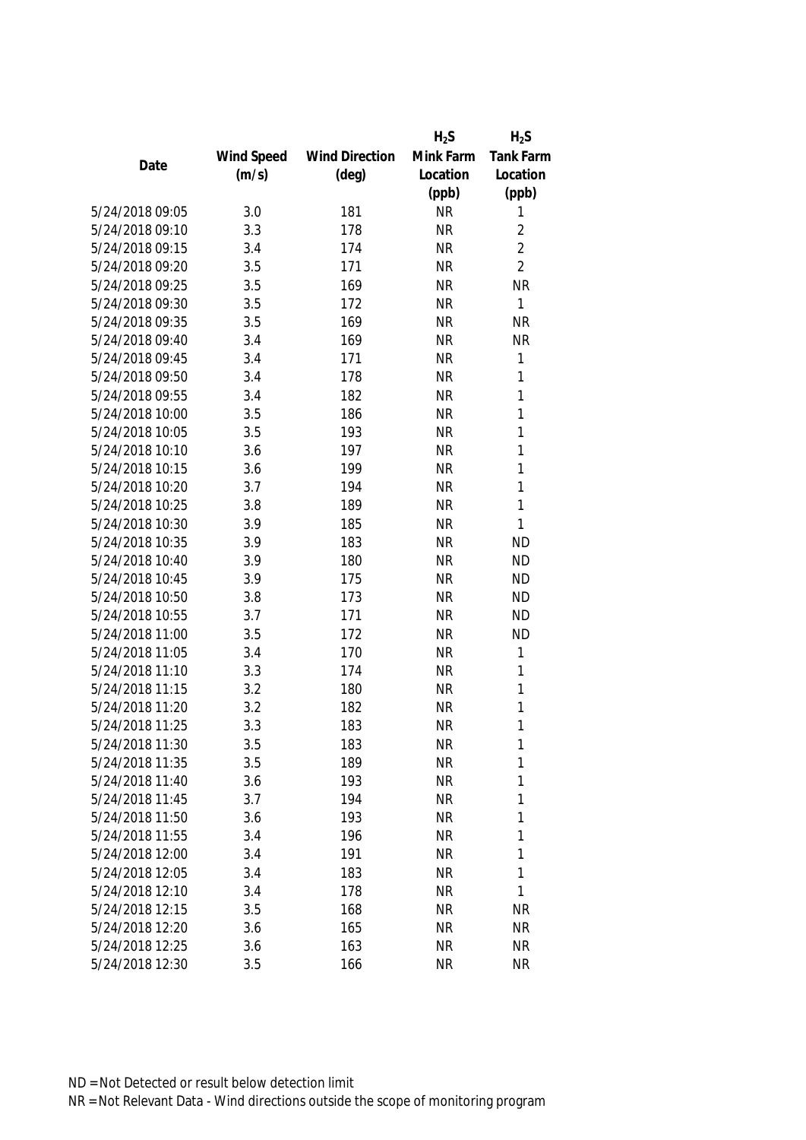|                 |            |                       | $H_2S$    | $H_2S$           |
|-----------------|------------|-----------------------|-----------|------------------|
|                 | Wind Speed | <b>Wind Direction</b> | Mink Farm | <b>Tank Farm</b> |
| Date            | (m/s)      | $(\text{deg})$        | Location  | Location         |
|                 |            |                       | (ppb)     | (ppb)            |
| 5/24/2018 09:05 | 3.0        | 181                   | <b>NR</b> | 1                |
| 5/24/2018 09:10 | 3.3        | 178                   | <b>NR</b> | $\overline{2}$   |
| 5/24/2018 09:15 | 3.4        | 174                   | <b>NR</b> | $\overline{2}$   |
| 5/24/2018 09:20 | 3.5        | 171                   | <b>NR</b> | $\overline{2}$   |
| 5/24/2018 09:25 | 3.5        | 169                   | <b>NR</b> | <b>NR</b>        |
| 5/24/2018 09:30 | 3.5        | 172                   | <b>NR</b> | 1                |
| 5/24/2018 09:35 | 3.5        | 169                   | <b>NR</b> | <b>NR</b>        |
| 5/24/2018 09:40 | 3.4        | 169                   | <b>NR</b> | <b>NR</b>        |
| 5/24/2018 09:45 | 3.4        | 171                   | <b>NR</b> | 1                |
| 5/24/2018 09:50 | 3.4        | 178                   | <b>NR</b> | 1                |
| 5/24/2018 09:55 | 3.4        | 182                   | <b>NR</b> | 1                |
| 5/24/2018 10:00 | 3.5        | 186                   | <b>NR</b> | 1                |
| 5/24/2018 10:05 | 3.5        | 193                   | <b>NR</b> | 1                |
| 5/24/2018 10:10 | 3.6        | 197                   | <b>NR</b> | 1                |
| 5/24/2018 10:15 | 3.6        | 199                   | <b>NR</b> | 1                |
| 5/24/2018 10:20 | 3.7        | 194                   | <b>NR</b> | 1                |
| 5/24/2018 10:25 | 3.8        | 189                   | <b>NR</b> | 1                |
| 5/24/2018 10:30 | 3.9        | 185                   | <b>NR</b> | 1                |
| 5/24/2018 10:35 | 3.9        | 183                   | <b>NR</b> | <b>ND</b>        |
| 5/24/2018 10:40 | 3.9        | 180                   | <b>NR</b> | <b>ND</b>        |
| 5/24/2018 10:45 | 3.9        | 175                   | <b>NR</b> | <b>ND</b>        |
| 5/24/2018 10:50 | 3.8        | 173                   | <b>NR</b> | <b>ND</b>        |
| 5/24/2018 10:55 | 3.7        | 171                   | <b>NR</b> | <b>ND</b>        |
| 5/24/2018 11:00 | 3.5        | 172                   | <b>NR</b> | <b>ND</b>        |
| 5/24/2018 11:05 | 3.4        | 170                   | <b>NR</b> | 1                |
| 5/24/2018 11:10 | 3.3        | 174                   | <b>NR</b> | 1                |
| 5/24/2018 11:15 | 3.2        | 180                   | <b>NR</b> | 1                |
| 5/24/2018 11:20 | 3.2        | 182                   | <b>NR</b> | 1                |
| 5/24/2018 11:25 | 3.3        | 183                   | <b>NR</b> | 1                |
| 5/24/2018 11:30 | 3.5        | 183                   | NR        | 1                |
| 5/24/2018 11:35 | 3.5        | 189                   | <b>NR</b> | 1                |
| 5/24/2018 11:40 | 3.6        | 193                   | <b>NR</b> | 1                |
| 5/24/2018 11:45 | 3.7        | 194                   | <b>NR</b> | 1                |
| 5/24/2018 11:50 | 3.6        | 193                   | <b>NR</b> | 1                |
| 5/24/2018 11:55 | 3.4        | 196                   | <b>NR</b> | 1                |
| 5/24/2018 12:00 | 3.4        | 191                   | <b>NR</b> | 1                |
| 5/24/2018 12:05 | 3.4        | 183                   | <b>NR</b> | 1                |
| 5/24/2018 12:10 | 3.4        | 178                   | <b>NR</b> | 1                |
| 5/24/2018 12:15 | 3.5        | 168                   | <b>NR</b> | <b>NR</b>        |
| 5/24/2018 12:20 | 3.6        | 165                   | <b>NR</b> | <b>NR</b>        |
| 5/24/2018 12:25 | 3.6        | 163                   | <b>NR</b> | <b>NR</b>        |
| 5/24/2018 12:30 | 3.5        | 166                   | <b>NR</b> | <b>NR</b>        |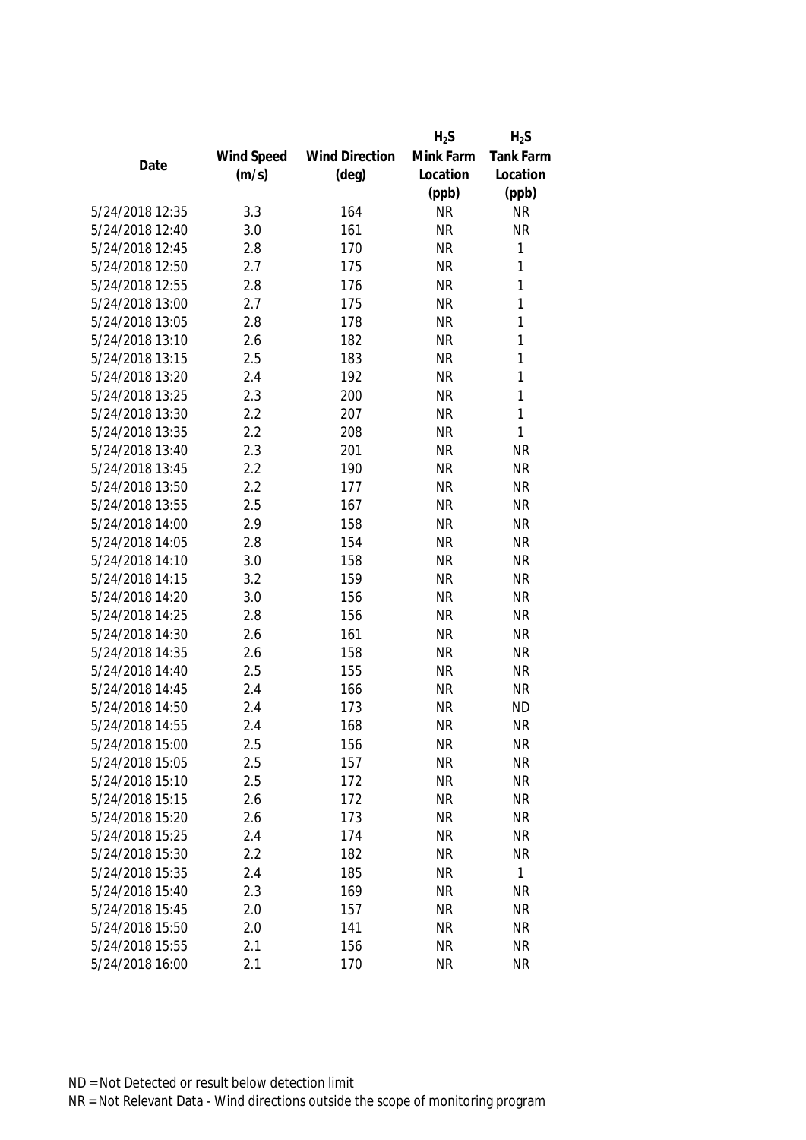|                 |            |                       | $H_2S$    | $H_2S$           |
|-----------------|------------|-----------------------|-----------|------------------|
|                 | Wind Speed | <b>Wind Direction</b> | Mink Farm | <b>Tank Farm</b> |
| Date            | (m/s)      | $(\text{deg})$        | Location  | Location         |
|                 |            |                       | (ppb)     | (ppb)            |
| 5/24/2018 12:35 | 3.3        | 164                   | <b>NR</b> | <b>NR</b>        |
| 5/24/2018 12:40 | 3.0        | 161                   | <b>NR</b> | <b>NR</b>        |
| 5/24/2018 12:45 | 2.8        | 170                   | <b>NR</b> | 1                |
| 5/24/2018 12:50 | 2.7        | 175                   | <b>NR</b> | 1                |
| 5/24/2018 12:55 | 2.8        | 176                   | <b>NR</b> | 1                |
| 5/24/2018 13:00 | 2.7        | 175                   | <b>NR</b> | 1                |
| 5/24/2018 13:05 | 2.8        | 178                   | <b>NR</b> | 1                |
| 5/24/2018 13:10 | 2.6        | 182                   | <b>NR</b> | 1                |
| 5/24/2018 13:15 | 2.5        | 183                   | <b>NR</b> | 1                |
| 5/24/2018 13:20 | 2.4        | 192                   | <b>NR</b> | 1                |
| 5/24/2018 13:25 | 2.3        | 200                   | <b>NR</b> | 1                |
| 5/24/2018 13:30 | 2.2        | 207                   | <b>NR</b> | 1                |
| 5/24/2018 13:35 | 2.2        | 208                   | <b>NR</b> | 1                |
| 5/24/2018 13:40 | 2.3        | 201                   | <b>NR</b> | <b>NR</b>        |
| 5/24/2018 13:45 | 2.2        | 190                   | <b>NR</b> | <b>NR</b>        |
| 5/24/2018 13:50 | 2.2        | 177                   | <b>NR</b> | <b>NR</b>        |
| 5/24/2018 13:55 | 2.5        | 167                   | <b>NR</b> | <b>NR</b>        |
| 5/24/2018 14:00 | 2.9        | 158                   | <b>NR</b> | <b>NR</b>        |
| 5/24/2018 14:05 | 2.8        | 154                   | <b>NR</b> | <b>NR</b>        |
| 5/24/2018 14:10 | 3.0        | 158                   | <b>NR</b> | <b>NR</b>        |
| 5/24/2018 14:15 | 3.2        | 159                   | <b>NR</b> | <b>NR</b>        |
| 5/24/2018 14:20 | 3.0        | 156                   | <b>NR</b> | <b>NR</b>        |
| 5/24/2018 14:25 | 2.8        | 156                   | <b>NR</b> | <b>NR</b>        |
| 5/24/2018 14:30 | 2.6        | 161                   | <b>NR</b> | <b>NR</b>        |
| 5/24/2018 14:35 | 2.6        | 158                   | <b>NR</b> | <b>NR</b>        |
| 5/24/2018 14:40 | 2.5        | 155                   | <b>NR</b> | <b>NR</b>        |
| 5/24/2018 14:45 | 2.4        | 166                   | <b>NR</b> | <b>NR</b>        |
| 5/24/2018 14:50 | 2.4        | 173                   | <b>NR</b> | <b>ND</b>        |
| 5/24/2018 14:55 | 2.4        | 168                   | <b>NR</b> | <b>NR</b>        |
| 5/24/2018 15:00 | 2.5        | 156                   | <b>NR</b> | <b>NR</b>        |
| 5/24/2018 15:05 | 2.5        | 157                   | <b>NR</b> | <b>NR</b>        |
| 5/24/2018 15:10 | 2.5        | 172                   | <b>NR</b> | <b>NR</b>        |
| 5/24/2018 15:15 | 2.6        | 172                   | <b>NR</b> | <b>NR</b>        |
| 5/24/2018 15:20 | 2.6        | 173                   | <b>NR</b> | <b>NR</b>        |
| 5/24/2018 15:25 | 2.4        | 174                   | <b>NR</b> | <b>NR</b>        |
| 5/24/2018 15:30 | 2.2        | 182                   | <b>NR</b> | <b>NR</b>        |
| 5/24/2018 15:35 | 2.4        | 185                   | <b>NR</b> | $\mathbf{1}$     |
| 5/24/2018 15:40 | 2.3        | 169                   | <b>NR</b> | <b>NR</b>        |
| 5/24/2018 15:45 | 2.0        | 157                   | <b>NR</b> | <b>NR</b>        |
| 5/24/2018 15:50 | 2.0        | 141                   | <b>NR</b> | <b>NR</b>        |
| 5/24/2018 15:55 | 2.1        | 156                   | <b>NR</b> | <b>NR</b>        |
| 5/24/2018 16:00 | 2.1        | 170                   | <b>NR</b> | <b>NR</b>        |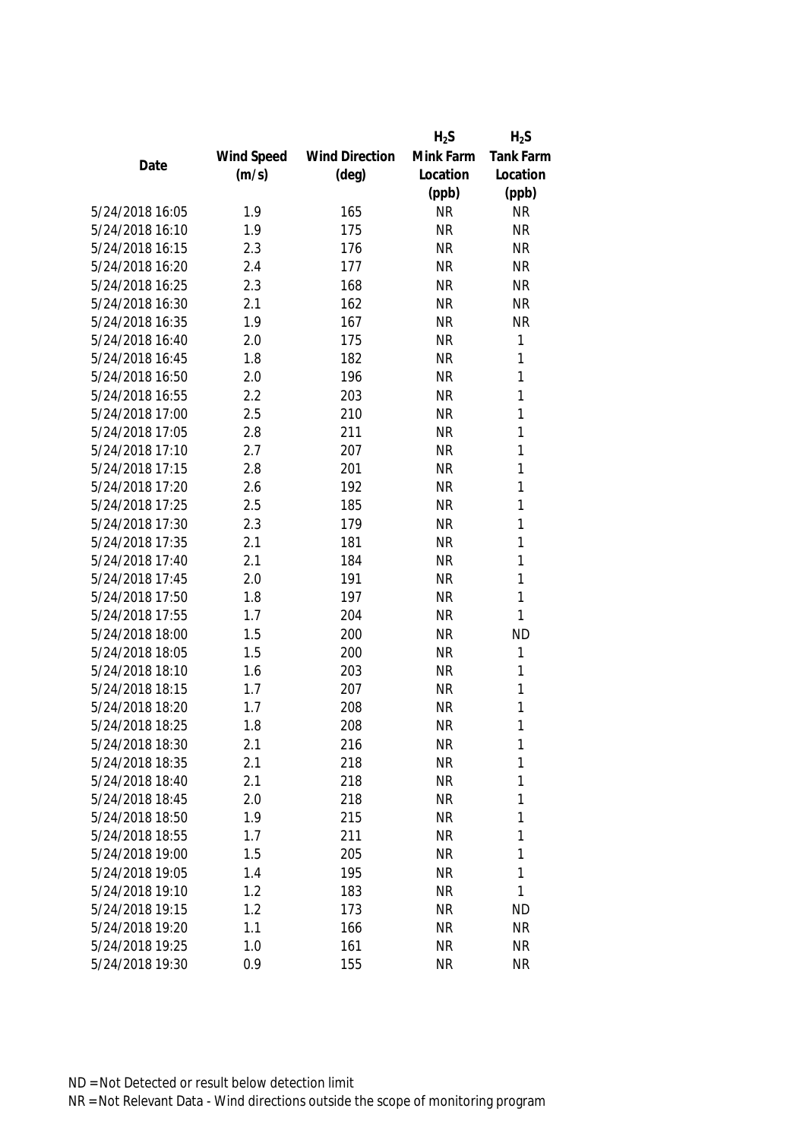|                 |            |                       | $H_2S$    | $H_2S$           |
|-----------------|------------|-----------------------|-----------|------------------|
|                 | Wind Speed | <b>Wind Direction</b> | Mink Farm | <b>Tank Farm</b> |
| Date            | (m/s)      | $(\text{deg})$        | Location  | Location         |
|                 |            |                       | (ppb)     | (ppb)            |
| 5/24/2018 16:05 | 1.9        | 165                   | <b>NR</b> | <b>NR</b>        |
| 5/24/2018 16:10 | 1.9        | 175                   | <b>NR</b> | <b>NR</b>        |
| 5/24/2018 16:15 | 2.3        | 176                   | <b>NR</b> | <b>NR</b>        |
| 5/24/2018 16:20 | 2.4        | 177                   | <b>NR</b> | <b>NR</b>        |
| 5/24/2018 16:25 | 2.3        | 168                   | <b>NR</b> | <b>NR</b>        |
| 5/24/2018 16:30 | 2.1        | 162                   | <b>NR</b> | <b>NR</b>        |
| 5/24/2018 16:35 | 1.9        | 167                   | <b>NR</b> | <b>NR</b>        |
| 5/24/2018 16:40 | 2.0        | 175                   | <b>NR</b> | 1                |
| 5/24/2018 16:45 | 1.8        | 182                   | <b>NR</b> | 1                |
| 5/24/2018 16:50 | 2.0        | 196                   | <b>NR</b> | 1                |
| 5/24/2018 16:55 | 2.2        | 203                   | <b>NR</b> | 1                |
| 5/24/2018 17:00 | 2.5        | 210                   | <b>NR</b> | 1                |
| 5/24/2018 17:05 | 2.8        | 211                   | <b>NR</b> | 1                |
| 5/24/2018 17:10 | 2.7        | 207                   | <b>NR</b> | 1                |
| 5/24/2018 17:15 | 2.8        | 201                   | <b>NR</b> | 1                |
| 5/24/2018 17:20 | 2.6        | 192                   | <b>NR</b> | 1                |
| 5/24/2018 17:25 | 2.5        | 185                   | <b>NR</b> | 1                |
| 5/24/2018 17:30 | 2.3        | 179                   | <b>NR</b> | 1                |
| 5/24/2018 17:35 | 2.1        | 181                   | <b>NR</b> | 1                |
| 5/24/2018 17:40 | 2.1        | 184                   | <b>NR</b> | 1                |
| 5/24/2018 17:45 | 2.0        | 191                   | <b>NR</b> | 1                |
| 5/24/2018 17:50 | 1.8        | 197                   | <b>NR</b> | 1                |
| 5/24/2018 17:55 | 1.7        | 204                   | <b>NR</b> | 1                |
| 5/24/2018 18:00 | 1.5        | 200                   | <b>NR</b> | <b>ND</b>        |
| 5/24/2018 18:05 | 1.5        | 200                   | <b>NR</b> | 1                |
| 5/24/2018 18:10 | 1.6        | 203                   | <b>NR</b> | 1                |
| 5/24/2018 18:15 | 1.7        | 207                   | <b>NR</b> | 1                |
| 5/24/2018 18:20 | 1.7        | 208                   | <b>NR</b> | 1                |
| 5/24/2018 18:25 | 1.8        | 208                   | <b>NR</b> | 1                |
| 5/24/2018 18:30 | 2.1        | 216                   | NR        | 1                |
| 5/24/2018 18:35 | 2.1        | 218                   | <b>NR</b> | 1                |
| 5/24/2018 18:40 | 2.1        | 218                   | <b>NR</b> | 1                |
| 5/24/2018 18:45 | 2.0        | 218                   | <b>NR</b> | 1                |
| 5/24/2018 18:50 | 1.9        | 215                   | <b>NR</b> | 1                |
| 5/24/2018 18:55 | 1.7        | 211                   | <b>NR</b> | 1                |
| 5/24/2018 19:00 | 1.5        | 205                   | <b>NR</b> | 1                |
| 5/24/2018 19:05 | 1.4        | 195                   | <b>NR</b> | 1                |
| 5/24/2018 19:10 | 1.2        | 183                   | <b>NR</b> | 1                |
| 5/24/2018 19:15 | 1.2        | 173                   | <b>NR</b> | <b>ND</b>        |
| 5/24/2018 19:20 | 1.1        | 166                   | <b>NR</b> | <b>NR</b>        |
| 5/24/2018 19:25 | 1.0        | 161                   | <b>NR</b> | <b>NR</b>        |
| 5/24/2018 19:30 | 0.9        | 155                   | <b>NR</b> | <b>NR</b>        |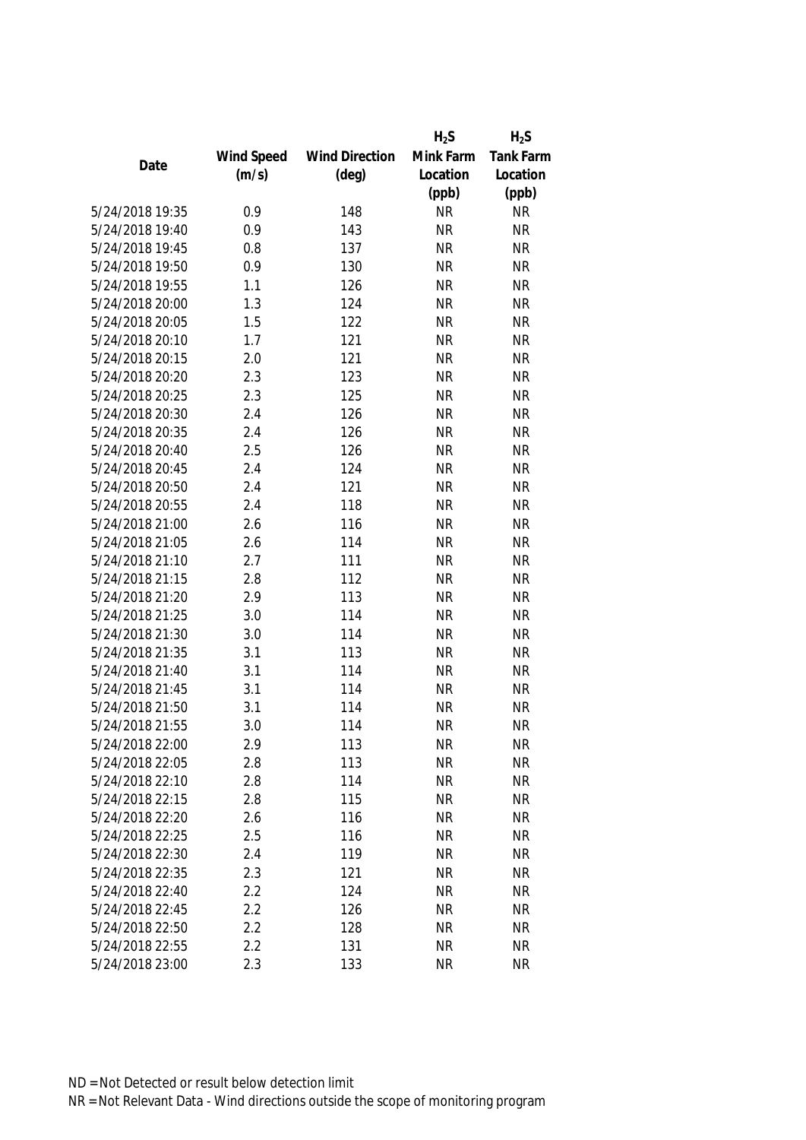|                 |            |                       | $H_2S$    | $H_2S$           |
|-----------------|------------|-----------------------|-----------|------------------|
|                 | Wind Speed | <b>Wind Direction</b> | Mink Farm | <b>Tank Farm</b> |
| Date            | (m/s)      | $(\text{deg})$        | Location  | Location         |
|                 |            |                       | (ppb)     | (ppb)            |
| 5/24/2018 19:35 | 0.9        | 148                   | <b>NR</b> | <b>NR</b>        |
| 5/24/2018 19:40 | 0.9        | 143                   | <b>NR</b> | <b>NR</b>        |
| 5/24/2018 19:45 | 0.8        | 137                   | <b>NR</b> | <b>NR</b>        |
| 5/24/2018 19:50 | 0.9        | 130                   | <b>NR</b> | <b>NR</b>        |
| 5/24/2018 19:55 | 1.1        | 126                   | <b>NR</b> | <b>NR</b>        |
| 5/24/2018 20:00 | 1.3        | 124                   | <b>NR</b> | <b>NR</b>        |
| 5/24/2018 20:05 | 1.5        | 122                   | <b>NR</b> | <b>NR</b>        |
| 5/24/2018 20:10 | 1.7        | 121                   | <b>NR</b> | <b>NR</b>        |
| 5/24/2018 20:15 | 2.0        | 121                   | <b>NR</b> | <b>NR</b>        |
| 5/24/2018 20:20 | 2.3        | 123                   | <b>NR</b> | <b>NR</b>        |
| 5/24/2018 20:25 | 2.3        | 125                   | <b>NR</b> | <b>NR</b>        |
| 5/24/2018 20:30 | 2.4        | 126                   | <b>NR</b> | <b>NR</b>        |
| 5/24/2018 20:35 | 2.4        | 126                   | <b>NR</b> | <b>NR</b>        |
| 5/24/2018 20:40 | 2.5        | 126                   | <b>NR</b> | <b>NR</b>        |
| 5/24/2018 20:45 | 2.4        | 124                   | <b>NR</b> | <b>NR</b>        |
| 5/24/2018 20:50 | 2.4        | 121                   | <b>NR</b> | <b>NR</b>        |
| 5/24/2018 20:55 | 2.4        | 118                   | <b>NR</b> | <b>NR</b>        |
| 5/24/2018 21:00 | 2.6        | 116                   | <b>NR</b> | <b>NR</b>        |
| 5/24/2018 21:05 | 2.6        | 114                   | <b>NR</b> | <b>NR</b>        |
| 5/24/2018 21:10 | 2.7        | 111                   | <b>NR</b> | <b>NR</b>        |
| 5/24/2018 21:15 | 2.8        | 112                   | <b>NR</b> | <b>NR</b>        |
| 5/24/2018 21:20 | 2.9        | 113                   | <b>NR</b> | <b>NR</b>        |
| 5/24/2018 21:25 | 3.0        | 114                   | <b>NR</b> | <b>NR</b>        |
| 5/24/2018 21:30 | 3.0        | 114                   | <b>NR</b> | <b>NR</b>        |
| 5/24/2018 21:35 | 3.1        | 113                   | <b>NR</b> | <b>NR</b>        |
| 5/24/2018 21:40 | 3.1        | 114                   | <b>NR</b> | <b>NR</b>        |
| 5/24/2018 21:45 | 3.1        | 114                   | <b>NR</b> | <b>NR</b>        |
| 5/24/2018 21:50 | 3.1        | 114                   | <b>NR</b> | <b>NR</b>        |
| 5/24/2018 21:55 | 3.0        | 114                   | <b>NR</b> | <b>NR</b>        |
| 5/24/2018 22:00 | 2.9        | 113                   | <b>NR</b> | <b>NR</b>        |
| 5/24/2018 22:05 | 2.8        | 113                   | <b>NR</b> | <b>NR</b>        |
| 5/24/2018 22:10 | 2.8        | 114                   | <b>NR</b> | <b>NR</b>        |
| 5/24/2018 22:15 | 2.8        | 115                   | <b>NR</b> | <b>NR</b>        |
| 5/24/2018 22:20 | 2.6        | 116                   | <b>NR</b> | <b>NR</b>        |
| 5/24/2018 22:25 | 2.5        | 116                   | <b>NR</b> | <b>NR</b>        |
| 5/24/2018 22:30 | 2.4        | 119                   | <b>NR</b> | <b>NR</b>        |
| 5/24/2018 22:35 | 2.3        | 121                   | <b>NR</b> | <b>NR</b>        |
| 5/24/2018 22:40 | 2.2        | 124                   | <b>NR</b> | <b>NR</b>        |
| 5/24/2018 22:45 | 2.2        | 126                   | <b>NR</b> | <b>NR</b>        |
| 5/24/2018 22:50 | 2.2        | 128                   | <b>NR</b> | <b>NR</b>        |
| 5/24/2018 22:55 | 2.2        | 131                   | <b>NR</b> | <b>NR</b>        |
| 5/24/2018 23:00 | 2.3        | 133                   | <b>NR</b> | <b>NR</b>        |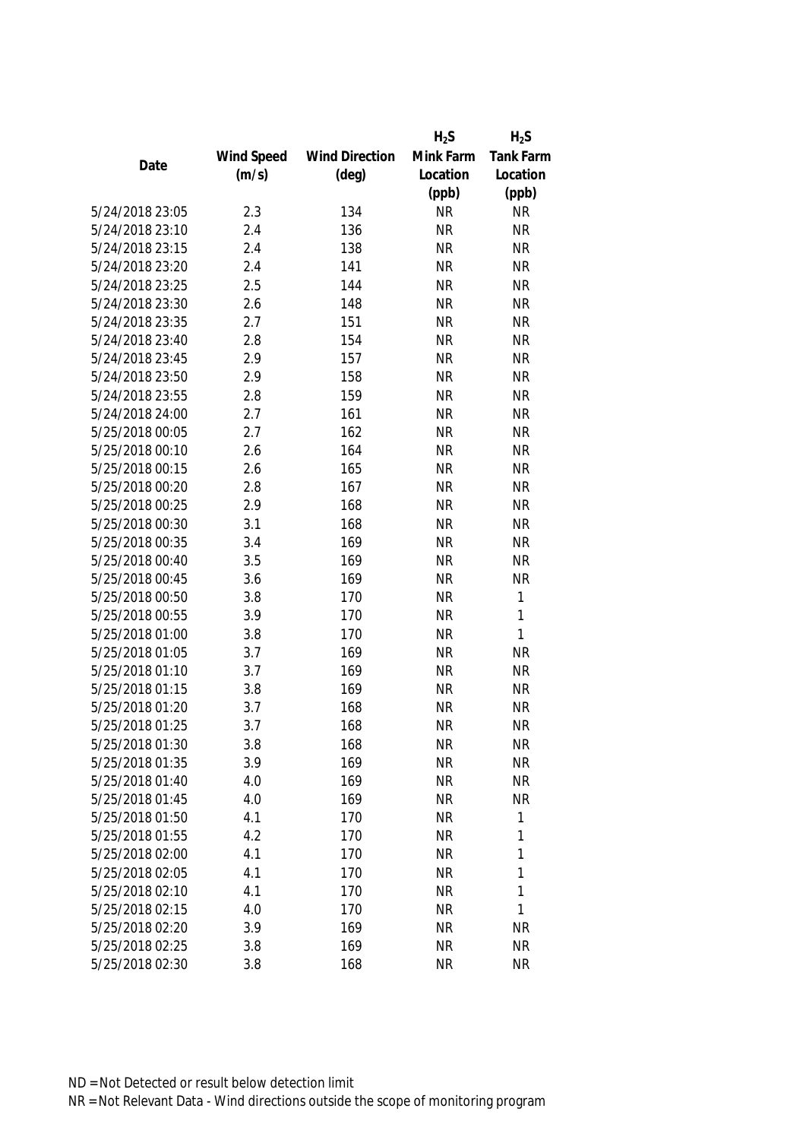|                 |            |                       | $H_2S$    | $H_2S$           |
|-----------------|------------|-----------------------|-----------|------------------|
|                 | Wind Speed | <b>Wind Direction</b> | Mink Farm | <b>Tank Farm</b> |
| Date            | (m/s)      | $(\text{deg})$        | Location  | Location         |
|                 |            |                       | (ppb)     | (ppb)            |
| 5/24/2018 23:05 | 2.3        | 134                   | <b>NR</b> | <b>NR</b>        |
| 5/24/2018 23:10 | 2.4        | 136                   | <b>NR</b> | <b>NR</b>        |
| 5/24/2018 23:15 | 2.4        | 138                   | <b>NR</b> | <b>NR</b>        |
| 5/24/2018 23:20 | 2.4        | 141                   | <b>NR</b> | <b>NR</b>        |
| 5/24/2018 23:25 | 2.5        | 144                   | <b>NR</b> | <b>NR</b>        |
| 5/24/2018 23:30 | 2.6        | 148                   | <b>NR</b> | <b>NR</b>        |
| 5/24/2018 23:35 | 2.7        | 151                   | <b>NR</b> | <b>NR</b>        |
| 5/24/2018 23:40 | 2.8        | 154                   | <b>NR</b> | <b>NR</b>        |
| 5/24/2018 23:45 | 2.9        | 157                   | <b>NR</b> | <b>NR</b>        |
| 5/24/2018 23:50 | 2.9        | 158                   | <b>NR</b> | <b>NR</b>        |
| 5/24/2018 23:55 | 2.8        | 159                   | <b>NR</b> | <b>NR</b>        |
| 5/24/2018 24:00 | 2.7        | 161                   | <b>NR</b> | <b>NR</b>        |
| 5/25/2018 00:05 | 2.7        | 162                   | <b>NR</b> | <b>NR</b>        |
| 5/25/2018 00:10 | 2.6        | 164                   | <b>NR</b> | <b>NR</b>        |
| 5/25/2018 00:15 | 2.6        | 165                   | <b>NR</b> | <b>NR</b>        |
| 5/25/2018 00:20 | 2.8        | 167                   | <b>NR</b> | <b>NR</b>        |
| 5/25/2018 00:25 | 2.9        | 168                   | <b>NR</b> | <b>NR</b>        |
| 5/25/2018 00:30 | 3.1        | 168                   | <b>NR</b> | <b>NR</b>        |
| 5/25/2018 00:35 | 3.4        | 169                   | <b>NR</b> | <b>NR</b>        |
| 5/25/2018 00:40 | 3.5        | 169                   | <b>NR</b> | <b>NR</b>        |
| 5/25/2018 00:45 | 3.6        | 169                   | <b>NR</b> | <b>NR</b>        |
| 5/25/2018 00:50 | 3.8        | 170                   | <b>NR</b> | 1                |
| 5/25/2018 00:55 | 3.9        | 170                   | <b>NR</b> | 1                |
| 5/25/2018 01:00 | 3.8        | 170                   | <b>NR</b> | 1                |
| 5/25/2018 01:05 | 3.7        | 169                   | <b>NR</b> | <b>NR</b>        |
| 5/25/2018 01:10 | 3.7        | 169                   | <b>NR</b> | <b>NR</b>        |
| 5/25/2018 01:15 | 3.8        | 169                   | <b>NR</b> | <b>NR</b>        |
| 5/25/2018 01:20 | 3.7        | 168                   | <b>NR</b> | <b>NR</b>        |
| 5/25/2018 01:25 | 3.7        | 168                   | <b>NR</b> | <b>NR</b>        |
| 5/25/2018 01:30 | 3.8        | 168                   | ΝR        | <b>NR</b>        |
| 5/25/2018 01:35 | 3.9        | 169                   | <b>NR</b> | <b>NR</b>        |
| 5/25/2018 01:40 | 4.0        | 169                   | <b>NR</b> | <b>NR</b>        |
| 5/25/2018 01:45 | 4.0        | 169                   | <b>NR</b> | <b>NR</b>        |
| 5/25/2018 01:50 | 4.1        | 170                   | <b>NR</b> | 1                |
| 5/25/2018 01:55 | 4.2        | 170                   | <b>NR</b> | 1                |
| 5/25/2018 02:00 | 4.1        | 170                   | <b>NR</b> | 1                |
| 5/25/2018 02:05 | 4.1        | 170                   | <b>NR</b> | 1                |
| 5/25/2018 02:10 | 4.1        | 170                   | <b>NR</b> | 1                |
| 5/25/2018 02:15 | 4.0        | 170                   | <b>NR</b> | 1                |
| 5/25/2018 02:20 | 3.9        | 169                   | <b>NR</b> | <b>NR</b>        |
| 5/25/2018 02:25 | 3.8        | 169                   | <b>NR</b> | <b>NR</b>        |
| 5/25/2018 02:30 | 3.8        | 168                   | <b>NR</b> | <b>NR</b>        |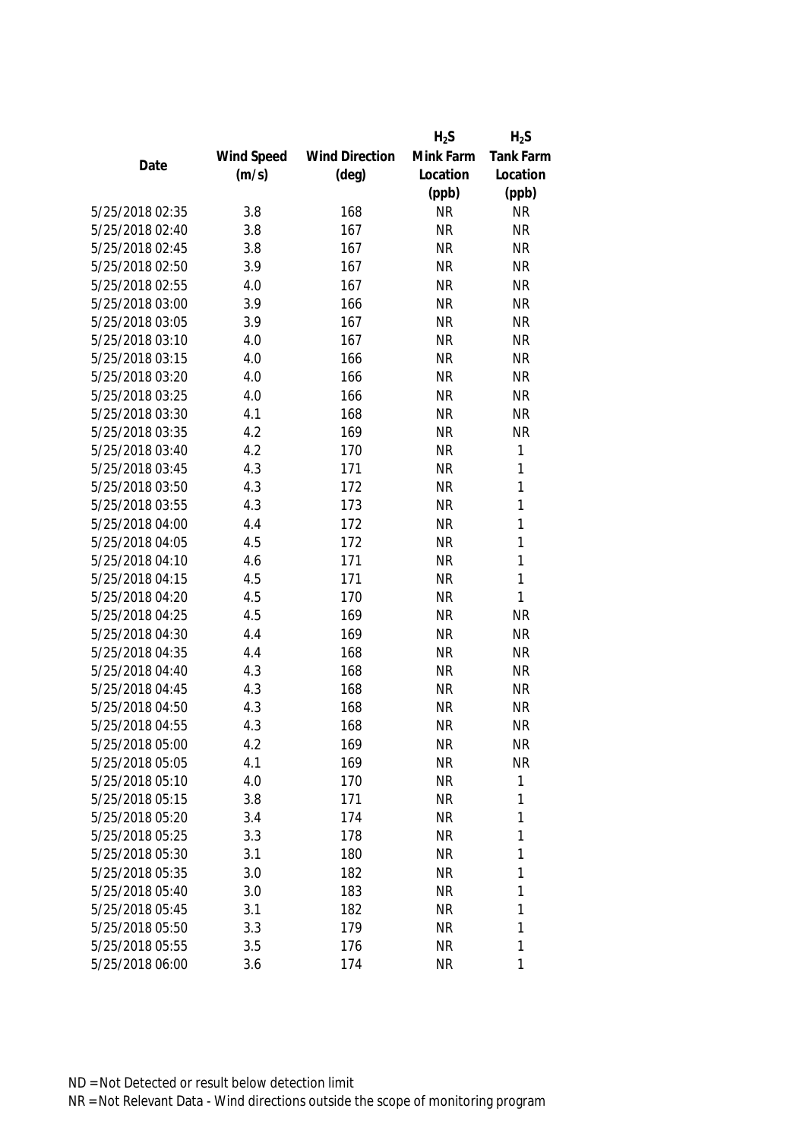|                 |            |                       | $H_2S$    | $H_2S$           |
|-----------------|------------|-----------------------|-----------|------------------|
|                 | Wind Speed | <b>Wind Direction</b> | Mink Farm | <b>Tank Farm</b> |
| Date            | (m/s)      | $(\text{deg})$        | Location  | Location         |
|                 |            |                       | (ppb)     | (ppb)            |
| 5/25/2018 02:35 | 3.8        | 168                   | <b>NR</b> | <b>NR</b>        |
| 5/25/2018 02:40 | 3.8        | 167                   | <b>NR</b> | <b>NR</b>        |
| 5/25/2018 02:45 | 3.8        | 167                   | <b>NR</b> | <b>NR</b>        |
| 5/25/2018 02:50 | 3.9        | 167                   | <b>NR</b> | <b>NR</b>        |
| 5/25/2018 02:55 | 4.0        | 167                   | <b>NR</b> | <b>NR</b>        |
| 5/25/2018 03:00 | 3.9        | 166                   | <b>NR</b> | <b>NR</b>        |
| 5/25/2018 03:05 | 3.9        | 167                   | <b>NR</b> | <b>NR</b>        |
| 5/25/2018 03:10 | 4.0        | 167                   | <b>NR</b> | <b>NR</b>        |
| 5/25/2018 03:15 | 4.0        | 166                   | <b>NR</b> | <b>NR</b>        |
| 5/25/2018 03:20 | 4.0        | 166                   | <b>NR</b> | <b>NR</b>        |
| 5/25/2018 03:25 | 4.0        | 166                   | <b>NR</b> | <b>NR</b>        |
| 5/25/2018 03:30 | 4.1        | 168                   | <b>NR</b> | <b>NR</b>        |
| 5/25/2018 03:35 | 4.2        | 169                   | <b>NR</b> | <b>NR</b>        |
| 5/25/2018 03:40 | 4.2        | 170                   | <b>NR</b> | 1                |
| 5/25/2018 03:45 | 4.3        | 171                   | <b>NR</b> | 1                |
| 5/25/2018 03:50 | 4.3        | 172                   | <b>NR</b> | 1                |
| 5/25/2018 03:55 | 4.3        | 173                   | <b>NR</b> | 1                |
| 5/25/2018 04:00 | 4.4        | 172                   | <b>NR</b> | 1                |
| 5/25/2018 04:05 | 4.5        | 172                   | <b>NR</b> | 1                |
| 5/25/2018 04:10 | 4.6        | 171                   | <b>NR</b> | 1                |
| 5/25/2018 04:15 | 4.5        | 171                   | <b>NR</b> | 1                |
| 5/25/2018 04:20 | 4.5        | 170                   | <b>NR</b> | 1                |
| 5/25/2018 04:25 | 4.5        | 169                   | <b>NR</b> | <b>NR</b>        |
| 5/25/2018 04:30 | 4.4        | 169                   | <b>NR</b> | <b>NR</b>        |
| 5/25/2018 04:35 | 4.4        | 168                   | <b>NR</b> | <b>NR</b>        |
| 5/25/2018 04:40 | 4.3        | 168                   | <b>NR</b> | <b>NR</b>        |
| 5/25/2018 04:45 | 4.3        | 168                   | <b>NR</b> | <b>NR</b>        |
| 5/25/2018 04:50 | 4.3        | 168                   | <b>NR</b> | <b>NR</b>        |
| 5/25/2018 04:55 | 4.3        | 168                   | <b>NR</b> | <b>NR</b>        |
| 5/25/2018 05:00 | 4.2        | 169                   | NR        | <b>NR</b>        |
| 5/25/2018 05:05 | 4.1        | 169                   | <b>NR</b> | <b>NR</b>        |
| 5/25/2018 05:10 | 4.0        | 170                   | <b>NR</b> | 1                |
| 5/25/2018 05:15 | 3.8        | 171                   | <b>NR</b> | 1                |
| 5/25/2018 05:20 | 3.4        | 174                   | <b>NR</b> | 1                |
| 5/25/2018 05:25 | 3.3        | 178                   | <b>NR</b> | 1                |
| 5/25/2018 05:30 | 3.1        | 180                   | <b>NR</b> | 1                |
| 5/25/2018 05:35 | 3.0        | 182                   | <b>NR</b> | 1                |
| 5/25/2018 05:40 | 3.0        | 183                   | <b>NR</b> | 1                |
| 5/25/2018 05:45 | 3.1        | 182                   | <b>NR</b> | 1                |
| 5/25/2018 05:50 | 3.3        | 179                   | <b>NR</b> | 1                |
| 5/25/2018 05:55 | 3.5        | 176                   | <b>NR</b> | 1                |
| 5/25/2018 06:00 | 3.6        | 174                   | <b>NR</b> | 1                |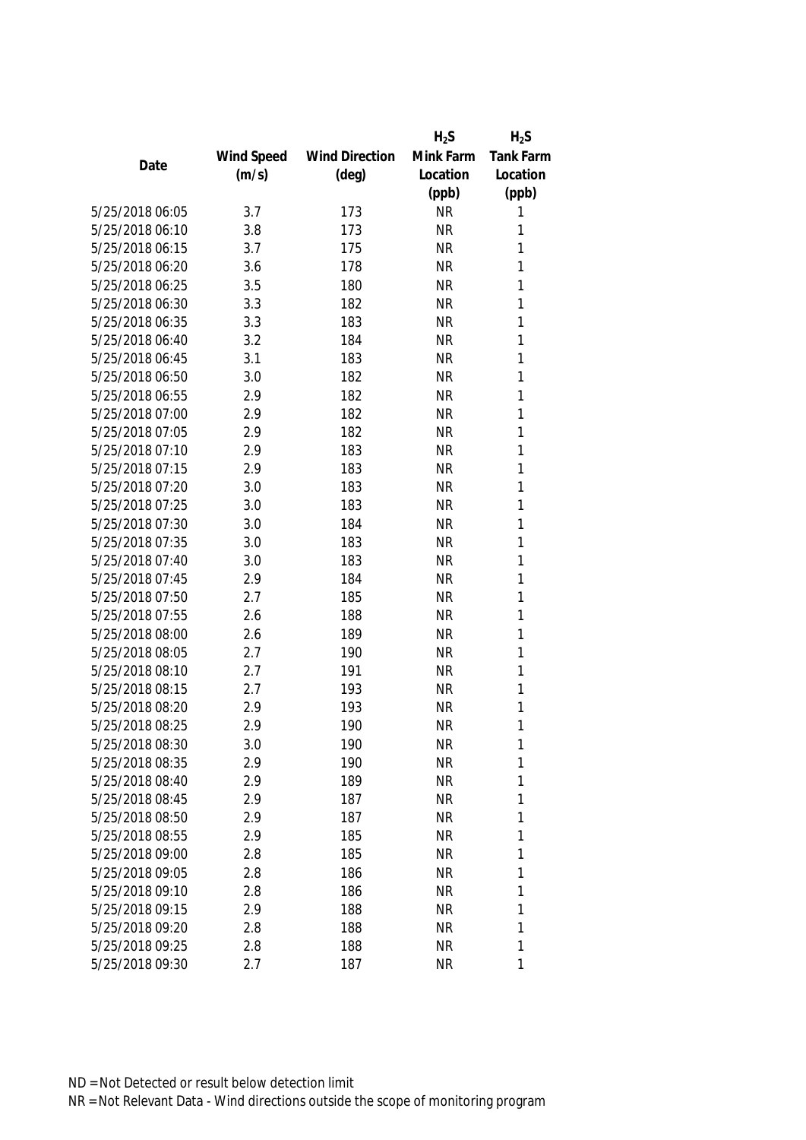|                 |            |                       | $H_2S$    | $H_2S$           |
|-----------------|------------|-----------------------|-----------|------------------|
|                 | Wind Speed | <b>Wind Direction</b> | Mink Farm | <b>Tank Farm</b> |
| Date            | (m/s)      | $(\text{deg})$        | Location  | Location         |
|                 |            |                       | (ppb)     | (ppb)            |
| 5/25/2018 06:05 | 3.7        | 173                   | <b>NR</b> | 1                |
| 5/25/2018 06:10 | 3.8        | 173                   | <b>NR</b> | 1                |
| 5/25/2018 06:15 | 3.7        | 175                   | <b>NR</b> | 1                |
| 5/25/2018 06:20 | 3.6        | 178                   | <b>NR</b> | 1                |
| 5/25/2018 06:25 | 3.5        | 180                   | <b>NR</b> | 1                |
| 5/25/2018 06:30 | 3.3        | 182                   | <b>NR</b> | 1                |
| 5/25/2018 06:35 | 3.3        | 183                   | <b>NR</b> | 1                |
| 5/25/2018 06:40 | 3.2        | 184                   | <b>NR</b> | 1                |
| 5/25/2018 06:45 | 3.1        | 183                   | <b>NR</b> | 1                |
| 5/25/2018 06:50 | 3.0        | 182                   | <b>NR</b> | 1                |
| 5/25/2018 06:55 | 2.9        | 182                   | <b>NR</b> | 1                |
| 5/25/2018 07:00 | 2.9        | 182                   | <b>NR</b> | 1                |
| 5/25/2018 07:05 | 2.9        | 182                   | <b>NR</b> | 1                |
| 5/25/2018 07:10 | 2.9        | 183                   | <b>NR</b> | 1                |
| 5/25/2018 07:15 | 2.9        | 183                   | <b>NR</b> | 1                |
| 5/25/2018 07:20 | 3.0        | 183                   | <b>NR</b> | 1                |
| 5/25/2018 07:25 | 3.0        | 183                   | <b>NR</b> | 1                |
| 5/25/2018 07:30 | 3.0        | 184                   | <b>NR</b> | 1                |
| 5/25/2018 07:35 | 3.0        | 183                   | <b>NR</b> | 1                |
| 5/25/2018 07:40 | 3.0        | 183                   | <b>NR</b> | 1                |
| 5/25/2018 07:45 | 2.9        | 184                   | <b>NR</b> | 1                |
| 5/25/2018 07:50 | 2.7        | 185                   | <b>NR</b> | 1                |
| 5/25/2018 07:55 | 2.6        | 188                   | <b>NR</b> | 1                |
| 5/25/2018 08:00 | 2.6        | 189                   | <b>NR</b> | 1                |
| 5/25/2018 08:05 | 2.7        | 190                   | <b>NR</b> | 1                |
| 5/25/2018 08:10 | 2.7        | 191                   | <b>NR</b> | 1                |
| 5/25/2018 08:15 | 2.7        | 193                   | <b>NR</b> | 1                |
| 5/25/2018 08:20 | 2.9        | 193                   | <b>NR</b> | 1                |
| 5/25/2018 08:25 | 2.9        | 190                   | <b>NR</b> | 1                |
| 5/25/2018 08:30 | 3.0        | 190                   | <b>NR</b> | 1                |
| 5/25/2018 08:35 | 2.9        | 190                   | <b>NR</b> | 1                |
| 5/25/2018 08:40 | 2.9        | 189                   | <b>NR</b> | 1                |
| 5/25/2018 08:45 | 2.9        | 187                   | <b>NR</b> | 1                |
| 5/25/2018 08:50 | 2.9        | 187                   | <b>NR</b> | 1                |
| 5/25/2018 08:55 | 2.9        | 185                   | <b>NR</b> | 1                |
| 5/25/2018 09:00 | 2.8        | 185                   | <b>NR</b> | 1                |
| 5/25/2018 09:05 | 2.8        | 186                   | <b>NR</b> | 1                |
| 5/25/2018 09:10 | 2.8        | 186                   | <b>NR</b> | 1                |
| 5/25/2018 09:15 | 2.9        | 188                   | <b>NR</b> | 1                |
| 5/25/2018 09:20 | 2.8        | 188                   | <b>NR</b> | 1                |
| 5/25/2018 09:25 | 2.8        | 188                   | <b>NR</b> | 1                |
| 5/25/2018 09:30 | 2.7        | 187                   | <b>NR</b> | 1                |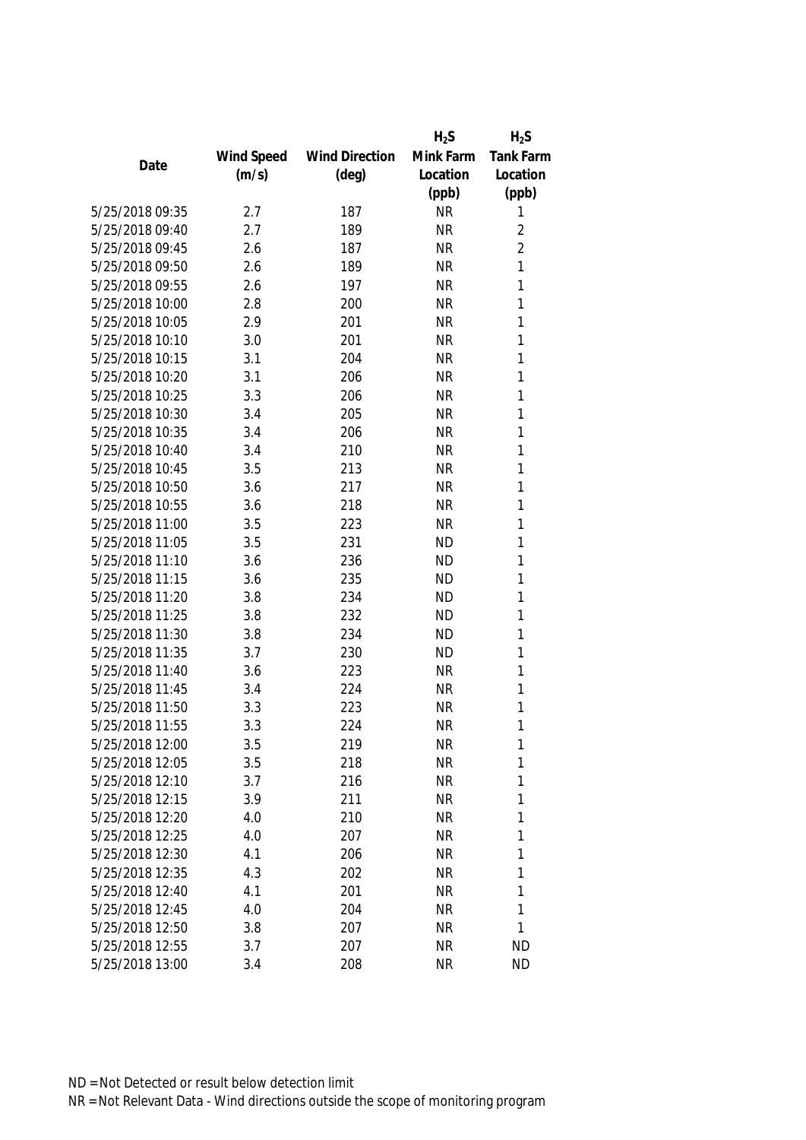|                 |            |                       | $H_2S$    | $H_2S$           |
|-----------------|------------|-----------------------|-----------|------------------|
|                 | Wind Speed | <b>Wind Direction</b> | Mink Farm | <b>Tank Farm</b> |
| Date            | (m/s)      | $(\text{deg})$        | Location  | Location         |
|                 |            |                       | (ppb)     | (ppb)            |
| 5/25/2018 09:35 | 2.7        | 187                   | <b>NR</b> | 1                |
| 5/25/2018 09:40 | 2.7        | 189                   | <b>NR</b> | $\overline{2}$   |
| 5/25/2018 09:45 | 2.6        | 187                   | <b>NR</b> | $\overline{2}$   |
| 5/25/2018 09:50 | 2.6        | 189                   | <b>NR</b> | 1                |
| 5/25/2018 09:55 | 2.6        | 197                   | <b>NR</b> | 1                |
| 5/25/2018 10:00 | 2.8        | 200                   | <b>NR</b> | 1                |
| 5/25/2018 10:05 | 2.9        | 201                   | <b>NR</b> | 1                |
| 5/25/2018 10:10 | 3.0        | 201                   | <b>NR</b> | 1                |
| 5/25/2018 10:15 | 3.1        | 204                   | <b>NR</b> | 1                |
| 5/25/2018 10:20 | 3.1        | 206                   | <b>NR</b> | 1                |
| 5/25/2018 10:25 | 3.3        | 206                   | <b>NR</b> | 1                |
| 5/25/2018 10:30 | 3.4        | 205                   | <b>NR</b> | 1                |
| 5/25/2018 10:35 | 3.4        | 206                   | <b>NR</b> | 1                |
| 5/25/2018 10:40 | 3.4        | 210                   | <b>NR</b> | 1                |
| 5/25/2018 10:45 | 3.5        | 213                   | <b>NR</b> | 1                |
| 5/25/2018 10:50 | 3.6        | 217                   | <b>NR</b> | 1                |
| 5/25/2018 10:55 | 3.6        | 218                   | <b>NR</b> | 1                |
| 5/25/2018 11:00 | 3.5        | 223                   | <b>NR</b> | 1                |
| 5/25/2018 11:05 | 3.5        | 231                   | <b>ND</b> | 1                |
| 5/25/2018 11:10 | 3.6        | 236                   | <b>ND</b> | 1                |
| 5/25/2018 11:15 | 3.6        | 235                   | <b>ND</b> | 1                |
| 5/25/2018 11:20 | 3.8        | 234                   | <b>ND</b> | 1                |
| 5/25/2018 11:25 | 3.8        | 232                   | <b>ND</b> | 1                |
| 5/25/2018 11:30 | 3.8        | 234                   | <b>ND</b> | 1                |
| 5/25/2018 11:35 | 3.7        | 230                   | <b>ND</b> | 1                |
| 5/25/2018 11:40 | 3.6        | 223                   | <b>NR</b> | 1                |
| 5/25/2018 11:45 | 3.4        | 224                   | <b>NR</b> | 1                |
| 5/25/2018 11:50 | 3.3        | 223                   | <b>NR</b> | 1                |
| 5/25/2018 11:55 | 3.3        | 224                   | <b>NR</b> | 1                |
| 5/25/2018 12:00 | 3.5        | 219                   | <b>NR</b> | 1                |
| 5/25/2018 12:05 | 3.5        | 218                   | <b>NR</b> | 1                |
| 5/25/2018 12:10 | 3.7        | 216                   | <b>NR</b> | 1                |
| 5/25/2018 12:15 | 3.9        | 211                   | <b>NR</b> | 1                |
| 5/25/2018 12:20 | 4.0        | 210                   | <b>NR</b> | 1                |
| 5/25/2018 12:25 | 4.0        | 207                   | <b>NR</b> | 1                |
| 5/25/2018 12:30 | 4.1        | 206                   | <b>NR</b> | 1                |
| 5/25/2018 12:35 | 4.3        | 202                   | <b>NR</b> | 1                |
| 5/25/2018 12:40 | 4.1        | 201                   | <b>NR</b> | 1                |
| 5/25/2018 12:45 | 4.0        | 204                   | <b>NR</b> | 1                |
| 5/25/2018 12:50 | 3.8        | 207                   | <b>NR</b> | 1                |
| 5/25/2018 12:55 | 3.7        | 207                   | <b>NR</b> | <b>ND</b>        |
| 5/25/2018 13:00 | 3.4        | 208                   | <b>NR</b> | <b>ND</b>        |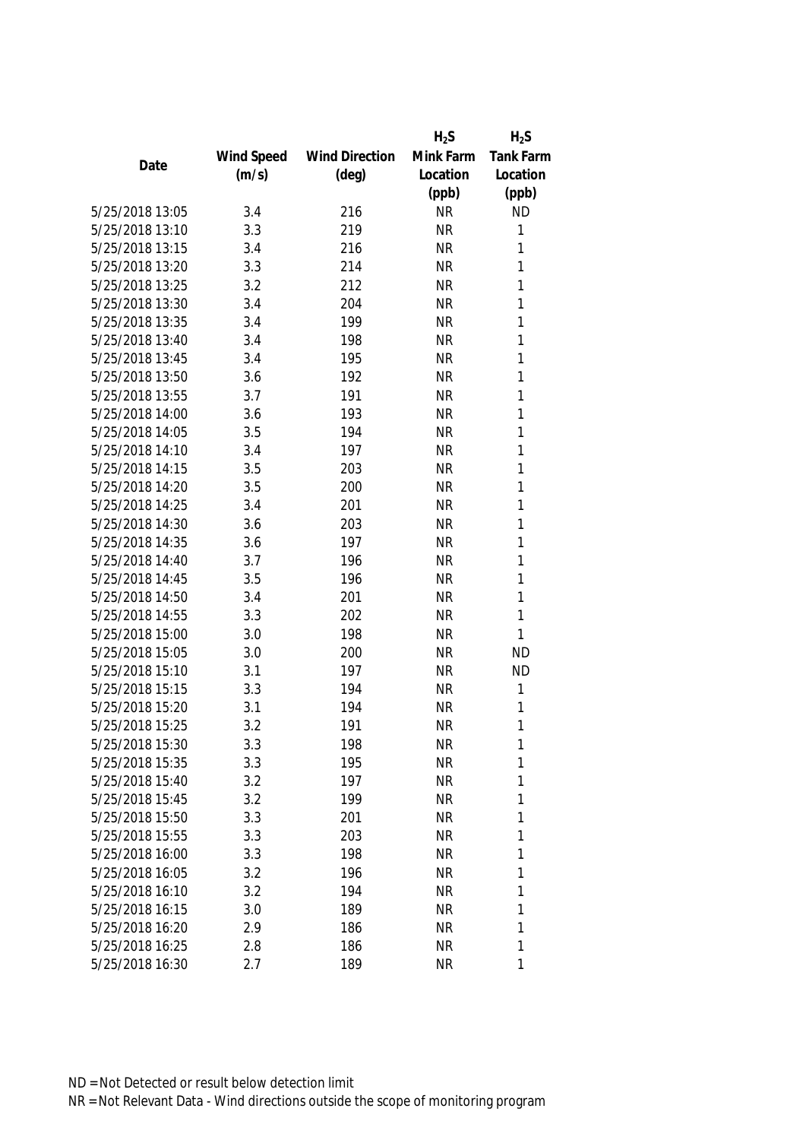|                 |            |                       | $H_2S$    | $H_2S$           |
|-----------------|------------|-----------------------|-----------|------------------|
|                 | Wind Speed | <b>Wind Direction</b> | Mink Farm | <b>Tank Farm</b> |
| Date            | (m/s)      | $(\text{deg})$        | Location  | Location         |
|                 |            |                       | (ppb)     | (ppb)            |
| 5/25/2018 13:05 | 3.4        | 216                   | <b>NR</b> | <b>ND</b>        |
| 5/25/2018 13:10 | 3.3        | 219                   | <b>NR</b> | 1                |
| 5/25/2018 13:15 | 3.4        | 216                   | <b>NR</b> | 1                |
| 5/25/2018 13:20 | 3.3        | 214                   | <b>NR</b> | 1                |
| 5/25/2018 13:25 | 3.2        | 212                   | <b>NR</b> | 1                |
| 5/25/2018 13:30 | 3.4        | 204                   | <b>NR</b> | 1                |
| 5/25/2018 13:35 | 3.4        | 199                   | <b>NR</b> | 1                |
| 5/25/2018 13:40 | 3.4        | 198                   | <b>NR</b> | 1                |
| 5/25/2018 13:45 | 3.4        | 195                   | <b>NR</b> | 1                |
| 5/25/2018 13:50 | 3.6        | 192                   | <b>NR</b> | 1                |
| 5/25/2018 13:55 | 3.7        | 191                   | <b>NR</b> | 1                |
| 5/25/2018 14:00 | 3.6        | 193                   | <b>NR</b> | 1                |
| 5/25/2018 14:05 | 3.5        | 194                   | <b>NR</b> | 1                |
| 5/25/2018 14:10 | 3.4        | 197                   | <b>NR</b> | 1                |
| 5/25/2018 14:15 | 3.5        | 203                   | <b>NR</b> | 1                |
| 5/25/2018 14:20 | 3.5        | 200                   | <b>NR</b> | 1                |
| 5/25/2018 14:25 | 3.4        | 201                   | <b>NR</b> | 1                |
| 5/25/2018 14:30 | 3.6        | 203                   | <b>NR</b> | 1                |
| 5/25/2018 14:35 | 3.6        | 197                   | <b>NR</b> | 1                |
| 5/25/2018 14:40 | 3.7        | 196                   | <b>NR</b> | 1                |
| 5/25/2018 14:45 | 3.5        | 196                   | <b>NR</b> | 1                |
| 5/25/2018 14:50 | 3.4        | 201                   | <b>NR</b> | 1                |
| 5/25/2018 14:55 | 3.3        | 202                   | <b>NR</b> | 1                |
| 5/25/2018 15:00 | 3.0        | 198                   | <b>NR</b> | 1                |
| 5/25/2018 15:05 | 3.0        | 200                   | <b>NR</b> | <b>ND</b>        |
| 5/25/2018 15:10 | 3.1        | 197                   | <b>NR</b> | <b>ND</b>        |
| 5/25/2018 15:15 | 3.3        | 194                   | <b>NR</b> | 1                |
| 5/25/2018 15:20 | 3.1        | 194                   | <b>NR</b> | 1                |
| 5/25/2018 15:25 | 3.2        | 191                   | <b>NR</b> | 1                |
| 5/25/2018 15:30 | 3.3        | 198                   | <b>NR</b> | 1                |
| 5/25/2018 15:35 | 3.3        | 195                   | <b>NR</b> | 1                |
| 5/25/2018 15:40 | 3.2        | 197                   | <b>NR</b> | 1                |
| 5/25/2018 15:45 | 3.2        | 199                   | <b>NR</b> | 1                |
| 5/25/2018 15:50 | 3.3        | 201                   | <b>NR</b> | 1                |
| 5/25/2018 15:55 | 3.3        | 203                   | <b>NR</b> | 1                |
| 5/25/2018 16:00 | 3.3        | 198                   | <b>NR</b> | 1                |
| 5/25/2018 16:05 | 3.2        | 196                   | <b>NR</b> | 1                |
| 5/25/2018 16:10 | 3.2        | 194                   | <b>NR</b> | 1                |
| 5/25/2018 16:15 | 3.0        | 189                   | <b>NR</b> | 1                |
| 5/25/2018 16:20 | 2.9        | 186                   | <b>NR</b> | 1                |
| 5/25/2018 16:25 | 2.8        | 186                   | <b>NR</b> | 1                |
| 5/25/2018 16:30 | 2.7        | 189                   | <b>NR</b> | 1                |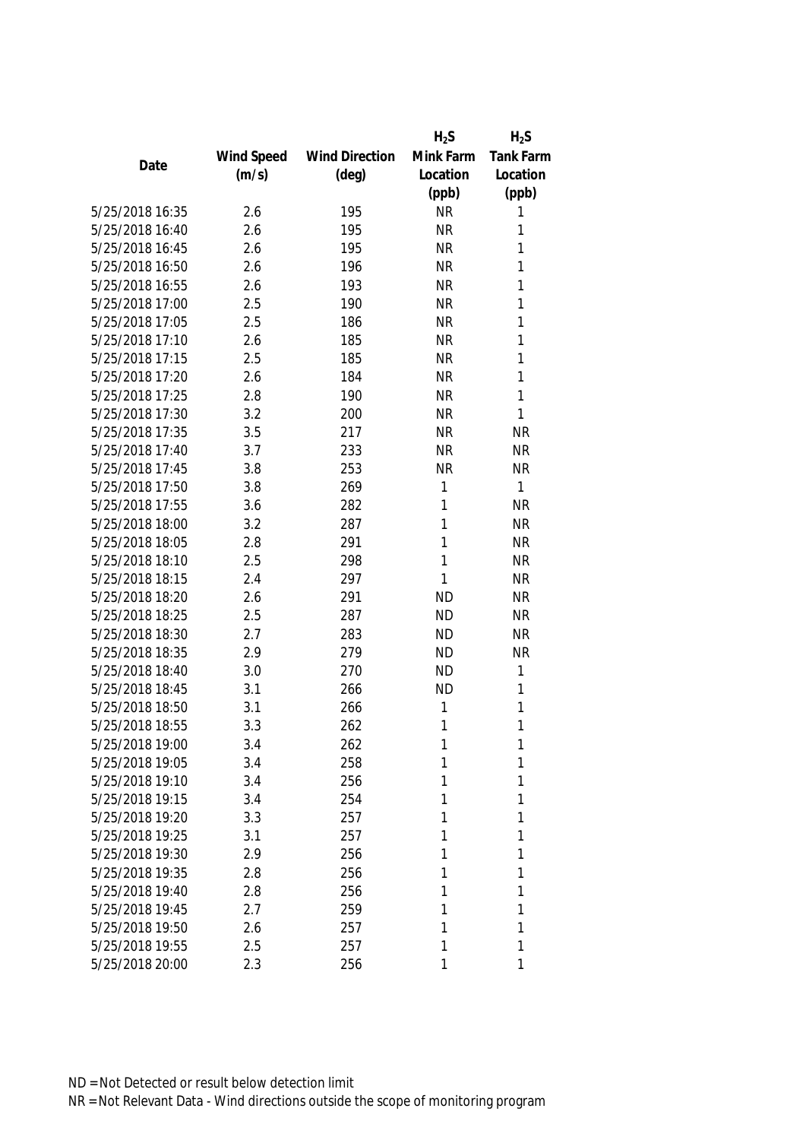|                 |            |                       | $H_2S$    | $H_2S$           |
|-----------------|------------|-----------------------|-----------|------------------|
|                 | Wind Speed | <b>Wind Direction</b> | Mink Farm | <b>Tank Farm</b> |
| Date            | (m/s)      | $(\text{deg})$        | Location  | Location         |
|                 |            |                       | (ppb)     | (ppb)            |
| 5/25/2018 16:35 | 2.6        | 195                   | <b>NR</b> | 1                |
| 5/25/2018 16:40 | 2.6        | 195                   | <b>NR</b> | 1                |
| 5/25/2018 16:45 | 2.6        | 195                   | <b>NR</b> | 1                |
| 5/25/2018 16:50 | 2.6        | 196                   | <b>NR</b> | 1                |
| 5/25/2018 16:55 | 2.6        | 193                   | <b>NR</b> | 1                |
| 5/25/2018 17:00 | 2.5        | 190                   | <b>NR</b> | 1                |
| 5/25/2018 17:05 | 2.5        | 186                   | <b>NR</b> | 1                |
| 5/25/2018 17:10 | 2.6        | 185                   | <b>NR</b> | 1                |
| 5/25/2018 17:15 | 2.5        | 185                   | <b>NR</b> | 1                |
| 5/25/2018 17:20 | 2.6        | 184                   | <b>NR</b> | 1                |
| 5/25/2018 17:25 | 2.8        | 190                   | <b>NR</b> | 1                |
| 5/25/2018 17:30 | 3.2        | 200                   | <b>NR</b> | 1                |
| 5/25/2018 17:35 | 3.5        | 217                   | <b>NR</b> | <b>NR</b>        |
| 5/25/2018 17:40 | 3.7        | 233                   | <b>NR</b> | <b>NR</b>        |
| 5/25/2018 17:45 | 3.8        | 253                   | <b>NR</b> | <b>NR</b>        |
| 5/25/2018 17:50 | 3.8        | 269                   | 1         | 1                |
| 5/25/2018 17:55 | 3.6        | 282                   | 1         | <b>NR</b>        |
| 5/25/2018 18:00 | 3.2        | 287                   | 1         | <b>NR</b>        |
| 5/25/2018 18:05 | 2.8        | 291                   | 1         | <b>NR</b>        |
| 5/25/2018 18:10 | 2.5        | 298                   | 1         | <b>NR</b>        |
| 5/25/2018 18:15 | 2.4        | 297                   | 1         | <b>NR</b>        |
| 5/25/2018 18:20 | 2.6        | 291                   | <b>ND</b> | <b>NR</b>        |
| 5/25/2018 18:25 | 2.5        | 287                   | <b>ND</b> | <b>NR</b>        |
| 5/25/2018 18:30 | 2.7        | 283                   | <b>ND</b> | <b>NR</b>        |
| 5/25/2018 18:35 | 2.9        | 279                   | <b>ND</b> | <b>NR</b>        |
| 5/25/2018 18:40 | 3.0        | 270                   | <b>ND</b> | 1                |
| 5/25/2018 18:45 | 3.1        | 266                   | <b>ND</b> | 1                |
| 5/25/2018 18:50 | 3.1        | 266                   | 1         | 1                |
| 5/25/2018 18:55 | 3.3        | 262                   | 1         | 1                |
| 5/25/2018 19:00 | 3.4        | 262                   | 1         | 1                |
| 5/25/2018 19:05 | 3.4        | 258                   | 1         | 1                |
| 5/25/2018 19:10 | 3.4        | 256                   | 1         | 1                |
| 5/25/2018 19:15 | 3.4        | 254                   | 1         | 1                |
| 5/25/2018 19:20 | 3.3        | 257                   | 1         | 1                |
| 5/25/2018 19:25 | 3.1        | 257                   | 1         | 1                |
| 5/25/2018 19:30 | 2.9        | 256                   | 1         | 1                |
| 5/25/2018 19:35 | 2.8        | 256                   | 1         | 1                |
| 5/25/2018 19:40 | 2.8        | 256                   | 1         | 1                |
| 5/25/2018 19:45 | 2.7        | 259                   | 1         | 1                |
| 5/25/2018 19:50 | 2.6        | 257                   | 1         | 1                |
| 5/25/2018 19:55 | 2.5        | 257                   | 1         | 1                |
| 5/25/2018 20:00 | 2.3        | 256                   | 1         | 1                |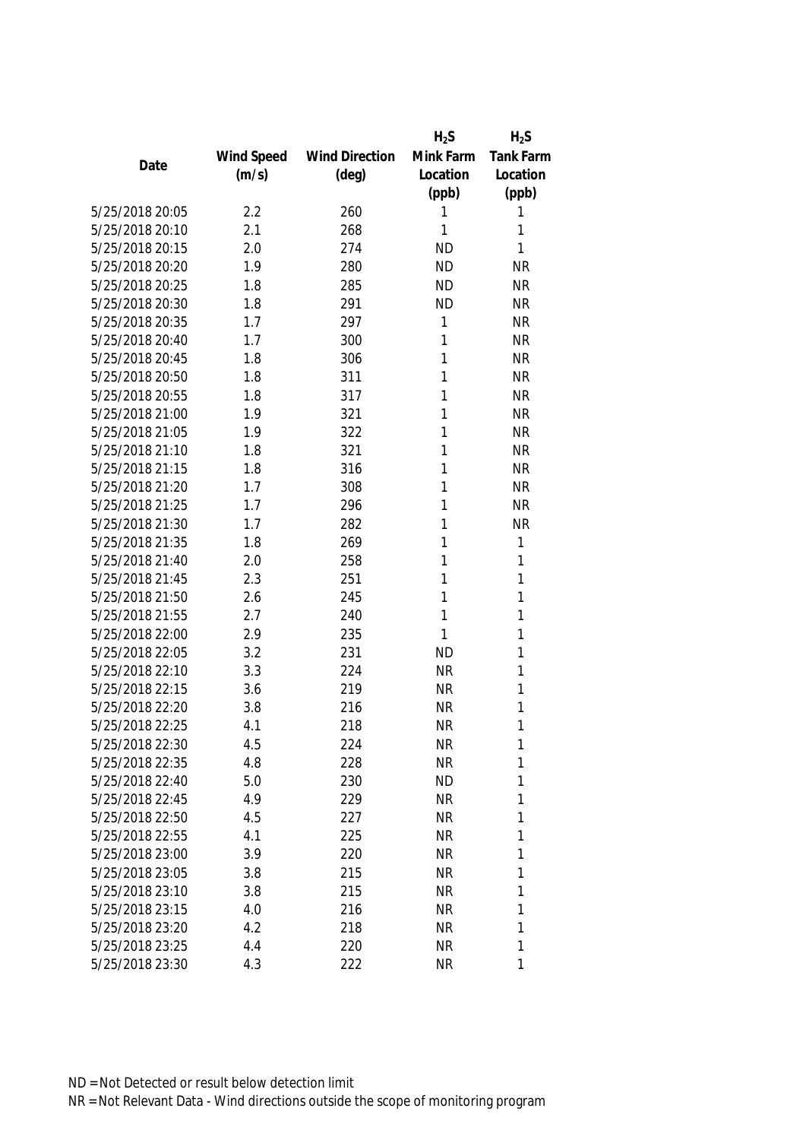|                 |            |                       | $H_2S$    | $H_2S$    |
|-----------------|------------|-----------------------|-----------|-----------|
|                 | Wind Speed | <b>Wind Direction</b> | Mink Farm | Tank Farm |
| Date            | (m/s)      | $(\text{deg})$        | Location  | Location  |
|                 |            |                       | (ppb)     | (ppb)     |
| 5/25/2018 20:05 | 2.2        | 260                   | 1         | 1         |
| 5/25/2018 20:10 | 2.1        | 268                   | 1         | 1         |
| 5/25/2018 20:15 | 2.0        | 274                   | <b>ND</b> | 1         |
| 5/25/2018 20:20 | 1.9        | 280                   | <b>ND</b> | <b>NR</b> |
| 5/25/2018 20:25 | 1.8        | 285                   | <b>ND</b> | <b>NR</b> |
| 5/25/2018 20:30 | 1.8        | 291                   | <b>ND</b> | <b>NR</b> |
| 5/25/2018 20:35 | 1.7        | 297                   | 1         | <b>NR</b> |
| 5/25/2018 20:40 | 1.7        | 300                   | 1         | <b>NR</b> |
| 5/25/2018 20:45 | 1.8        | 306                   | 1         | <b>NR</b> |
| 5/25/2018 20:50 | 1.8        | 311                   | 1         | <b>NR</b> |
| 5/25/2018 20:55 | 1.8        | 317                   | 1         | <b>NR</b> |
| 5/25/2018 21:00 | 1.9        | 321                   | 1         | <b>NR</b> |
| 5/25/2018 21:05 | 1.9        | 322                   | 1         | <b>NR</b> |
| 5/25/2018 21:10 | 1.8        | 321                   | 1         | <b>NR</b> |
| 5/25/2018 21:15 | 1.8        | 316                   | 1         | <b>NR</b> |
| 5/25/2018 21:20 | 1.7        | 308                   | 1         | <b>NR</b> |
| 5/25/2018 21:25 | 1.7        | 296                   | 1         | <b>NR</b> |
| 5/25/2018 21:30 | 1.7        | 282                   | 1         | <b>NR</b> |
| 5/25/2018 21:35 | 1.8        | 269                   | 1         | 1         |
| 5/25/2018 21:40 | 2.0        | 258                   | 1         | 1         |
| 5/25/2018 21:45 | 2.3        | 251                   | 1         | 1         |
| 5/25/2018 21:50 | 2.6        | 245                   | 1         | 1         |
| 5/25/2018 21:55 | 2.7        | 240                   | 1         | 1         |
| 5/25/2018 22:00 | 2.9        | 235                   | 1         | 1         |
| 5/25/2018 22:05 | 3.2        | 231                   | <b>ND</b> | 1         |
| 5/25/2018 22:10 | 3.3        | 224                   | <b>NR</b> | 1         |
| 5/25/2018 22:15 | 3.6        | 219                   | <b>NR</b> | 1         |
| 5/25/2018 22:20 | 3.8        | 216                   | <b>NR</b> | 1         |
| 5/25/2018 22:25 | 4.1        | 218                   | <b>NR</b> | 1         |
| 5/25/2018 22:30 | 4.5        | 224                   | NR        | 1         |
| 5/25/2018 22:35 | 4.8        | 228                   | <b>NR</b> | 1         |
| 5/25/2018 22:40 | 5.0        | 230                   | <b>ND</b> | 1         |
| 5/25/2018 22:45 | 4.9        | 229                   | <b>NR</b> | 1         |
| 5/25/2018 22:50 | 4.5        | 227                   | NR        | 1         |
| 5/25/2018 22:55 | 4.1        | 225                   | <b>NR</b> | 1         |
| 5/25/2018 23:00 | 3.9        | 220                   | <b>NR</b> | 1         |
| 5/25/2018 23:05 | 3.8        | 215                   | NR        | 1         |
| 5/25/2018 23:10 | 3.8        | 215                   | <b>NR</b> | 1         |
| 5/25/2018 23:15 | 4.0        | 216                   | <b>NR</b> | 1         |
| 5/25/2018 23:20 | 4.2        | 218                   | <b>NR</b> | 1         |
| 5/25/2018 23:25 | 4.4        | 220                   | <b>NR</b> | 1         |
| 5/25/2018 23:30 | 4.3        | 222                   | <b>NR</b> | 1         |
|                 |            |                       |           |           |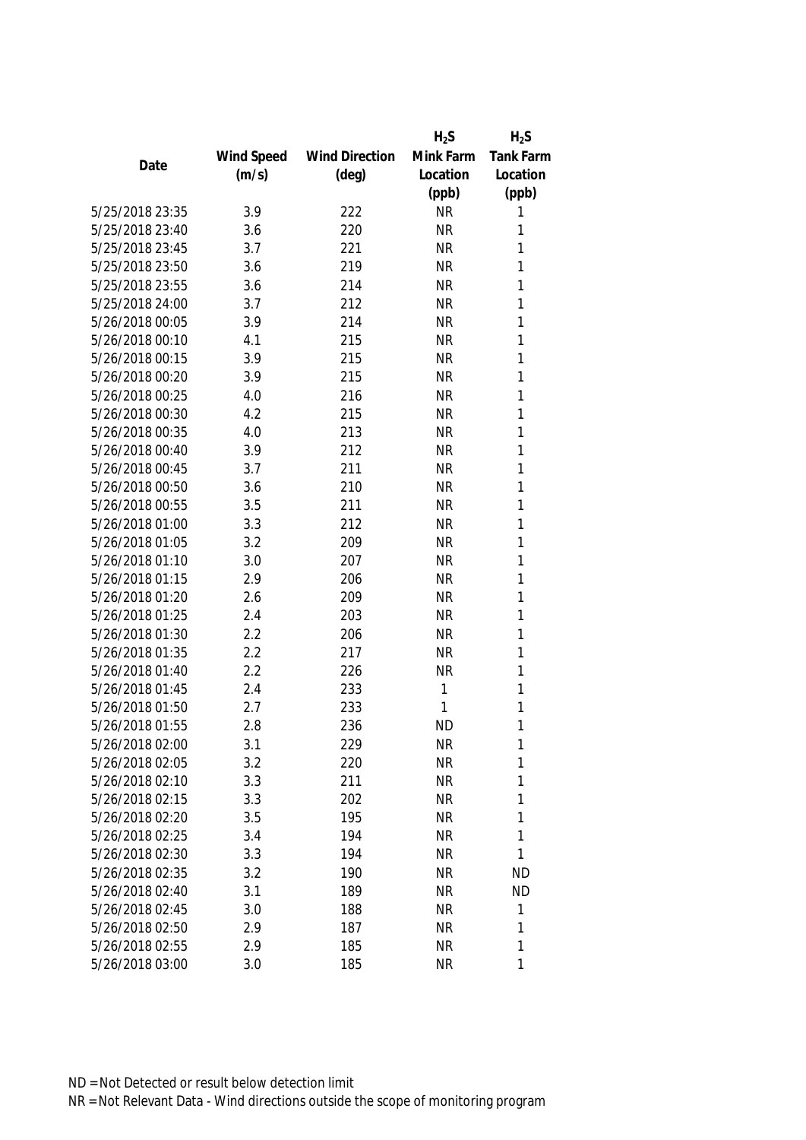|                 |            |                       | $H_2S$    | $H_2S$           |
|-----------------|------------|-----------------------|-----------|------------------|
|                 | Wind Speed | <b>Wind Direction</b> | Mink Farm | <b>Tank Farm</b> |
| Date            | (m/s)      | $(\text{deg})$        | Location  | Location         |
|                 |            |                       | (ppb)     | (ppb)            |
| 5/25/2018 23:35 | 3.9        | 222                   | <b>NR</b> | 1                |
| 5/25/2018 23:40 | 3.6        | 220                   | <b>NR</b> | 1                |
| 5/25/2018 23:45 | 3.7        | 221                   | <b>NR</b> | 1                |
| 5/25/2018 23:50 | 3.6        | 219                   | <b>NR</b> | 1                |
| 5/25/2018 23:55 | 3.6        | 214                   | <b>NR</b> | 1                |
| 5/25/2018 24:00 | 3.7        | 212                   | <b>NR</b> | 1                |
| 5/26/2018 00:05 | 3.9        | 214                   | <b>NR</b> | 1                |
| 5/26/2018 00:10 | 4.1        | 215                   | <b>NR</b> | 1                |
| 5/26/2018 00:15 | 3.9        | 215                   | <b>NR</b> | 1                |
| 5/26/2018 00:20 | 3.9        | 215                   | <b>NR</b> | 1                |
| 5/26/2018 00:25 | 4.0        | 216                   | <b>NR</b> | 1                |
| 5/26/2018 00:30 | 4.2        | 215                   | <b>NR</b> | 1                |
| 5/26/2018 00:35 | 4.0        | 213                   | <b>NR</b> | 1                |
| 5/26/2018 00:40 | 3.9        | 212                   | <b>NR</b> | 1                |
| 5/26/2018 00:45 | 3.7        | 211                   | <b>NR</b> | 1                |
| 5/26/2018 00:50 | 3.6        | 210                   | <b>NR</b> | 1                |
| 5/26/2018 00:55 | 3.5        | 211                   | <b>NR</b> | 1                |
| 5/26/2018 01:00 | 3.3        | 212                   | <b>NR</b> | 1                |
| 5/26/2018 01:05 | 3.2        | 209                   | <b>NR</b> | 1                |
| 5/26/2018 01:10 | 3.0        | 207                   | <b>NR</b> | 1                |
| 5/26/2018 01:15 | 2.9        | 206                   | <b>NR</b> | 1                |
| 5/26/2018 01:20 | 2.6        | 209                   | <b>NR</b> | 1                |
| 5/26/2018 01:25 | 2.4        | 203                   | <b>NR</b> | 1                |
| 5/26/2018 01:30 | 2.2        | 206                   | <b>NR</b> | 1                |
| 5/26/2018 01:35 | 2.2        | 217                   | <b>NR</b> | 1                |
| 5/26/2018 01:40 | 2.2        | 226                   | <b>NR</b> | 1                |
| 5/26/2018 01:45 | 2.4        | 233                   | 1         | 1                |
| 5/26/2018 01:50 | 2.7        | 233                   | 1         | 1                |
| 5/26/2018 01:55 | 2.8        | 236                   | <b>ND</b> | 1                |
| 5/26/2018 02:00 | 3.1        | 229                   | <b>NR</b> | 1                |
| 5/26/2018 02:05 | 3.2        | 220                   | <b>NR</b> | 1                |
| 5/26/2018 02:10 | 3.3        | 211                   | <b>NR</b> | 1                |
| 5/26/2018 02:15 | 3.3        | 202                   | <b>NR</b> | 1                |
| 5/26/2018 02:20 | 3.5        | 195                   | <b>NR</b> | 1                |
| 5/26/2018 02:25 | 3.4        | 194                   | <b>NR</b> | 1                |
| 5/26/2018 02:30 | 3.3        | 194                   | <b>NR</b> | 1                |
| 5/26/2018 02:35 | 3.2        | 190                   | <b>NR</b> | <b>ND</b>        |
| 5/26/2018 02:40 | 3.1        | 189                   | <b>NR</b> | <b>ND</b>        |
| 5/26/2018 02:45 | 3.0        | 188                   | <b>NR</b> | 1                |
| 5/26/2018 02:50 | 2.9        | 187                   | <b>NR</b> | 1                |
| 5/26/2018 02:55 | 2.9        | 185                   | <b>NR</b> | 1                |
| 5/26/2018 03:00 | 3.0        | 185                   | <b>NR</b> | 1                |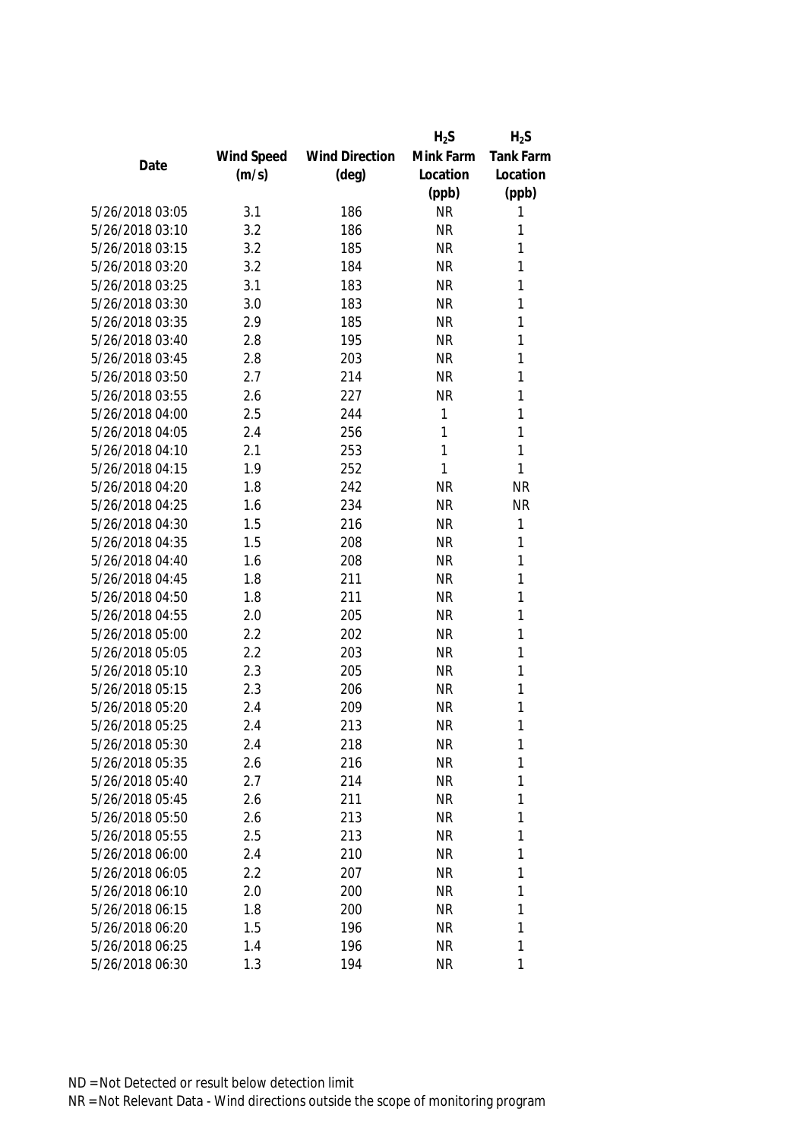|                 |            |                       | $H_2S$    | $H_2S$           |
|-----------------|------------|-----------------------|-----------|------------------|
|                 | Wind Speed | <b>Wind Direction</b> | Mink Farm | <b>Tank Farm</b> |
| Date            | (m/s)      | $(\text{deg})$        | Location  | Location         |
|                 |            |                       | (ppb)     | (ppb)            |
| 5/26/2018 03:05 | 3.1        | 186                   | <b>NR</b> | 1                |
| 5/26/2018 03:10 | 3.2        | 186                   | <b>NR</b> | 1                |
| 5/26/2018 03:15 | 3.2        | 185                   | <b>NR</b> | 1                |
| 5/26/2018 03:20 | 3.2        | 184                   | <b>NR</b> | 1                |
| 5/26/2018 03:25 | 3.1        | 183                   | <b>NR</b> | 1                |
| 5/26/2018 03:30 | 3.0        | 183                   | <b>NR</b> | 1                |
| 5/26/2018 03:35 | 2.9        | 185                   | <b>NR</b> | 1                |
| 5/26/2018 03:40 | 2.8        | 195                   | <b>NR</b> | 1                |
| 5/26/2018 03:45 | 2.8        | 203                   | <b>NR</b> | 1                |
| 5/26/2018 03:50 | 2.7        | 214                   | <b>NR</b> | 1                |
| 5/26/2018 03:55 | 2.6        | 227                   | <b>NR</b> | 1                |
| 5/26/2018 04:00 | 2.5        | 244                   | 1         | 1                |
| 5/26/2018 04:05 | 2.4        | 256                   | 1         | 1                |
| 5/26/2018 04:10 | 2.1        | 253                   | 1         | 1                |
| 5/26/2018 04:15 | 1.9        | 252                   | 1         | 1                |
| 5/26/2018 04:20 | 1.8        | 242                   | <b>NR</b> | <b>NR</b>        |
| 5/26/2018 04:25 | 1.6        | 234                   | <b>NR</b> | <b>NR</b>        |
| 5/26/2018 04:30 | 1.5        | 216                   | <b>NR</b> | 1                |
| 5/26/2018 04:35 | 1.5        | 208                   | <b>NR</b> | 1                |
| 5/26/2018 04:40 | 1.6        | 208                   | <b>NR</b> | 1                |
| 5/26/2018 04:45 | 1.8        | 211                   | <b>NR</b> | 1                |
| 5/26/2018 04:50 | 1.8        | 211                   | <b>NR</b> | 1                |
| 5/26/2018 04:55 | 2.0        | 205                   | <b>NR</b> | 1                |
| 5/26/2018 05:00 | 2.2        | 202                   | <b>NR</b> | 1                |
| 5/26/2018 05:05 | 2.2        | 203                   | <b>NR</b> | 1                |
| 5/26/2018 05:10 | 2.3        | 205                   | <b>NR</b> | 1                |
| 5/26/2018 05:15 | 2.3        | 206                   | <b>NR</b> | 1                |
| 5/26/2018 05:20 | 2.4        | 209                   | <b>NR</b> | 1                |
| 5/26/2018 05:25 | 2.4        | 213                   | <b>NR</b> | 1                |
| 5/26/2018 05:30 | 2.4        | 218                   | NR        | 1                |
| 5/26/2018 05:35 | 2.6        | 216                   | <b>NR</b> | 1                |
| 5/26/2018 05:40 | 2.7        | 214                   | <b>NR</b> | 1                |
| 5/26/2018 05:45 | 2.6        | 211                   | <b>NR</b> | 1                |
| 5/26/2018 05:50 | 2.6        | 213                   | <b>NR</b> | 1                |
| 5/26/2018 05:55 | 2.5        | 213                   | <b>NR</b> | 1                |
| 5/26/2018 06:00 | 2.4        | 210                   | <b>NR</b> | 1                |
| 5/26/2018 06:05 | 2.2        | 207                   | <b>NR</b> | 1                |
| 5/26/2018 06:10 | 2.0        | 200                   | <b>NR</b> | 1                |
| 5/26/2018 06:15 | 1.8        | 200                   | <b>NR</b> | 1                |
| 5/26/2018 06:20 | 1.5        | 196                   | <b>NR</b> | 1                |
| 5/26/2018 06:25 | 1.4        | 196                   | <b>NR</b> | 1                |
| 5/26/2018 06:30 | 1.3        | 194                   | <b>NR</b> | 1                |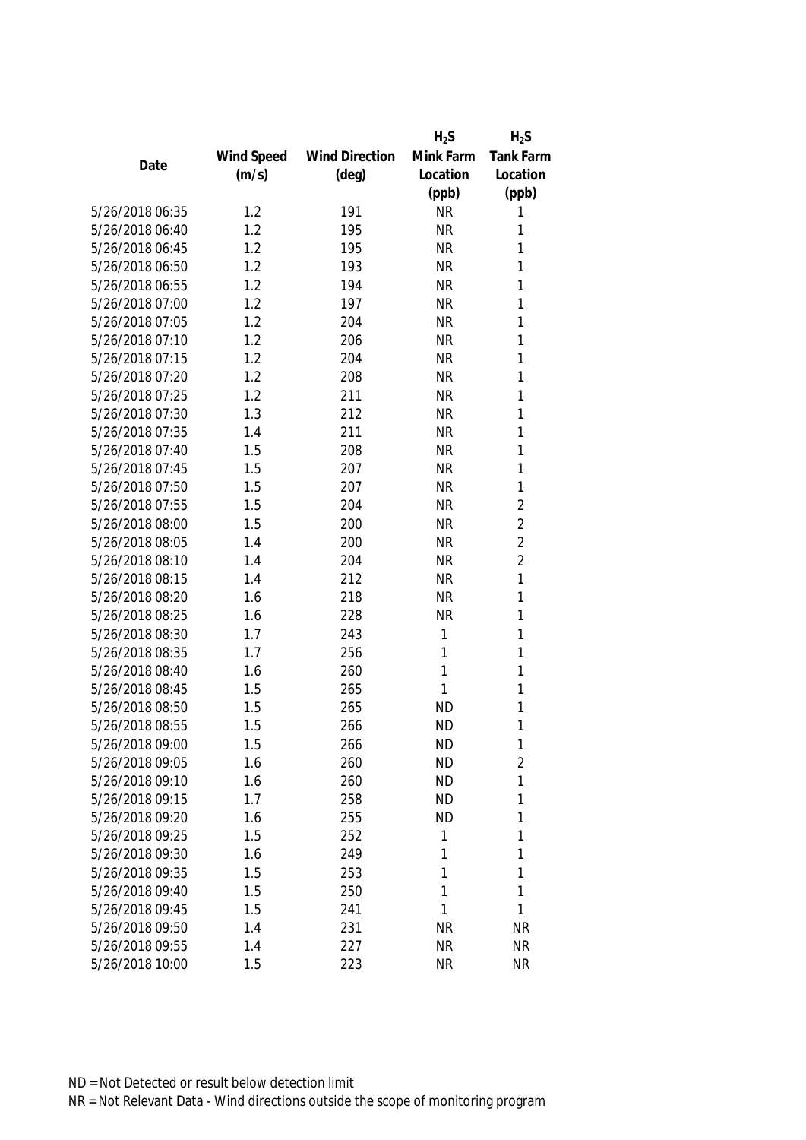|                 |            |                       | $H_2S$    | $H_2S$           |
|-----------------|------------|-----------------------|-----------|------------------|
|                 | Wind Speed | <b>Wind Direction</b> | Mink Farm | <b>Tank Farm</b> |
| Date            | (m/s)      | $(\text{deg})$        | Location  | Location         |
|                 |            |                       | (ppb)     | (ppb)            |
| 5/26/2018 06:35 | 1.2        | 191                   | <b>NR</b> | 1                |
| 5/26/2018 06:40 | 1.2        | 195                   | <b>NR</b> | 1                |
| 5/26/2018 06:45 | 1.2        | 195                   | <b>NR</b> | 1                |
| 5/26/2018 06:50 | 1.2        | 193                   | <b>NR</b> | 1                |
| 5/26/2018 06:55 | 1.2        | 194                   | <b>NR</b> | 1                |
| 5/26/2018 07:00 | 1.2        | 197                   | <b>NR</b> | 1                |
| 5/26/2018 07:05 | 1.2        | 204                   | <b>NR</b> | 1                |
| 5/26/2018 07:10 | 1.2        | 206                   | <b>NR</b> | 1                |
| 5/26/2018 07:15 | 1.2        | 204                   | <b>NR</b> | 1                |
| 5/26/2018 07:20 | 1.2        | 208                   | <b>NR</b> | 1                |
| 5/26/2018 07:25 | 1.2        | 211                   | <b>NR</b> | 1                |
| 5/26/2018 07:30 | 1.3        | 212                   | <b>NR</b> | 1                |
| 5/26/2018 07:35 | 1.4        | 211                   | <b>NR</b> | 1                |
| 5/26/2018 07:40 | 1.5        | 208                   | <b>NR</b> | 1                |
| 5/26/2018 07:45 | 1.5        | 207                   | <b>NR</b> | 1                |
| 5/26/2018 07:50 | 1.5        | 207                   | <b>NR</b> | 1                |
| 5/26/2018 07:55 | 1.5        | 204                   | <b>NR</b> | $\overline{2}$   |
| 5/26/2018 08:00 | 1.5        | 200                   | <b>NR</b> | $\overline{2}$   |
| 5/26/2018 08:05 | 1.4        | 200                   | <b>NR</b> | $\overline{2}$   |
| 5/26/2018 08:10 | 1.4        | 204                   | <b>NR</b> | $\overline{2}$   |
| 5/26/2018 08:15 | 1.4        | 212                   | <b>NR</b> | 1                |
| 5/26/2018 08:20 | 1.6        | 218                   | <b>NR</b> | 1                |
| 5/26/2018 08:25 | 1.6        | 228                   | <b>NR</b> | 1                |
| 5/26/2018 08:30 | 1.7        | 243                   | 1         | 1                |
| 5/26/2018 08:35 | 1.7        | 256                   | 1         | 1                |
| 5/26/2018 08:40 | 1.6        | 260                   | 1         | 1                |
| 5/26/2018 08:45 | 1.5        | 265                   | 1         | 1                |
| 5/26/2018 08:50 | 1.5        | 265                   | <b>ND</b> | 1                |
| 5/26/2018 08:55 | 1.5        | 266                   | <b>ND</b> | 1                |
| 5/26/2018 09:00 | 1.5        | 266                   | <b>ND</b> | 1                |
| 5/26/2018 09:05 | 1.6        | 260                   | <b>ND</b> | $\overline{2}$   |
| 5/26/2018 09:10 | 1.6        | 260                   | <b>ND</b> | 1                |
| 5/26/2018 09:15 | 1.7        | 258                   | <b>ND</b> | 1                |
| 5/26/2018 09:20 | 1.6        | 255                   | <b>ND</b> | 1                |
| 5/26/2018 09:25 | 1.5        | 252                   | 1         | 1                |
| 5/26/2018 09:30 | 1.6        | 249                   | 1         | 1                |
| 5/26/2018 09:35 | 1.5        | 253                   | 1         | 1                |
| 5/26/2018 09:40 | 1.5        | 250                   | 1         | 1                |
| 5/26/2018 09:45 | 1.5        | 241                   | 1         | 1                |
| 5/26/2018 09:50 | 1.4        | 231                   | <b>NR</b> | <b>NR</b>        |
| 5/26/2018 09:55 | 1.4        | 227                   | <b>NR</b> | <b>NR</b>        |
| 5/26/2018 10:00 | 1.5        | 223                   | <b>NR</b> | <b>NR</b>        |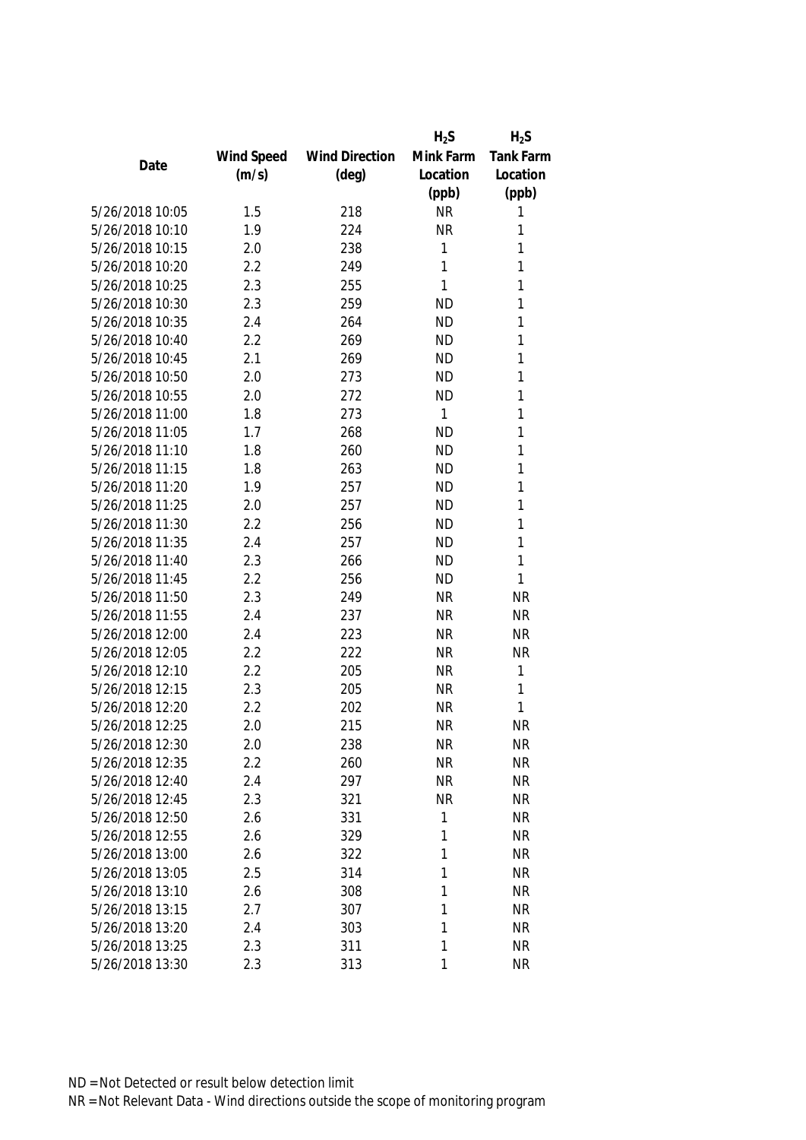|                 |            |                       | $H_2S$       | $H_2S$           |
|-----------------|------------|-----------------------|--------------|------------------|
|                 | Wind Speed | <b>Wind Direction</b> | Mink Farm    | <b>Tank Farm</b> |
| Date            | (m/s)      | $(\text{deg})$        | Location     | Location         |
|                 |            |                       | (ppb)        | (ppb)            |
| 5/26/2018 10:05 | 1.5        | 218                   | <b>NR</b>    | 1                |
| 5/26/2018 10:10 | 1.9        | 224                   | <b>NR</b>    | 1                |
| 5/26/2018 10:15 | 2.0        | 238                   | 1            | 1                |
| 5/26/2018 10:20 | 2.2        | 249                   | 1            | 1                |
| 5/26/2018 10:25 | 2.3        | 255                   | 1            | 1                |
| 5/26/2018 10:30 | 2.3        | 259                   | <b>ND</b>    | 1                |
| 5/26/2018 10:35 | 2.4        | 264                   | <b>ND</b>    | 1                |
| 5/26/2018 10:40 | 2.2        | 269                   | <b>ND</b>    | 1                |
| 5/26/2018 10:45 | 2.1        | 269                   | <b>ND</b>    | 1                |
| 5/26/2018 10:50 | 2.0        | 273                   | <b>ND</b>    | 1                |
| 5/26/2018 10:55 | 2.0        | 272                   | <b>ND</b>    | 1                |
| 5/26/2018 11:00 | 1.8        | 273                   | $\mathbf{1}$ | 1                |
| 5/26/2018 11:05 | 1.7        | 268                   | <b>ND</b>    | 1                |
| 5/26/2018 11:10 | 1.8        | 260                   | <b>ND</b>    | 1                |
| 5/26/2018 11:15 | 1.8        | 263                   | <b>ND</b>    | 1                |
| 5/26/2018 11:20 | 1.9        | 257                   | <b>ND</b>    | 1                |
| 5/26/2018 11:25 | 2.0        | 257                   | <b>ND</b>    | 1                |
| 5/26/2018 11:30 | 2.2        | 256                   | <b>ND</b>    | 1                |
| 5/26/2018 11:35 | 2.4        | 257                   | <b>ND</b>    | 1                |
| 5/26/2018 11:40 | 2.3        | 266                   | <b>ND</b>    | 1                |
| 5/26/2018 11:45 | 2.2        | 256                   | <b>ND</b>    | 1                |
| 5/26/2018 11:50 | 2.3        | 249                   | <b>NR</b>    | <b>NR</b>        |
| 5/26/2018 11:55 | 2.4        | 237                   | <b>NR</b>    | <b>NR</b>        |
| 5/26/2018 12:00 | 2.4        | 223                   | <b>NR</b>    | <b>NR</b>        |
| 5/26/2018 12:05 | 2.2        | 222                   | <b>NR</b>    | <b>NR</b>        |
| 5/26/2018 12:10 | 2.2        | 205                   | <b>NR</b>    | 1                |
| 5/26/2018 12:15 | 2.3        | 205                   | <b>NR</b>    | 1                |
| 5/26/2018 12:20 | 2.2        | 202                   | <b>NR</b>    | 1                |
| 5/26/2018 12:25 | 2.0        | 215                   | <b>NR</b>    | <b>NR</b>        |
| 5/26/2018 12:30 | 2.0        | 238                   | <b>NR</b>    | <b>NR</b>        |
| 5/26/2018 12:35 | 2.2        | 260                   | <b>NR</b>    | <b>NR</b>        |
| 5/26/2018 12:40 | 2.4        | 297                   | <b>NR</b>    | <b>NR</b>        |
| 5/26/2018 12:45 | 2.3        | 321                   | <b>NR</b>    | <b>NR</b>        |
| 5/26/2018 12:50 | 2.6        | 331                   | 1            | <b>NR</b>        |
| 5/26/2018 12:55 | 2.6        | 329                   | 1            | <b>NR</b>        |
| 5/26/2018 13:00 | 2.6        | 322                   | 1            | <b>NR</b>        |
| 5/26/2018 13:05 | 2.5        | 314                   | 1            | <b>NR</b>        |
| 5/26/2018 13:10 | 2.6        | 308                   | 1            | <b>NR</b>        |
| 5/26/2018 13:15 | 2.7        | 307                   | 1            | <b>NR</b>        |
| 5/26/2018 13:20 | 2.4        | 303                   | 1            | <b>NR</b>        |
| 5/26/2018 13:25 | 2.3        | 311                   | 1            | <b>NR</b>        |
| 5/26/2018 13:30 | 2.3        | 313                   | 1            | <b>NR</b>        |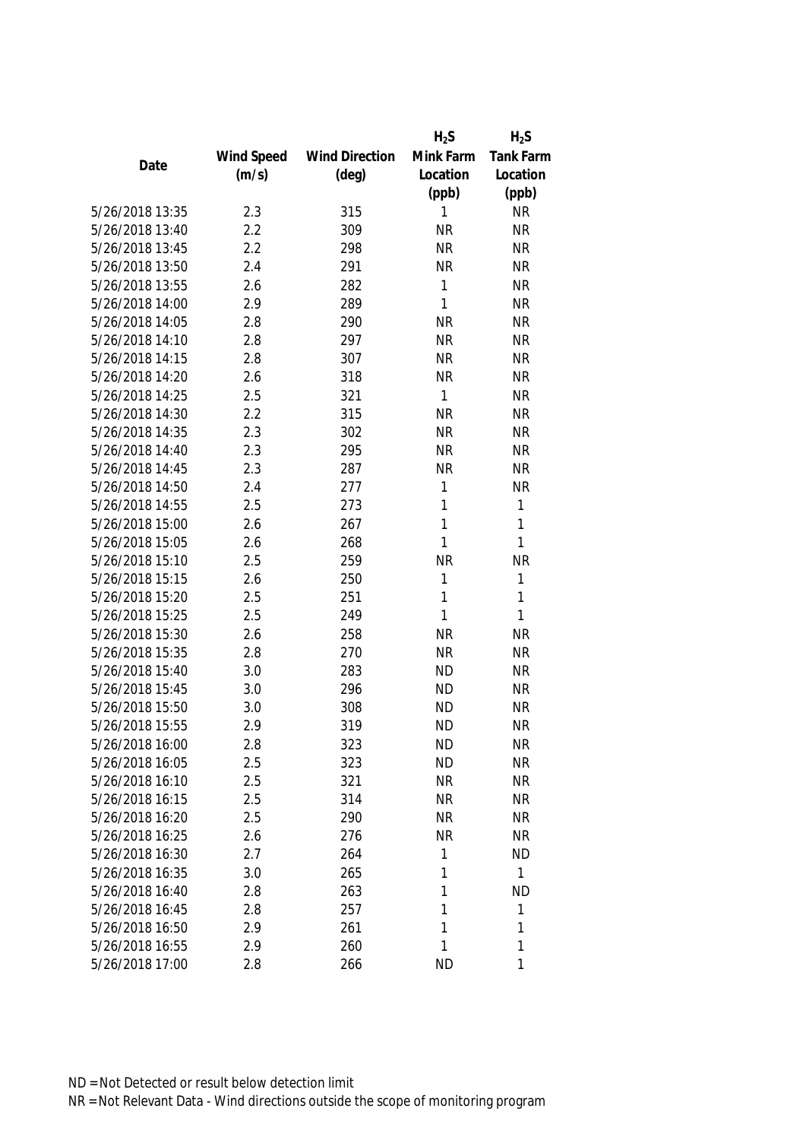|                 |            |                       | $H_2S$       | $H_2S$           |
|-----------------|------------|-----------------------|--------------|------------------|
|                 | Wind Speed | <b>Wind Direction</b> | Mink Farm    | <b>Tank Farm</b> |
| Date            | (m/s)      | $(\text{deg})$        | Location     | Location         |
|                 |            |                       | (ppb)        | (ppb)            |
| 5/26/2018 13:35 | 2.3        | 315                   | 1            | <b>NR</b>        |
| 5/26/2018 13:40 | 2.2        | 309                   | <b>NR</b>    | <b>NR</b>        |
| 5/26/2018 13:45 | 2.2        | 298                   | <b>NR</b>    | <b>NR</b>        |
| 5/26/2018 13:50 | 2.4        | 291                   | <b>NR</b>    | <b>NR</b>        |
| 5/26/2018 13:55 | 2.6        | 282                   | 1            | <b>NR</b>        |
| 5/26/2018 14:00 | 2.9        | 289                   | 1            | <b>NR</b>        |
| 5/26/2018 14:05 | 2.8        | 290                   | <b>NR</b>    | <b>NR</b>        |
| 5/26/2018 14:10 | 2.8        | 297                   | <b>NR</b>    | <b>NR</b>        |
| 5/26/2018 14:15 | 2.8        | 307                   | <b>NR</b>    | <b>NR</b>        |
| 5/26/2018 14:20 | 2.6        | 318                   | <b>NR</b>    | <b>NR</b>        |
| 5/26/2018 14:25 | 2.5        | 321                   | $\mathbf{1}$ | <b>NR</b>        |
| 5/26/2018 14:30 | 2.2        | 315                   | <b>NR</b>    | <b>NR</b>        |
| 5/26/2018 14:35 | 2.3        | 302                   | <b>NR</b>    | <b>NR</b>        |
| 5/26/2018 14:40 | 2.3        | 295                   | <b>NR</b>    | <b>NR</b>        |
| 5/26/2018 14:45 | 2.3        | 287                   | <b>NR</b>    | <b>NR</b>        |
| 5/26/2018 14:50 | 2.4        | 277                   | 1            | <b>NR</b>        |
| 5/26/2018 14:55 | 2.5        | 273                   | 1            | 1                |
| 5/26/2018 15:00 | 2.6        | 267                   | 1            | 1                |
| 5/26/2018 15:05 | 2.6        | 268                   | 1            | 1                |
| 5/26/2018 15:10 | 2.5        | 259                   | <b>NR</b>    | <b>NR</b>        |
| 5/26/2018 15:15 | 2.6        | 250                   | 1            | 1                |
| 5/26/2018 15:20 | 2.5        | 251                   | 1            | 1                |
| 5/26/2018 15:25 | 2.5        | 249                   | 1            | 1                |
| 5/26/2018 15:30 | 2.6        | 258                   | <b>NR</b>    | <b>NR</b>        |
| 5/26/2018 15:35 | 2.8        | 270                   | <b>NR</b>    | <b>NR</b>        |
| 5/26/2018 15:40 | 3.0        | 283                   | <b>ND</b>    | <b>NR</b>        |
| 5/26/2018 15:45 | 3.0        | 296                   | <b>ND</b>    | <b>NR</b>        |
| 5/26/2018 15:50 | 3.0        | 308                   | <b>ND</b>    | <b>NR</b>        |
| 5/26/2018 15:55 | 2.9        | 319                   | <b>ND</b>    | <b>NR</b>        |
| 5/26/2018 16:00 | 2.8        | 323                   | <b>ND</b>    | <b>NR</b>        |
| 5/26/2018 16:05 | 2.5        | 323                   | <b>ND</b>    | <b>NR</b>        |
| 5/26/2018 16:10 | 2.5        | 321                   | <b>NR</b>    | <b>NR</b>        |
| 5/26/2018 16:15 | 2.5        | 314                   | <b>NR</b>    | <b>NR</b>        |
| 5/26/2018 16:20 | 2.5        | 290                   | ΝR           | <b>NR</b>        |
| 5/26/2018 16:25 | 2.6        | 276                   | <b>NR</b>    | <b>NR</b>        |
| 5/26/2018 16:30 | 2.7        | 264                   | 1            | <b>ND</b>        |
| 5/26/2018 16:35 | 3.0        | 265                   | 1            | $\mathbf{1}$     |
| 5/26/2018 16:40 | 2.8        | 263                   | 1            | <b>ND</b>        |
| 5/26/2018 16:45 | 2.8        | 257                   | 1            | 1                |
| 5/26/2018 16:50 | 2.9        | 261                   | 1            | 1                |
| 5/26/2018 16:55 | 2.9        | 260                   | 1            | 1                |
| 5/26/2018 17:00 | 2.8        | 266                   | <b>ND</b>    | 1                |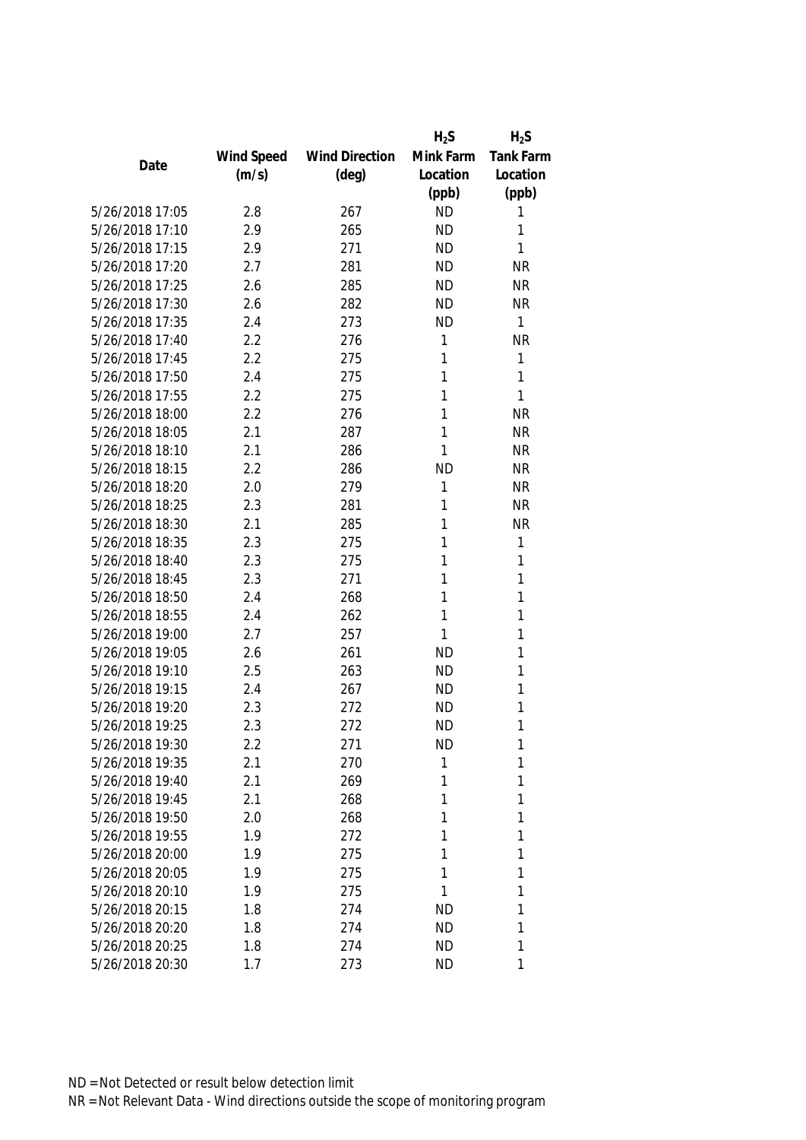|                 |            |                       | $H_2S$    | $H_2S$           |
|-----------------|------------|-----------------------|-----------|------------------|
|                 | Wind Speed | <b>Wind Direction</b> | Mink Farm | <b>Tank Farm</b> |
| Date            | (m/s)      | $(\text{deg})$        | Location  | Location         |
|                 |            |                       | (ppb)     | (ppb)            |
| 5/26/2018 17:05 | 2.8        | 267                   | <b>ND</b> | 1                |
| 5/26/2018 17:10 | 2.9        | 265                   | <b>ND</b> | 1                |
| 5/26/2018 17:15 | 2.9        | 271                   | <b>ND</b> | 1                |
| 5/26/2018 17:20 | 2.7        | 281                   | <b>ND</b> | <b>NR</b>        |
| 5/26/2018 17:25 | 2.6        | 285                   | <b>ND</b> | <b>NR</b>        |
| 5/26/2018 17:30 | 2.6        | 282                   | <b>ND</b> | <b>NR</b>        |
| 5/26/2018 17:35 | 2.4        | 273                   | <b>ND</b> | 1                |
| 5/26/2018 17:40 | 2.2        | 276                   | 1         | <b>NR</b>        |
| 5/26/2018 17:45 | 2.2        | 275                   | 1         | 1                |
| 5/26/2018 17:50 | 2.4        | 275                   | 1         | 1                |
| 5/26/2018 17:55 | 2.2        | 275                   | 1         | 1                |
| 5/26/2018 18:00 | 2.2        | 276                   | 1         | <b>NR</b>        |
| 5/26/2018 18:05 | 2.1        | 287                   | 1         | <b>NR</b>        |
| 5/26/2018 18:10 | 2.1        | 286                   | 1         | <b>NR</b>        |
| 5/26/2018 18:15 | 2.2        | 286                   | <b>ND</b> | <b>NR</b>        |
| 5/26/2018 18:20 | 2.0        | 279                   | 1         | <b>NR</b>        |
| 5/26/2018 18:25 | 2.3        | 281                   | 1         | <b>NR</b>        |
| 5/26/2018 18:30 | 2.1        | 285                   | 1         | <b>NR</b>        |
| 5/26/2018 18:35 | 2.3        | 275                   | 1         | 1                |
| 5/26/2018 18:40 | 2.3        | 275                   | 1         | 1                |
| 5/26/2018 18:45 | 2.3        | 271                   | 1         | 1                |
| 5/26/2018 18:50 | 2.4        | 268                   | 1         | 1                |
| 5/26/2018 18:55 | 2.4        | 262                   | 1         | 1                |
| 5/26/2018 19:00 | 2.7        | 257                   | 1         | 1                |
| 5/26/2018 19:05 | 2.6        | 261                   | <b>ND</b> | 1                |
| 5/26/2018 19:10 | 2.5        | 263                   | <b>ND</b> | 1                |
| 5/26/2018 19:15 | 2.4        | 267                   | <b>ND</b> | 1                |
| 5/26/2018 19:20 | 2.3        | 272                   | <b>ND</b> | 1                |
| 5/26/2018 19:25 | 2.3        | 272                   | <b>ND</b> | 1                |
| 5/26/2018 19:30 | 2.2        | 271                   | <b>ND</b> | 1                |
| 5/26/2018 19:35 | 2.1        | 270                   | 1         | 1                |
| 5/26/2018 19:40 | 2.1        | 269                   | 1         | 1                |
| 5/26/2018 19:45 | 2.1        | 268                   | 1         | 1                |
| 5/26/2018 19:50 | 2.0        | 268                   | 1         | 1                |
| 5/26/2018 19:55 | 1.9        | 272                   | 1         | 1                |
| 5/26/2018 20:00 | 1.9        | 275                   | 1         | 1                |
| 5/26/2018 20:05 | 1.9        | 275                   | 1         | 1                |
| 5/26/2018 20:10 | 1.9        | 275                   | 1         | 1                |
| 5/26/2018 20:15 | 1.8        | 274                   | <b>ND</b> | 1                |
| 5/26/2018 20:20 | 1.8        | 274                   | <b>ND</b> | 1                |
| 5/26/2018 20:25 | 1.8        | 274                   | <b>ND</b> | 1                |
| 5/26/2018 20:30 | 1.7        | 273                   | <b>ND</b> | 1                |
|                 |            |                       |           |                  |